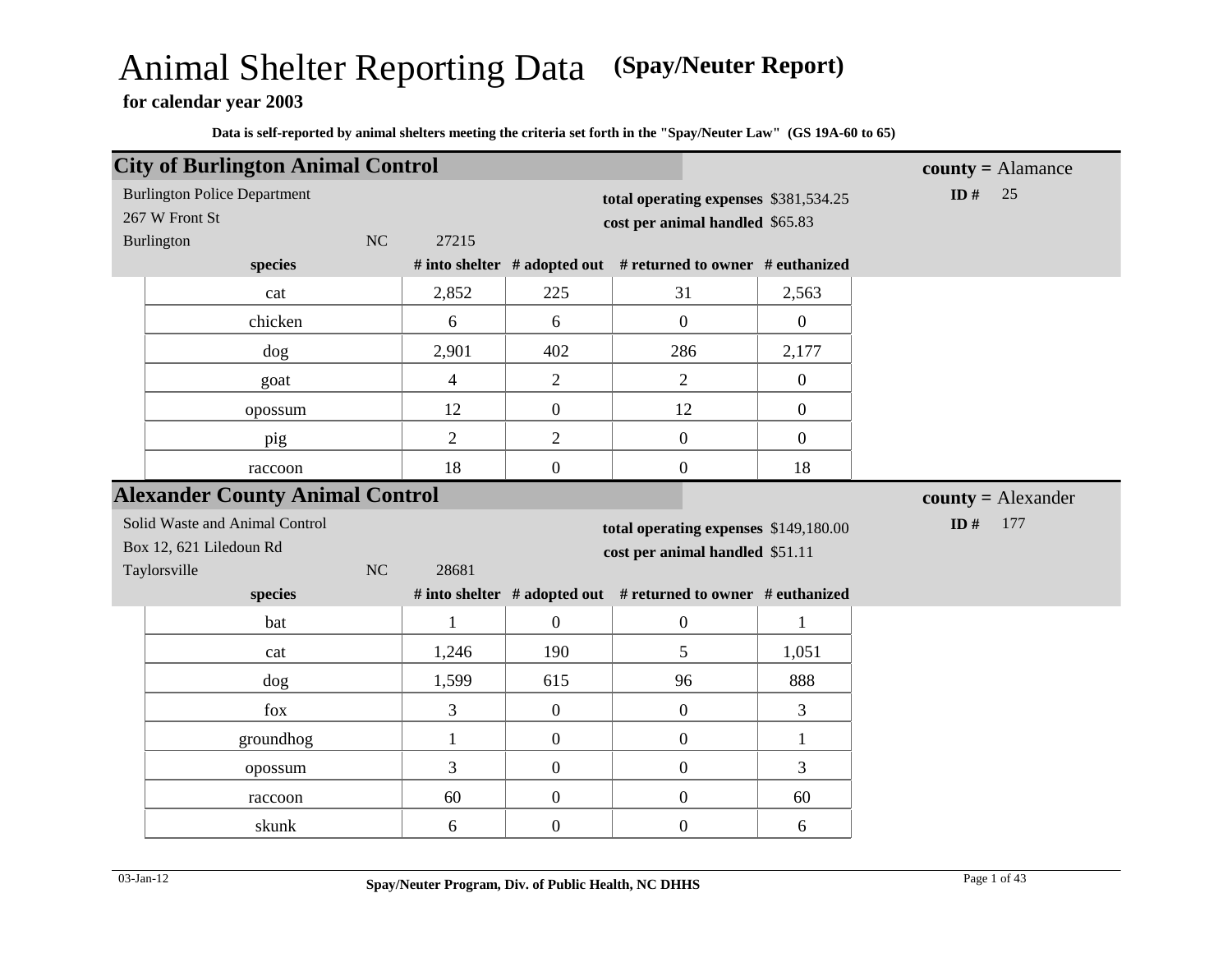# Animal Shelter Reporting Data **(Spay/Neuter Report)**

**for calendar year 2003**

| <b>City of Burlington Animal Control</b> |           |                |                  |                                                               |                  |                     |                                    |
|------------------------------------------|-----------|----------------|------------------|---------------------------------------------------------------|------------------|---------------------|------------------------------------|
|                                          |           |                |                  |                                                               |                  | $county =$ Alamance |                                    |
| <b>Burlington Police Department</b>      |           |                |                  | total operating expenses \$381,534.25                         |                  | ID $#$              | 25                                 |
| 267 W Front St                           |           |                |                  | cost per animal handled \$65.83                               |                  |                     |                                    |
| Burlington                               | NC        | 27215          |                  |                                                               |                  |                     |                                    |
| species                                  |           |                |                  | # into shelter # adopted out # returned to owner # euthanized |                  |                     |                                    |
|                                          | cat       | 2,852          | 225              | 31                                                            | 2,563            |                     |                                    |
|                                          | chicken   | 6              | 6                | $\overline{0}$                                                | $\boldsymbol{0}$ |                     |                                    |
| dog                                      |           | 2,901          | 402              | 286                                                           | 2,177            |                     |                                    |
|                                          | goat      | $\overline{4}$ | $\overline{2}$   | $\overline{2}$                                                | $\boldsymbol{0}$ |                     |                                    |
|                                          | opossum   | 12             | $\boldsymbol{0}$ | 12                                                            | $\boldsymbol{0}$ |                     |                                    |
|                                          | pig       | $\overline{2}$ | $\mathbf{2}$     | $\boldsymbol{0}$                                              | $\overline{0}$   |                     |                                    |
| raccoon                                  |           | 18             | $\boldsymbol{0}$ | $\boldsymbol{0}$                                              | 18               |                     |                                    |
| <b>Alexander County Animal Control</b>   |           |                |                  |                                                               |                  |                     | $\text{county} = \text{Alexander}$ |
| Solid Waste and Animal Control           |           |                |                  | total operating expenses \$149,180.00                         |                  | ID $#$              | 177                                |
| Box 12, 621 Liledoun Rd                  |           |                |                  | cost per animal handled \$51.11                               |                  |                     |                                    |
| Taylorsville                             | NC        | 28681          |                  |                                                               |                  |                     |                                    |
| species                                  |           |                |                  | # into shelter # adopted out # returned to owner # euthanized |                  |                     |                                    |
|                                          | bat       | $\mathbf{1}$   | $\mathbf{0}$     | $\boldsymbol{0}$                                              | $\mathbf{1}$     |                     |                                    |
|                                          | cat       | 1,246          | 190              | 5                                                             | 1,051            |                     |                                    |
| dog                                      |           | 1,599          | 615              | 96                                                            | 888              |                     |                                    |
| fox                                      |           | 3              | $\boldsymbol{0}$ | $\overline{0}$                                                | 3                |                     |                                    |
|                                          | groundhog | $\mathbf{1}$   | $\overline{0}$   | $\overline{0}$                                                | $\mathbf{1}$     |                     |                                    |
|                                          | opossum   | 3              | $\overline{0}$   | $\boldsymbol{0}$                                              | 3                |                     |                                    |
| raccoon                                  |           | 60             | $\boldsymbol{0}$ | $\boldsymbol{0}$                                              | 60               |                     |                                    |
|                                          | skunk     | 6              | $\boldsymbol{0}$ | $\boldsymbol{0}$                                              | 6                |                     |                                    |
|                                          |           |                |                  |                                                               |                  |                     |                                    |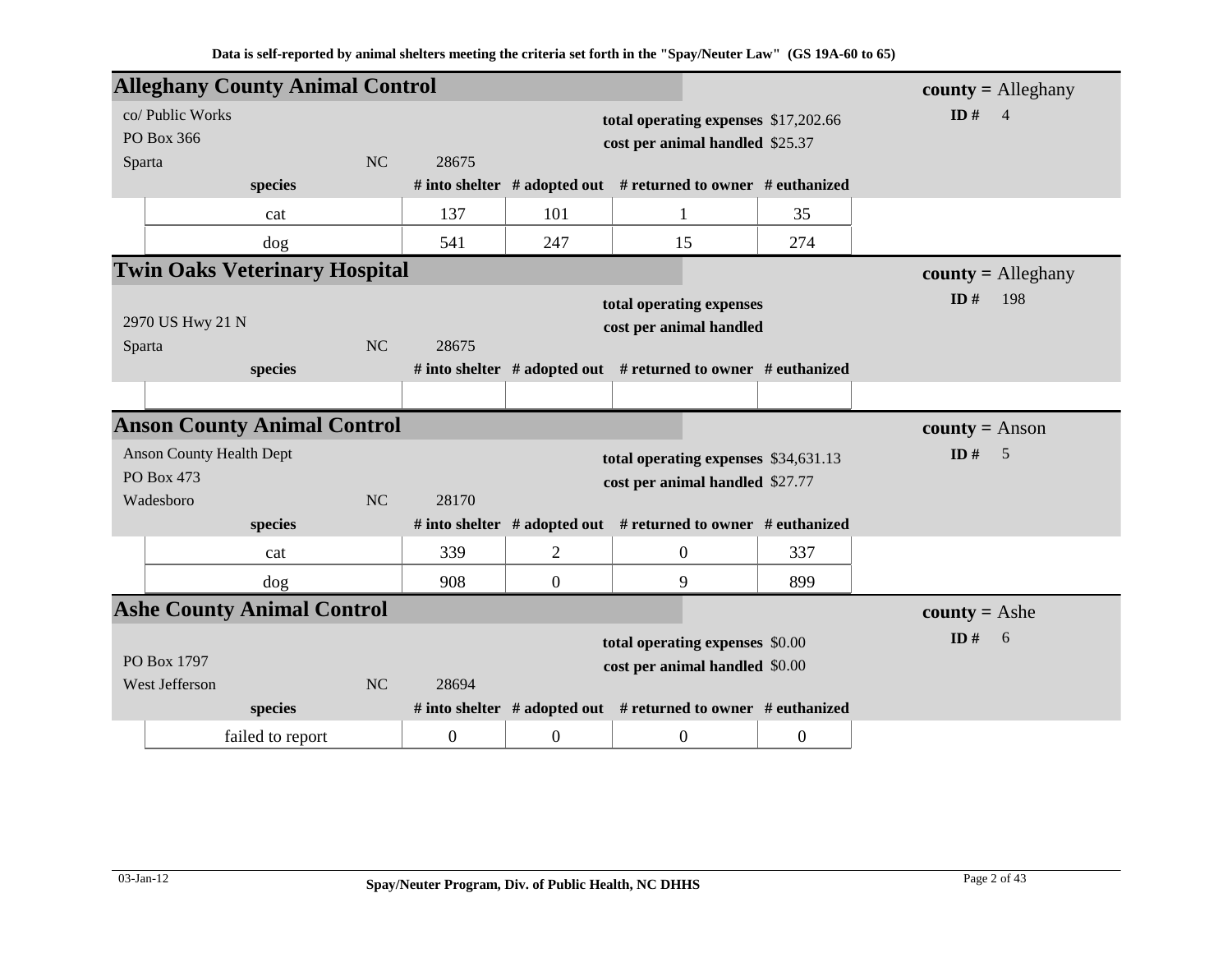| <b>Alleghany County Animal Control</b>                     |                             |           |                           |                  |                                                                                                                                                              |                  | $county =$ Alleghany  |
|------------------------------------------------------------|-----------------------------|-----------|---------------------------|------------------|--------------------------------------------------------------------------------------------------------------------------------------------------------------|------------------|-----------------------|
| co/ Public Works<br>PO Box 366<br>Sparta                   |                             | NC        | 28675                     |                  | total operating expenses \$17,202.66<br>cost per animal handled \$25.37                                                                                      |                  | ID#<br>$\overline{4}$ |
|                                                            | species                     |           |                           |                  | # into shelter $#$ adopted out $#$ returned to owner $#$ euthanized                                                                                          |                  |                       |
|                                                            | cat                         |           | 137                       | 101              | $\mathbf{1}$                                                                                                                                                 | 35               |                       |
|                                                            | dog                         |           | 541                       | 247              | 15                                                                                                                                                           | 274              |                       |
| <b>Twin Oaks Veterinary Hospital</b>                       |                             |           |                           |                  |                                                                                                                                                              |                  | $county =$ Alleghany  |
| 2970 US Hwy 21 N<br>Sparta                                 | species                     | <b>NC</b> | 28675                     |                  | total operating expenses<br>cost per animal handled<br># into shelter $#$ adopted out $#$ returned to owner $#$ euthanized                                   |                  | ID $#$<br>198         |
|                                                            |                             |           |                           |                  |                                                                                                                                                              |                  |                       |
| <b>Anson County Animal Control</b>                         |                             |           |                           |                  |                                                                                                                                                              |                  | $county = Anson$      |
| <b>Anson County Health Dept</b><br>PO Box 473<br>Wadesboro |                             | NC        | 28170                     |                  | total operating expenses \$34,631.13<br>cost per animal handled \$27.77                                                                                      |                  | ID $#$<br>5           |
|                                                            | species                     |           |                           |                  | # into shelter # adopted out # returned to owner # euthanized                                                                                                |                  |                       |
|                                                            | cat                         |           | 339                       | $\overline{2}$   | $\boldsymbol{0}$                                                                                                                                             | 337              |                       |
|                                                            | dog                         |           | 908                       | $\overline{0}$   | 9                                                                                                                                                            | 899              |                       |
| <b>Ashe County Animal Control</b>                          |                             |           |                           |                  |                                                                                                                                                              |                  | <b>county</b> = Ashe  |
| PO Box 1797<br>West Jefferson                              | species<br>failed to report | <b>NC</b> | 28694<br>$\boldsymbol{0}$ | $\boldsymbol{0}$ | total operating expenses \$0.00<br>cost per animal handled \$0.00<br># into shelter $#$ adopted out $#$ returned to owner $#$ euthanized<br>$\boldsymbol{0}$ | $\boldsymbol{0}$ | ID#<br>6              |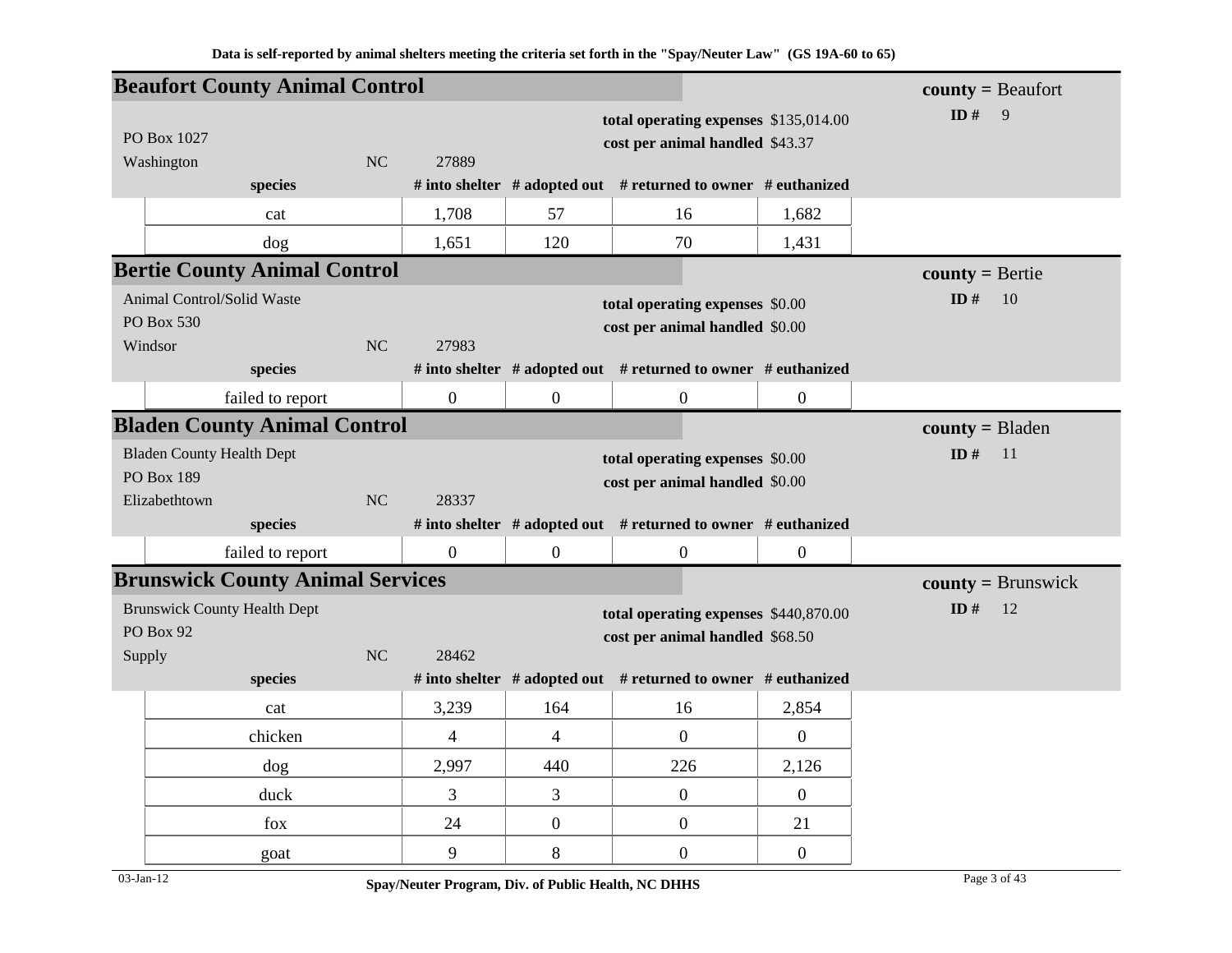|        |                                     | <b>Beaufort County Animal Control</b>   |                |                |                |                                                                          |                  | $county = Beaufort$                       |
|--------|-------------------------------------|-----------------------------------------|----------------|----------------|----------------|--------------------------------------------------------------------------|------------------|-------------------------------------------|
|        | PO Box 1027                         |                                         |                |                |                | total operating expenses \$135,014.00<br>cost per animal handled \$43.37 |                  | ID $#$<br>$\overline{9}$                  |
|        | Washington                          | species                                 | <b>NC</b>      | 27889          |                | # into shelter # adopted out # returned to owner # euthanized            |                  |                                           |
|        |                                     | cat                                     |                | 1,708          | 57             | 16                                                                       | 1,682            |                                           |
|        |                                     | dog                                     |                | 1,651          | 120            | 70                                                                       | 1,431            |                                           |
|        |                                     | <b>Bertie County Animal Control</b>     |                |                |                |                                                                          |                  |                                           |
|        | Animal Control/Solid Waste          |                                         |                |                |                |                                                                          |                  | $county = Bertie$<br>ID#<br><sup>10</sup> |
|        | PO Box 530                          |                                         |                |                |                | total operating expenses \$0.00                                          |                  |                                           |
|        | Windsor                             |                                         | N <sub>C</sub> | 27983          |                | cost per animal handled \$0.00                                           |                  |                                           |
|        |                                     | species                                 |                |                |                | # into shelter # adopted out # returned to owner # euthanized            |                  |                                           |
|        |                                     | failed to report                        |                | $\mathbf{0}$   | $\mathbf{0}$   | $\boldsymbol{0}$                                                         | $\boldsymbol{0}$ |                                           |
|        |                                     | <b>Bladen County Animal Control</b>     |                |                |                |                                                                          |                  | $county = B$ laden                        |
|        | <b>Bladen County Health Dept</b>    |                                         |                |                |                | total operating expenses \$0.00                                          |                  | ID $#$<br>11                              |
|        | PO Box 189                          |                                         |                |                |                | cost per animal handled \$0.00                                           |                  |                                           |
|        | Elizabethtown                       |                                         | N <sub>C</sub> | 28337          |                |                                                                          |                  |                                           |
|        |                                     | species                                 |                |                |                | # into shelter # adopted out # returned to owner # euthanized            |                  |                                           |
|        |                                     | failed to report                        |                | $\mathbf{0}$   | $\mathbf{0}$   | $\overline{0}$                                                           | $\boldsymbol{0}$ |                                           |
|        |                                     | <b>Brunswick County Animal Services</b> |                |                |                |                                                                          |                  | $county = Brunswick$                      |
|        | <b>Brunswick County Health Dept</b> |                                         |                |                |                | total operating expenses \$440,870.00                                    |                  | ID#<br>12                                 |
| Supply | PO Box 92                           |                                         | <b>NC</b>      | 28462          |                | cost per animal handled \$68.50                                          |                  |                                           |
|        |                                     | species                                 |                |                |                | # into shelter # adopted out # returned to owner # euthanized            |                  |                                           |
|        |                                     | cat                                     |                | 3,239          | 164            | 16                                                                       | 2,854            |                                           |
|        |                                     | chicken                                 |                | $\overline{4}$ | $\overline{4}$ | $\overline{0}$                                                           | $\boldsymbol{0}$ |                                           |
|        |                                     | dog                                     |                | 2,997          | 440            | 226                                                                      | 2,126            |                                           |
|        |                                     | duck                                    |                | $\overline{3}$ | 3              | $\boldsymbol{0}$                                                         | $\boldsymbol{0}$ |                                           |
|        |                                     | fox                                     |                | 24             | $\overline{0}$ | $\boldsymbol{0}$                                                         | 21               |                                           |
|        |                                     | goat                                    |                | 9              | 8              | $\boldsymbol{0}$                                                         | $\overline{0}$   |                                           |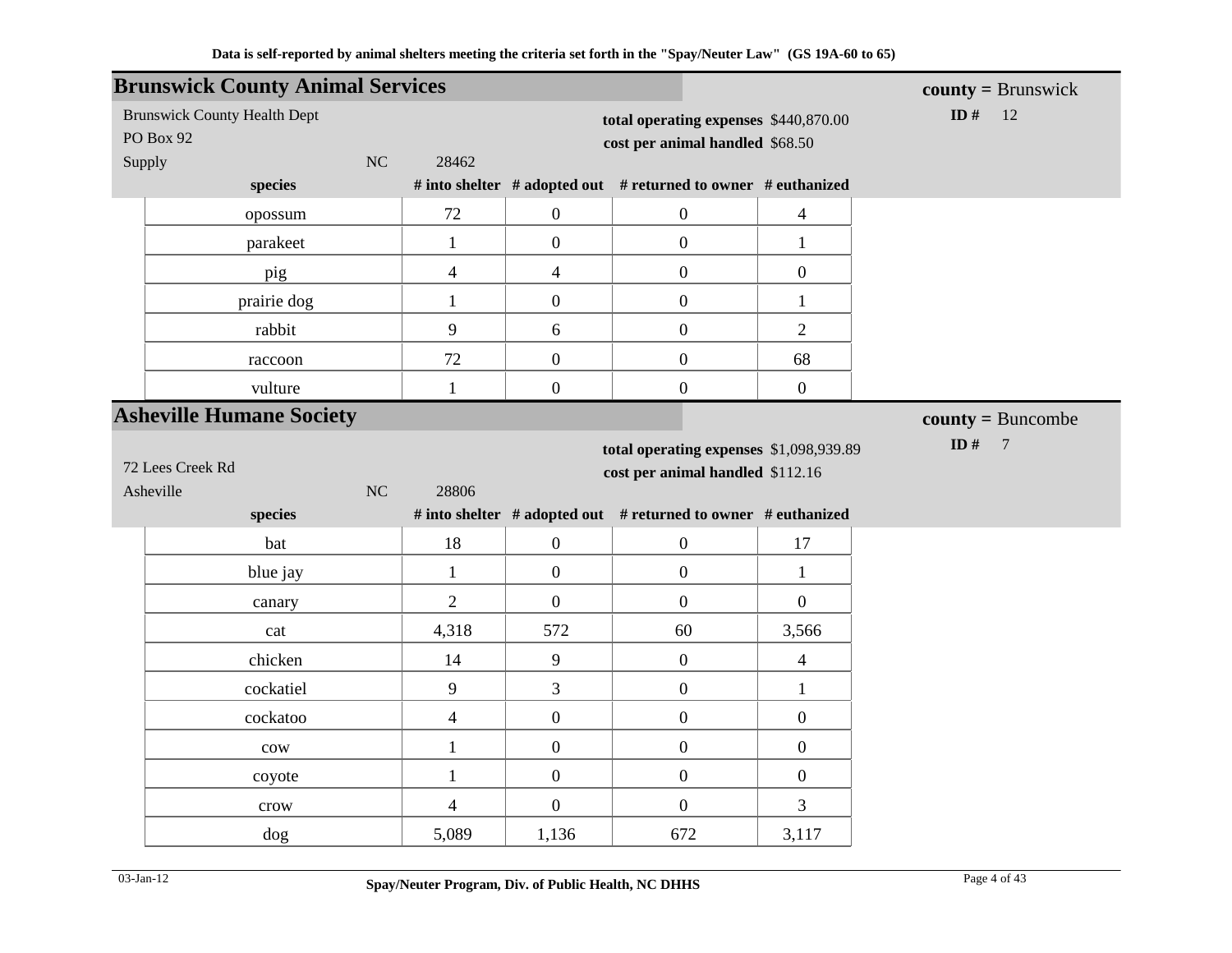|                  | <b>Brunswick County Animal Services</b> |    |                          |                  |                                                                          |                  | $county = Brunswick$      |
|------------------|-----------------------------------------|----|--------------------------|------------------|--------------------------------------------------------------------------|------------------|---------------------------|
| <b>PO Box 92</b> | <b>Brunswick County Health Dept</b>     |    |                          |                  | total operating expenses \$440,870.00<br>cost per animal handled \$68.50 |                  | ID#<br>12                 |
| Supply           |                                         | NC | 28462                    |                  | # into shelter # adopted out # returned to owner # euthanized            |                  |                           |
|                  | species                                 |    |                          |                  |                                                                          |                  |                           |
|                  | opossum                                 |    | 72                       | $\overline{0}$   | $\boldsymbol{0}$                                                         | $\overline{4}$   |                           |
|                  | parakeet                                |    | $\mathbf{1}$             | $\overline{0}$   | $\overline{0}$                                                           | $\mathbf{1}$     |                           |
|                  | pig                                     |    | $\overline{\mathcal{L}}$ | $\overline{4}$   | $\boldsymbol{0}$                                                         | $\boldsymbol{0}$ |                           |
|                  | prairie dog                             |    | $\mathbf{1}$             | $\overline{0}$   | $\boldsymbol{0}$                                                         | $\mathbf{1}$     |                           |
|                  | rabbit                                  |    | 9                        | 6                | $\boldsymbol{0}$                                                         | $\overline{2}$   |                           |
|                  | raccoon                                 |    | 72                       | $\boldsymbol{0}$ | $\boldsymbol{0}$                                                         | 68               |                           |
|                  | vulture                                 |    | $\mathbf{1}$             | $\boldsymbol{0}$ | $\boldsymbol{0}$                                                         | $\boldsymbol{0}$ |                           |
|                  | <b>Asheville Humane Society</b>         |    |                          |                  |                                                                          |                  | $county = Buncombe$       |
|                  |                                         |    |                          |                  | total operating expenses \$1,098,939.89                                  |                  | ID $#$<br>$7\phantom{.0}$ |
| 72 Lees Creek Rd |                                         |    |                          |                  | cost per animal handled \$112.16                                         |                  |                           |
| Asheville        |                                         | NC | 28806                    |                  |                                                                          |                  |                           |
|                  | species                                 |    |                          |                  | # into shelter # adopted out # returned to owner # euthanized            |                  |                           |
|                  | bat                                     |    | 18                       | $\overline{0}$   | $\boldsymbol{0}$                                                         | 17               |                           |
|                  | blue jay                                |    | $\mathbf{1}$             | $\mathbf{0}$     | $\mathbf{0}$                                                             | $\mathbf{1}$     |                           |
|                  | canary                                  |    | $\overline{2}$           | $\boldsymbol{0}$ | $\boldsymbol{0}$                                                         | $\overline{0}$   |                           |
|                  | cat                                     |    | 4,318                    | 572              | 60                                                                       | 3,566            |                           |
|                  | chicken                                 |    | 14                       | 9                | $\boldsymbol{0}$                                                         | $\overline{4}$   |                           |
|                  | cockatiel                               |    | 9                        | $\overline{3}$   | $\boldsymbol{0}$                                                         | $\mathbf{1}$     |                           |
|                  | cockatoo                                |    | $\overline{\mathbf{4}}$  | $\boldsymbol{0}$ | $\boldsymbol{0}$                                                         | $\boldsymbol{0}$ |                           |
|                  | $_{\text{cow}}$                         |    | $\mathbf{1}$             | $\boldsymbol{0}$ | $\boldsymbol{0}$                                                         | $\boldsymbol{0}$ |                           |
|                  | coyote                                  |    | $\mathbf{1}$             | $\boldsymbol{0}$ | $\boldsymbol{0}$                                                         | $\boldsymbol{0}$ |                           |
|                  | crow                                    |    | $\overline{\mathcal{A}}$ | $\overline{0}$   | $\mathbf{0}$                                                             | 3                |                           |
|                  | dog                                     |    | 5,089                    | 1,136            | 672                                                                      | 3,117            |                           |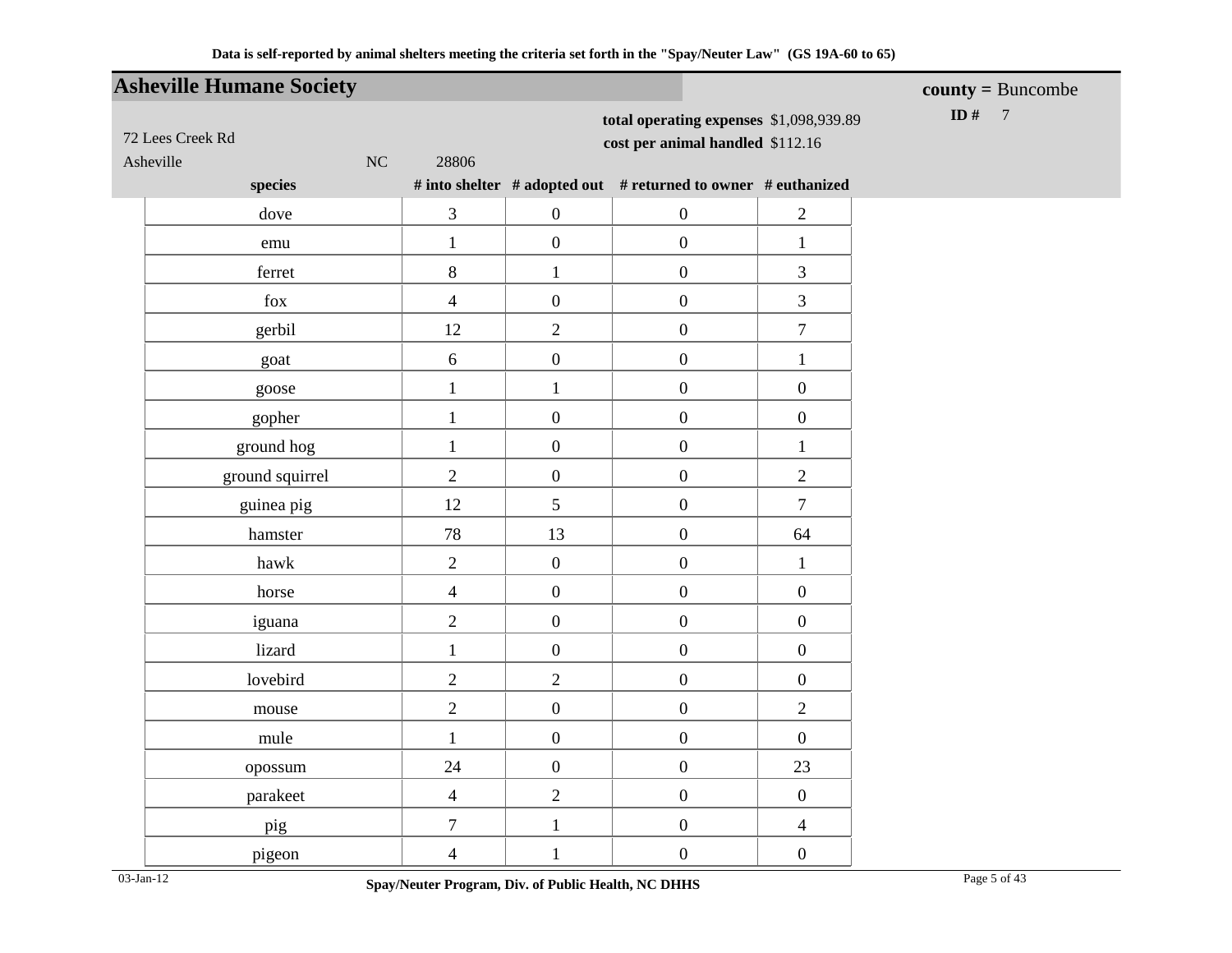|                               | <b>Asheville Humane Society</b> |                  |                                                                             |                                                               |                  | $county = Buncombe$ |
|-------------------------------|---------------------------------|------------------|-----------------------------------------------------------------------------|---------------------------------------------------------------|------------------|---------------------|
| 72 Lees Creek Rd<br>Asheville | NC                              | 28806            | total operating expenses \$1,098,939.89<br>cost per animal handled \$112.16 | ID #<br>$\overline{7}$                                        |                  |                     |
|                               | species                         |                  |                                                                             | # into shelter # adopted out # returned to owner # euthanized |                  |                     |
|                               | dove                            | 3                | $\boldsymbol{0}$                                                            | $\boldsymbol{0}$                                              | $\overline{2}$   |                     |
|                               | emu                             | $\mathbf 1$      | $\boldsymbol{0}$                                                            | $\boldsymbol{0}$                                              | $\mathbf{1}$     |                     |
|                               | ferret                          | $\,8\,$          | $\mathbf{1}$                                                                | $\boldsymbol{0}$                                              | 3                |                     |
|                               | $f_{OX}$                        | $\overline{4}$   | $\boldsymbol{0}$                                                            | $\boldsymbol{0}$                                              | 3                |                     |
|                               | gerbil                          | 12               | $\overline{c}$                                                              | $\boldsymbol{0}$                                              | $\boldsymbol{7}$ |                     |
|                               | goat                            | 6                | $\boldsymbol{0}$                                                            | $\boldsymbol{0}$                                              | $\mathbf{1}$     |                     |
|                               | goose                           | $\mathbf{1}$     | $\mathbf{1}$                                                                | $\boldsymbol{0}$                                              | $\boldsymbol{0}$ |                     |
|                               | gopher                          | $\mathbf{1}$     | $\boldsymbol{0}$                                                            | $\boldsymbol{0}$                                              | $\boldsymbol{0}$ |                     |
|                               | ground hog                      | $\mathbf{1}$     | $\boldsymbol{0}$                                                            | $\boldsymbol{0}$                                              | $\mathbf{1}$     |                     |
|                               | ground squirrel                 | $\overline{2}$   | $\boldsymbol{0}$                                                            | $\boldsymbol{0}$                                              | $\overline{2}$   |                     |
|                               | guinea pig                      | 12               | 5                                                                           | $\boldsymbol{0}$                                              | $\tau$           |                     |
|                               | hamster                         | 78               | 13                                                                          | $\boldsymbol{0}$                                              | 64               |                     |
|                               | hawk                            | $\overline{2}$   | $\boldsymbol{0}$                                                            | $\boldsymbol{0}$                                              | $\mathbf{1}$     |                     |
|                               | horse                           | $\overline{4}$   | $\boldsymbol{0}$                                                            | $\boldsymbol{0}$                                              | $\boldsymbol{0}$ |                     |
|                               | iguana                          | $\overline{c}$   | $\boldsymbol{0}$                                                            | $\boldsymbol{0}$                                              | $\boldsymbol{0}$ |                     |
|                               | lizard                          | $\mathbf{1}$     | $\boldsymbol{0}$                                                            | $\boldsymbol{0}$                                              | $\boldsymbol{0}$ |                     |
|                               | lovebird                        | $\overline{2}$   | $\overline{2}$                                                              | $\boldsymbol{0}$                                              | $\boldsymbol{0}$ |                     |
|                               | mouse                           | $\overline{2}$   | $\mathbf{0}$                                                                | $\boldsymbol{0}$                                              | $\overline{2}$   |                     |
|                               | mule                            | $\mathbf{1}$     | $\boldsymbol{0}$                                                            | $\boldsymbol{0}$                                              | $\boldsymbol{0}$ |                     |
|                               | opossum                         | 24               | $\boldsymbol{0}$                                                            | $\boldsymbol{0}$                                              | 23               |                     |
|                               | parakeet                        | $\overline{4}$   | $\mathbf{2}$                                                                | $\boldsymbol{0}$                                              | $\boldsymbol{0}$ |                     |
|                               | pig                             | $\boldsymbol{7}$ | $\mathbf{1}$                                                                | $\boldsymbol{0}$                                              | $\overline{4}$   |                     |
|                               | pigeon                          | $\overline{4}$   | $\mathbf{1}$                                                                | $\boldsymbol{0}$                                              | $\boldsymbol{0}$ |                     |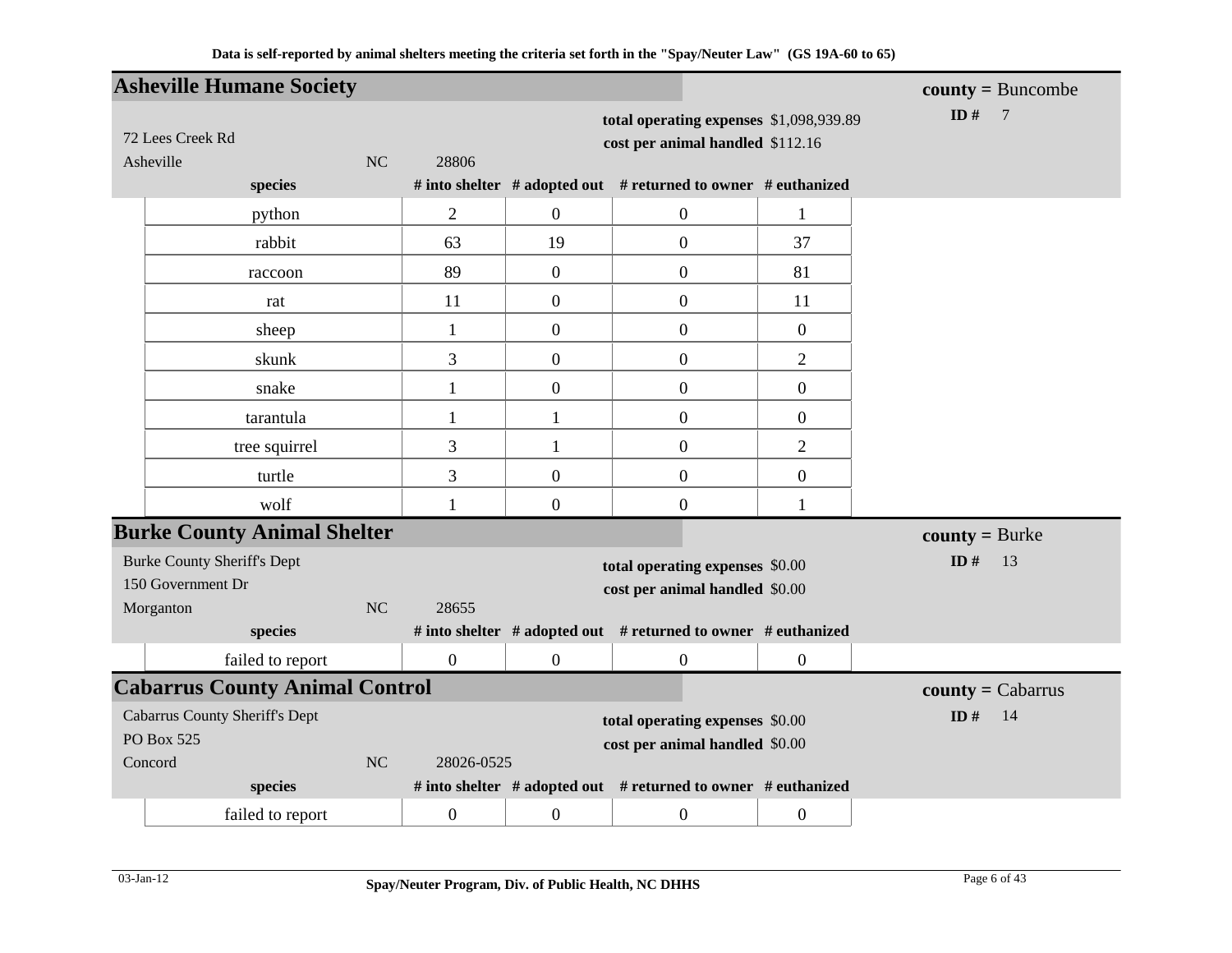|                                       | <b>Asheville Humane Society</b>       |    |                  |                  |                                                                             |                  | $county = Buncombe$      |
|---------------------------------------|---------------------------------------|----|------------------|------------------|-----------------------------------------------------------------------------|------------------|--------------------------|
| 72 Lees Creek Rd<br>Asheville         |                                       | NC | 28806            |                  | total operating expenses \$1,098,939.89<br>cost per animal handled \$112.16 |                  | ID $#$<br>$\overline{7}$ |
|                                       | species                               |    |                  |                  | # into shelter # adopted out # returned to owner # euthanized               |                  |                          |
|                                       | python                                |    | $\overline{2}$   | $\boldsymbol{0}$ | $\boldsymbol{0}$                                                            | 1                |                          |
|                                       | rabbit                                |    | 63               | 19               | $\boldsymbol{0}$                                                            | 37               |                          |
|                                       | raccoon                               |    | 89               | $\boldsymbol{0}$ | $\boldsymbol{0}$                                                            | 81               |                          |
|                                       | rat                                   |    | 11               | $\boldsymbol{0}$ | $\overline{0}$                                                              | 11               |                          |
|                                       | sheep                                 |    | $\mathbf{1}$     | $\boldsymbol{0}$ | $\boldsymbol{0}$                                                            | $\mathbf{0}$     |                          |
|                                       | skunk                                 |    | 3                | $\boldsymbol{0}$ | $\overline{0}$                                                              | $\overline{2}$   |                          |
|                                       | snake                                 |    | $\mathbf{1}$     | $\boldsymbol{0}$ | $\boldsymbol{0}$                                                            | $\boldsymbol{0}$ |                          |
|                                       | tarantula                             |    | $\mathbf{1}$     | $\mathbf{1}$     | $\boldsymbol{0}$                                                            | $\boldsymbol{0}$ |                          |
|                                       | tree squirrel                         |    | 3                | $\mathbf{1}$     | $\boldsymbol{0}$                                                            | $\mathbf{2}$     |                          |
|                                       | turtle                                |    | 3                | $\boldsymbol{0}$ | $\boldsymbol{0}$                                                            | $\boldsymbol{0}$ |                          |
|                                       | wolf                                  |    | $\mathbf{1}$     | $\boldsymbol{0}$ | $\boldsymbol{0}$                                                            | 1                |                          |
|                                       | <b>Burke County Animal Shelter</b>    |    |                  |                  |                                                                             |                  | $county = Burke$         |
| <b>Burke County Sheriff's Dept</b>    |                                       |    |                  |                  | total operating expenses \$0.00                                             |                  | ID $#$<br>13             |
| 150 Government Dr                     |                                       |    |                  |                  | cost per animal handled \$0.00                                              |                  |                          |
| Morganton                             |                                       | NC | 28655            |                  |                                                                             |                  |                          |
|                                       | species                               |    |                  |                  | # into shelter # adopted out # returned to owner # euthanized               |                  |                          |
|                                       | failed to report                      |    | $\boldsymbol{0}$ | $\boldsymbol{0}$ | $\overline{0}$                                                              | $\mathbf{0}$     |                          |
|                                       | <b>Cabarrus County Animal Control</b> |    |                  |                  |                                                                             |                  | $county = Cabarrus$      |
| <b>Cabarrus County Sheriff's Dept</b> |                                       |    |                  |                  | total operating expenses \$0.00                                             |                  | ID#<br>14                |
| PO Box 525                            |                                       |    |                  |                  | cost per animal handled \$0.00                                              |                  |                          |
| Concord                               |                                       | NC | 28026-0525       |                  |                                                                             |                  |                          |
|                                       | species                               |    |                  |                  | # into shelter # adopted out # returned to owner # euthanized               |                  |                          |
|                                       | failed to report                      |    | $\boldsymbol{0}$ | $\boldsymbol{0}$ | $\boldsymbol{0}$                                                            | $\boldsymbol{0}$ |                          |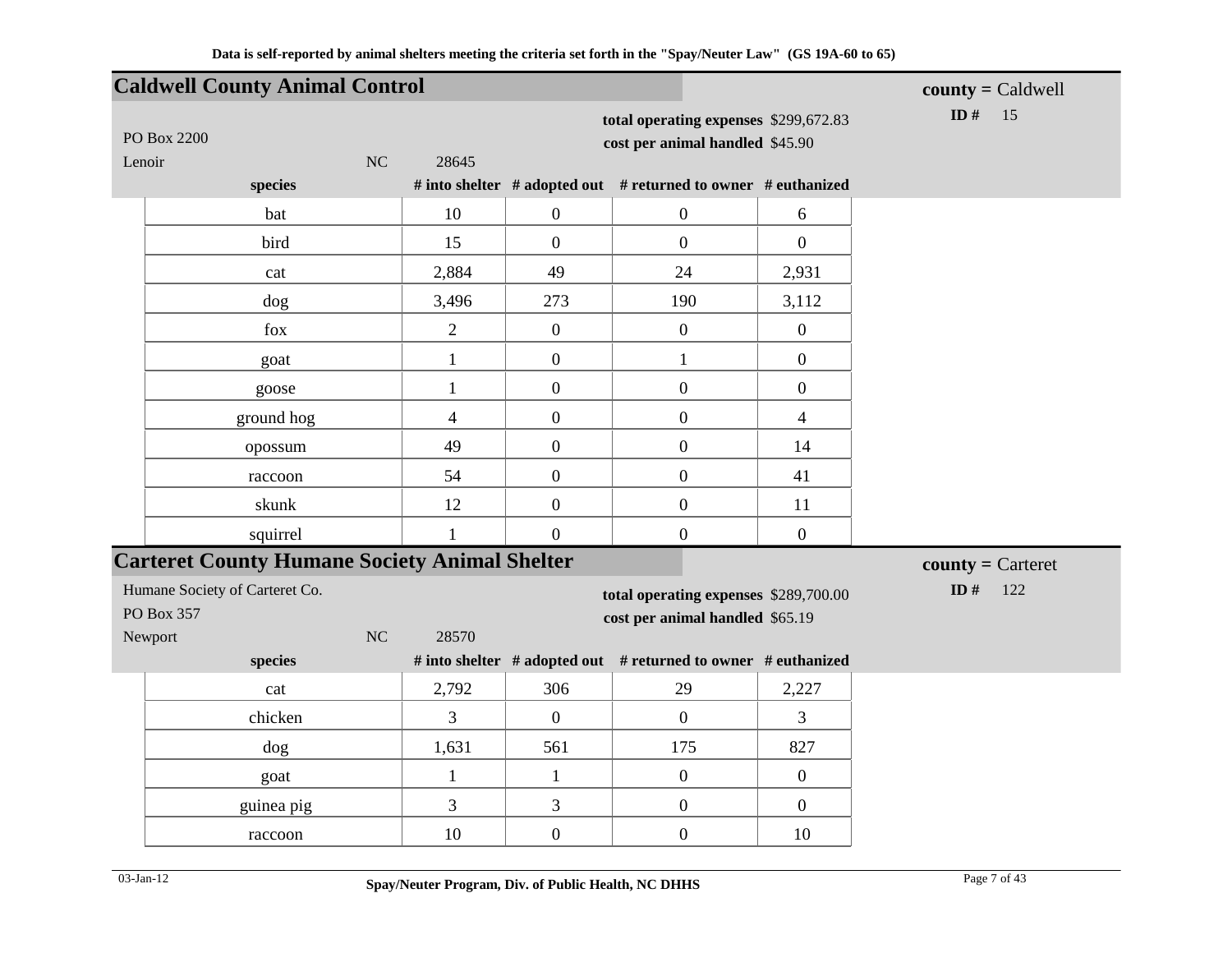|                                              | <b>Caldwell County Animal Control</b>                |                |                  |                                                                          |                  | $county = Caldwell$ |
|----------------------------------------------|------------------------------------------------------|----------------|------------------|--------------------------------------------------------------------------|------------------|---------------------|
| PO Box 2200<br>Lenoir                        | $\rm NC$                                             | 28645          |                  | total operating expenses \$299,672.83<br>cost per animal handled \$45.90 |                  | ID#<br>15           |
|                                              | species                                              |                |                  | # into shelter # adopted out # returned to owner # euthanized            |                  |                     |
|                                              | bat                                                  | 10             | $\boldsymbol{0}$ | $\boldsymbol{0}$                                                         | 6                |                     |
|                                              | bird                                                 | 15             | $\overline{0}$   | $\boldsymbol{0}$                                                         | $\overline{0}$   |                     |
|                                              | cat                                                  | 2,884          | 49               | 24                                                                       | 2,931            |                     |
|                                              | dog                                                  | 3,496          | 273              | 190                                                                      | 3,112            |                     |
|                                              | fox                                                  | $\overline{2}$ | $\mathbf{0}$     | $\boldsymbol{0}$                                                         | $\mathbf{0}$     |                     |
|                                              | goat                                                 | $\mathbf{1}$   | $\boldsymbol{0}$ | $\mathbf{1}$                                                             | $\boldsymbol{0}$ |                     |
|                                              | goose                                                | $\mathbf{1}$   | $\boldsymbol{0}$ | $\boldsymbol{0}$                                                         | $\overline{0}$   |                     |
|                                              | ground hog                                           | $\overline{4}$ | $\boldsymbol{0}$ | $\boldsymbol{0}$                                                         | $\overline{4}$   |                     |
|                                              | opossum                                              | 49             | $\mathbf{0}$     | $\boldsymbol{0}$                                                         | 14               |                     |
|                                              | raccoon                                              | 54             | $\overline{0}$   | $\boldsymbol{0}$                                                         | 41               |                     |
|                                              | skunk                                                | 12             | $\boldsymbol{0}$ | $\boldsymbol{0}$                                                         | 11               |                     |
|                                              | squirrel                                             | $\mathbf{1}$   | $\mathbf{0}$     | $\boldsymbol{0}$                                                         | $\mathbf{0}$     |                     |
|                                              | <b>Carteret County Humane Society Animal Shelter</b> |                |                  |                                                                          |                  | $county =$ Carteret |
| Humane Society of Carteret Co.<br>PO Box 357 |                                                      |                |                  | total operating expenses \$289,700.00<br>cost per animal handled \$65.19 |                  | ID $\#$<br>122      |
| Newport                                      | NC                                                   | 28570          |                  |                                                                          |                  |                     |
|                                              | species                                              |                |                  | # into shelter # adopted out # returned to owner # euthanized            |                  |                     |
|                                              | cat                                                  | 2,792          | 306              | 29                                                                       | 2,227            |                     |
|                                              | chicken                                              | 3              | $\boldsymbol{0}$ | $\boldsymbol{0}$                                                         | 3                |                     |
|                                              | dog                                                  | 1,631          | 561              | 175                                                                      | 827              |                     |
|                                              | goat                                                 | $\mathbf{1}$   | $\mathbf{1}$     | $\boldsymbol{0}$                                                         | $\mathbf{0}$     |                     |
|                                              | guinea pig                                           | 3              | 3                | $\boldsymbol{0}$                                                         | $\boldsymbol{0}$ |                     |
|                                              | raccoon                                              | 10             | $\boldsymbol{0}$ | $\boldsymbol{0}$                                                         | 10               |                     |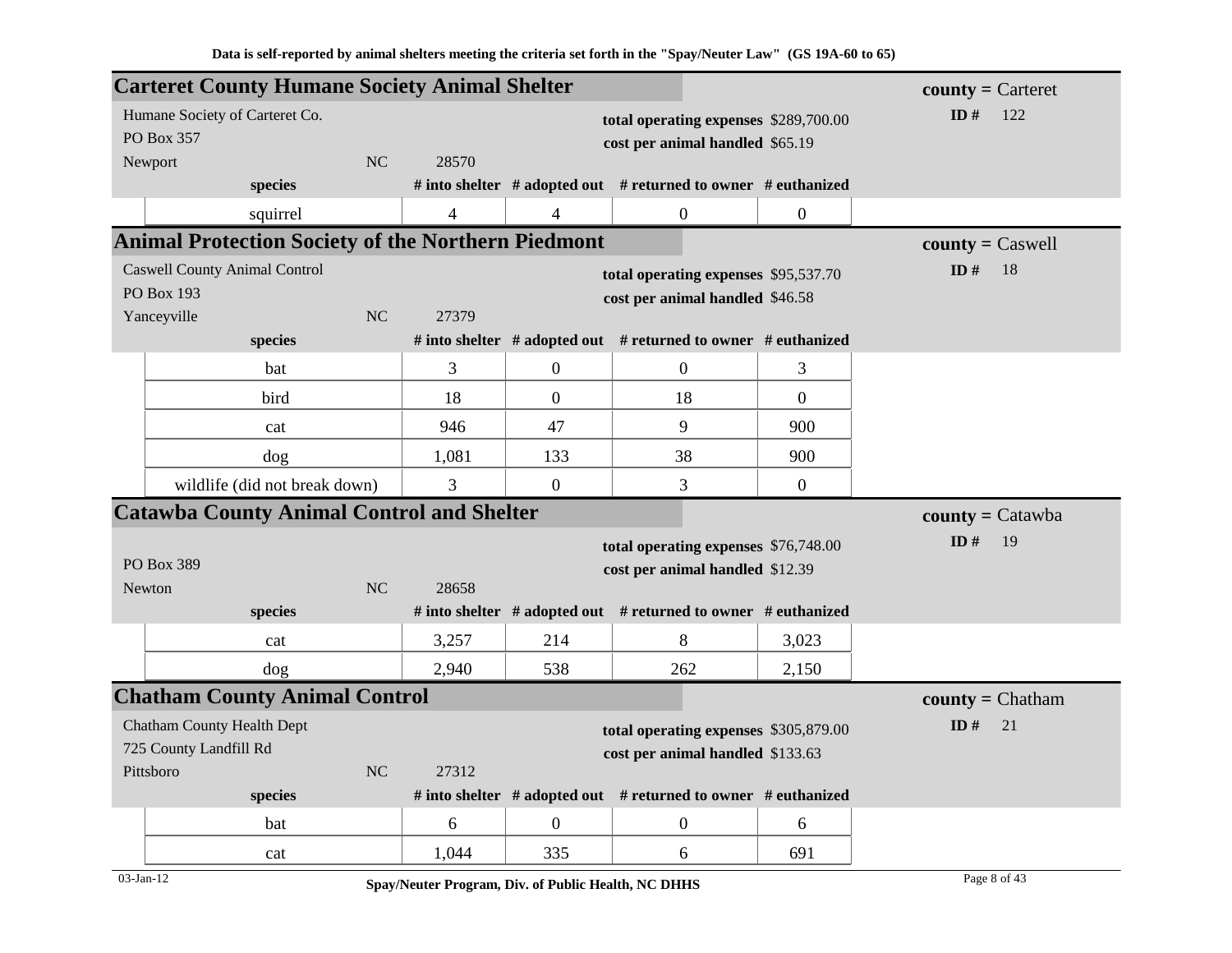|                                      |                                      |           | <b>Carteret County Humane Society Animal Shelter</b>      |                  |                                                               |                | $county =$ Carteret              |
|--------------------------------------|--------------------------------------|-----------|-----------------------------------------------------------|------------------|---------------------------------------------------------------|----------------|----------------------------------|
| Humane Society of Carteret Co.       |                                      |           |                                                           |                  | total operating expenses \$289,700.00                         |                | ID#<br>122                       |
| PO Box 357                           |                                      |           |                                                           |                  | cost per animal handled \$65.19                               |                |                                  |
| Newport                              |                                      | NC        | 28570                                                     |                  |                                                               |                |                                  |
|                                      | species                              |           |                                                           |                  | # into shelter # adopted out # returned to owner # euthanized |                |                                  |
|                                      | squirrel                             |           | $\overline{4}$                                            | 4                | $\mathbf{0}$                                                  | $\overline{0}$ |                                  |
|                                      |                                      |           | <b>Animal Protection Society of the Northern Piedmont</b> |                  |                                                               |                | $county = C$ aswell              |
| <b>Caswell County Animal Control</b> |                                      |           |                                                           |                  | total operating expenses \$95,537.70                          |                | ID#<br>18                        |
| PO Box 193                           |                                      |           |                                                           |                  | cost per animal handled \$46.58                               |                |                                  |
| Yanceyville                          |                                      | <b>NC</b> | 27379                                                     |                  |                                                               |                |                                  |
|                                      | species                              |           |                                                           |                  | # into shelter # adopted out # returned to owner # euthanized |                |                                  |
|                                      | bat                                  |           | 3                                                         | $\boldsymbol{0}$ | $\overline{0}$                                                | 3              |                                  |
|                                      | bird                                 |           | 18                                                        | $\overline{0}$   | 18                                                            | $\overline{0}$ |                                  |
|                                      | cat                                  |           | 946                                                       | 47               | 9                                                             | 900            |                                  |
|                                      | dog                                  |           | 1,081                                                     | 133              | 38                                                            | 900            |                                  |
|                                      | wildlife (did not break down)        |           | 3                                                         | $\mathbf{0}$     | 3                                                             | $\mathbf{0}$   |                                  |
|                                      |                                      |           | <b>Catawba County Animal Control and Shelter</b>          |                  |                                                               |                | $\text{county} = \text{Catawba}$ |
|                                      |                                      |           |                                                           |                  | total operating expenses \$76,748.00                          |                | ID#<br>19                        |
| PO Box 389                           |                                      |           |                                                           |                  | cost per animal handled \$12.39                               |                |                                  |
| <b>Newton</b>                        |                                      | NC        | 28658                                                     |                  |                                                               |                |                                  |
|                                      | species                              |           |                                                           |                  | # into shelter # adopted out # returned to owner # euthanized |                |                                  |
|                                      | cat                                  |           | 3,257                                                     | 214              | 8                                                             | 3,023          |                                  |
|                                      | dog                                  |           | 2,940                                                     | 538              | 262                                                           | 2,150          |                                  |
|                                      | <b>Chatham County Animal Control</b> |           |                                                           |                  |                                                               |                | $county = Chatham$               |
| <b>Chatham County Health Dept</b>    |                                      |           |                                                           |                  | total operating expenses \$305,879.00                         |                | ID#<br>21                        |
| 725 County Landfill Rd               |                                      |           |                                                           |                  | cost per animal handled \$133.63                              |                |                                  |
| Pittsboro                            |                                      | NC        | 27312                                                     |                  |                                                               |                |                                  |
|                                      | species                              |           |                                                           |                  | # into shelter # adopted out # returned to owner # euthanized |                |                                  |
|                                      | bat                                  |           | 6                                                         | $\overline{0}$   | $\mathbf{0}$                                                  | 6              |                                  |
|                                      | cat                                  |           | 1,044                                                     | 335              | 6                                                             | 691            |                                  |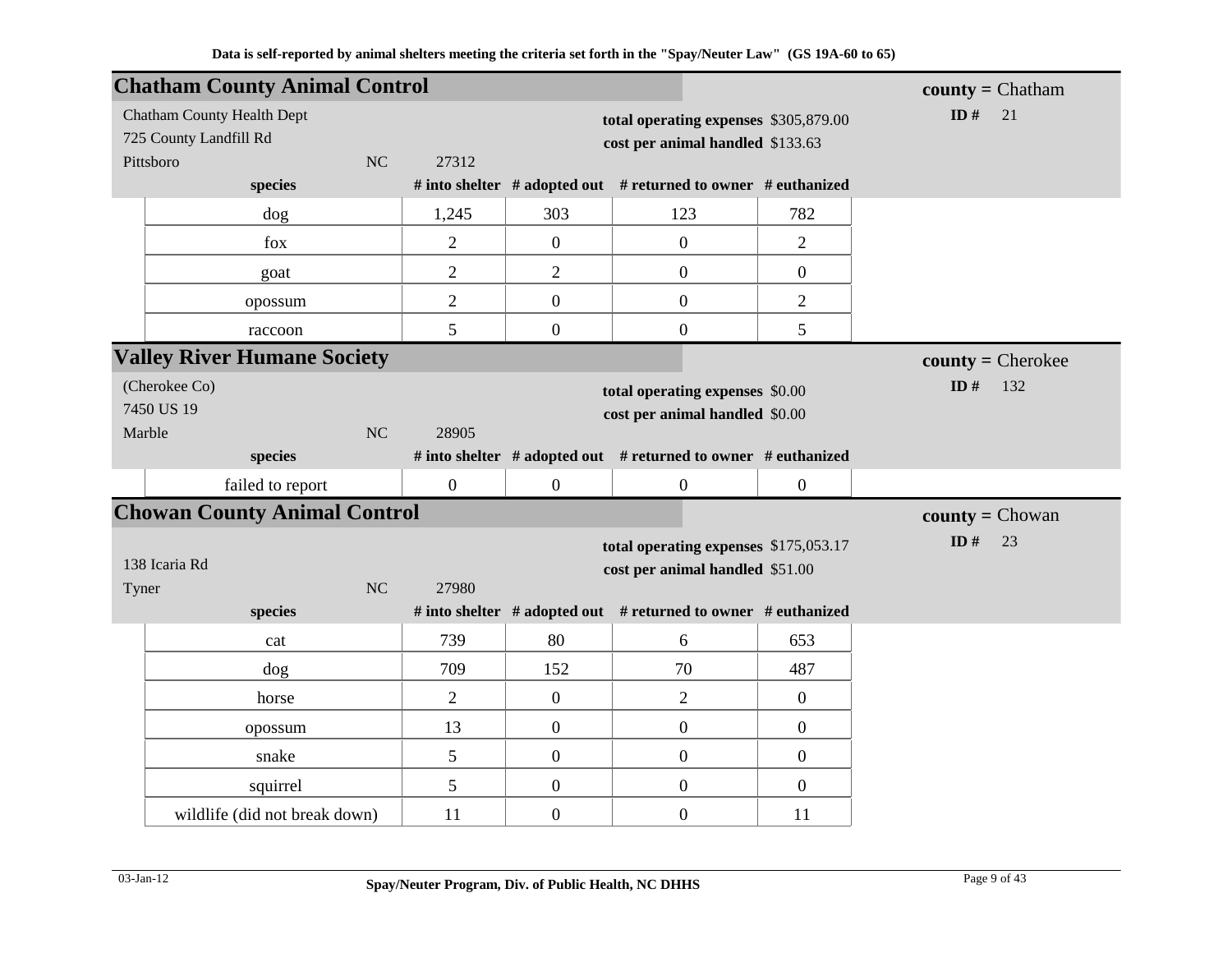|                        | <b>Chatham County Animal Control</b> |                |                |                  |                                                               |                  | $county = Chatham$                |
|------------------------|--------------------------------------|----------------|----------------|------------------|---------------------------------------------------------------|------------------|-----------------------------------|
|                        | <b>Chatham County Health Dept</b>    |                |                |                  | total operating expenses \$305,879.00                         |                  | ID $#$<br>21                      |
| 725 County Landfill Rd |                                      |                |                |                  | cost per animal handled \$133.63                              |                  |                                   |
| Pittsboro              |                                      | N <sub>C</sub> | 27312          |                  |                                                               |                  |                                   |
|                        | species                              |                |                |                  | # into shelter # adopted out # returned to owner # euthanized |                  |                                   |
|                        | dog                                  |                | 1,245          | 303              | 123                                                           | 782              |                                   |
|                        | fox                                  |                | $\overline{2}$ | $\overline{0}$   | $\boldsymbol{0}$                                              | $\overline{2}$   |                                   |
|                        | goat                                 |                | $\overline{2}$ | $\overline{2}$   | $\boldsymbol{0}$                                              | $\boldsymbol{0}$ |                                   |
|                        | opossum                              |                | $\overline{2}$ | $\mathbf{0}$     | $\boldsymbol{0}$                                              | $\overline{2}$   |                                   |
|                        | raccoon                              |                | 5              | $\mathbf{0}$     | $\boldsymbol{0}$                                              | 5                |                                   |
|                        | <b>Valley River Humane Society</b>   |                |                |                  |                                                               |                  | $\text{county} = \text{Cherokee}$ |
| (Cherokee Co)          |                                      |                |                |                  | total operating expenses \$0.00                               |                  | ID#<br>132                        |
| 7450 US 19             |                                      |                |                |                  | cost per animal handled \$0.00                                |                  |                                   |
| Marble                 |                                      | NC             | 28905          |                  |                                                               |                  |                                   |
|                        | species                              |                |                |                  | # into shelter # adopted out # returned to owner # euthanized |                  |                                   |
|                        | failed to report                     |                | $\overline{0}$ | $\mathbf{0}$     | $\overline{0}$                                                | $\boldsymbol{0}$ |                                   |
|                        | <b>Chowan County Animal Control</b>  |                |                |                  |                                                               |                  | <b>county</b> = $Chowan$          |
|                        |                                      |                |                |                  | total operating expenses \$175,053.17                         |                  | ID $#$<br>23                      |
| 138 Icaria Rd          |                                      |                |                |                  | cost per animal handled \$51.00                               |                  |                                   |
| Tyner                  |                                      | NC             | 27980          |                  |                                                               |                  |                                   |
|                        | species                              |                |                |                  | # into shelter # adopted out # returned to owner # euthanized |                  |                                   |
|                        | cat                                  |                | 739            | 80               | 6                                                             | 653              |                                   |
|                        | dog                                  |                | 709            | 152              | 70                                                            | 487              |                                   |
|                        | horse                                |                | $\overline{2}$ | $\boldsymbol{0}$ | $\overline{2}$                                                | $\boldsymbol{0}$ |                                   |
|                        | opossum                              |                | 13             | $\mathbf{0}$     | $\boldsymbol{0}$                                              | $\boldsymbol{0}$ |                                   |
|                        | snake                                |                | 5              | $\overline{0}$   | $\boldsymbol{0}$                                              | $\boldsymbol{0}$ |                                   |
|                        | squirrel                             |                | 5              | $\overline{0}$   | $\boldsymbol{0}$                                              | $\boldsymbol{0}$ |                                   |
|                        | wildlife (did not break down)        |                | 11             | $\overline{0}$   | $\boldsymbol{0}$                                              | 11               |                                   |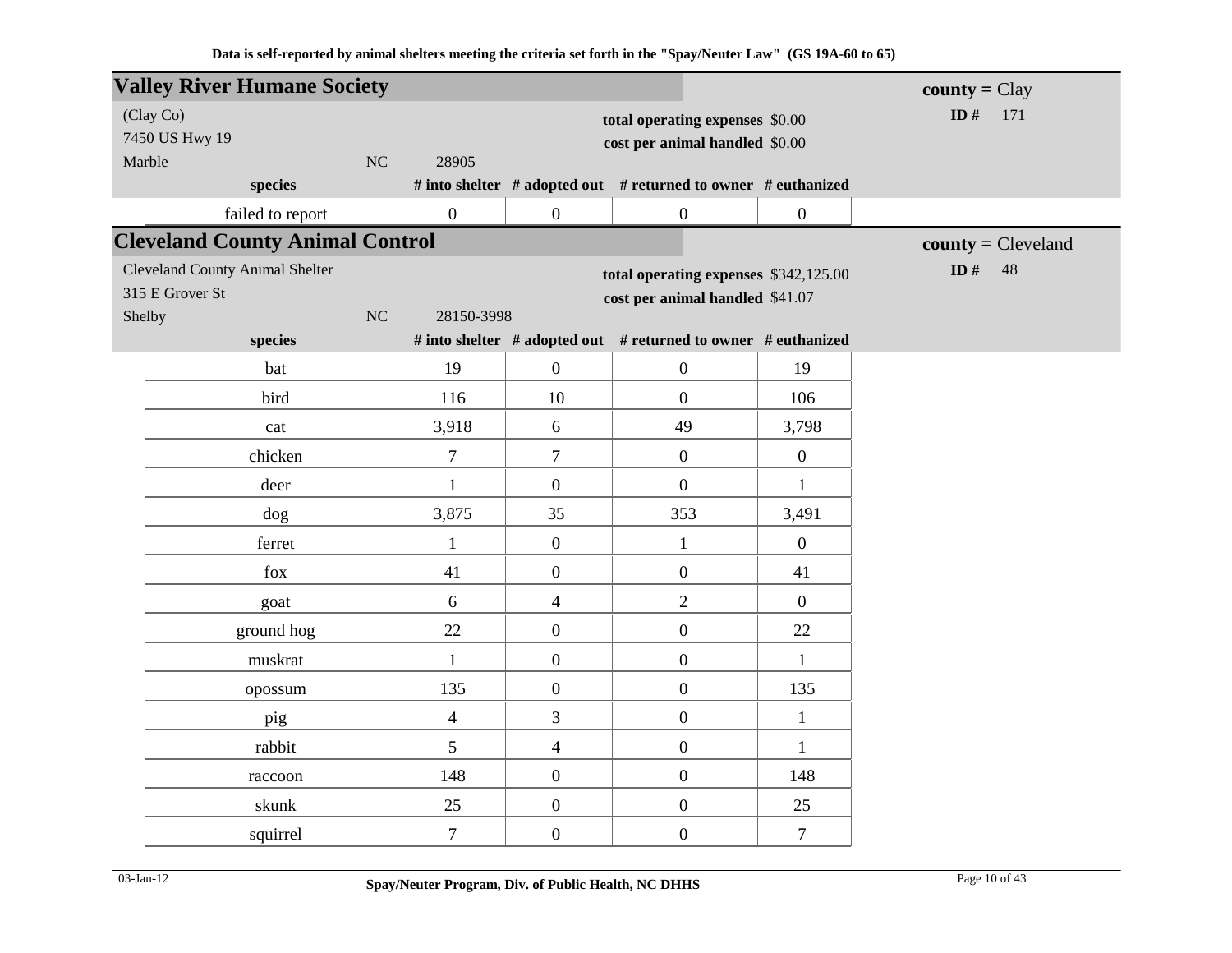|        | <b>Valley River Humane Society</b>     |                  |                                |                                                               |                  | $\text{county} = \text{Clay}$ |
|--------|----------------------------------------|------------------|--------------------------------|---------------------------------------------------------------|------------------|-------------------------------|
|        | (Clay Co)                              |                  |                                | total operating expenses \$0.00                               |                  | ID $#$<br>171                 |
|        | 7450 US Hwy 19                         |                  | cost per animal handled \$0.00 |                                                               |                  |                               |
| Marble | NC                                     | 28905            |                                |                                                               |                  |                               |
|        | species                                |                  |                                | # into shelter # adopted out # returned to owner # euthanized |                  |                               |
|        | failed to report                       | $\boldsymbol{0}$ | $\boldsymbol{0}$               | $\boldsymbol{0}$                                              | $\boldsymbol{0}$ |                               |
|        | <b>Cleveland County Animal Control</b> |                  |                                |                                                               |                  | $county = Cleveland$          |
|        | <b>Cleveland County Animal Shelter</b> |                  |                                | total operating expenses \$342,125.00                         |                  | ID $#$<br>48                  |
|        | 315 E Grover St                        |                  |                                | cost per animal handled \$41.07                               |                  |                               |
| Shelby | NC                                     | 28150-3998       |                                |                                                               |                  |                               |
|        | species                                |                  |                                | # into shelter # adopted out # returned to owner # euthanized |                  |                               |
|        | bat                                    | 19               | $\boldsymbol{0}$               | $\boldsymbol{0}$                                              | 19               |                               |
|        | bird                                   | 116              | 10                             | $\overline{0}$                                                | 106              |                               |
|        | cat                                    | 3,918            | 6                              | 49                                                            | 3,798            |                               |
|        | chicken                                | $\overline{7}$   | $\overline{7}$                 | $\mathbf{0}$                                                  | $\overline{0}$   |                               |
|        | deer                                   | $\mathbf{1}$     | $\boldsymbol{0}$               | $\overline{0}$                                                | $\mathbf{1}$     |                               |
|        | dog                                    | 3,875            | 35                             | 353                                                           | 3,491            |                               |
|        | ferret                                 | $\mathbf{1}$     | $\mathbf{0}$                   | $\mathbf{1}$                                                  | $\overline{0}$   |                               |
|        | fox                                    | 41               | $\boldsymbol{0}$               | $\mathbf{0}$                                                  | 41               |                               |
|        | goat                                   | 6                | $\overline{4}$                 | $\overline{2}$                                                | $\overline{0}$   |                               |
|        | ground hog                             | 22               | $\boldsymbol{0}$               | $\boldsymbol{0}$                                              | 22               |                               |
|        | muskrat                                | $\mathbf{1}$     | $\boldsymbol{0}$               | $\boldsymbol{0}$                                              | $\mathbf{1}$     |                               |
|        | opossum                                | 135              | $\boldsymbol{0}$               | $\boldsymbol{0}$                                              | 135              |                               |
|        | pig                                    | $\overline{4}$   | 3                              | $\boldsymbol{0}$                                              | $\mathbf{1}$     |                               |
|        | rabbit                                 | 5                | $\overline{4}$                 | $\boldsymbol{0}$                                              | $\mathbf{1}$     |                               |
|        | raccoon                                | 148              | $\mathbf{0}$                   | $\overline{0}$                                                | 148              |                               |
|        | skunk                                  | 25               | $\boldsymbol{0}$               | $\boldsymbol{0}$                                              | 25               |                               |
|        | squirrel                               | $\tau$           | $\boldsymbol{0}$               | $\boldsymbol{0}$                                              | $\tau$           |                               |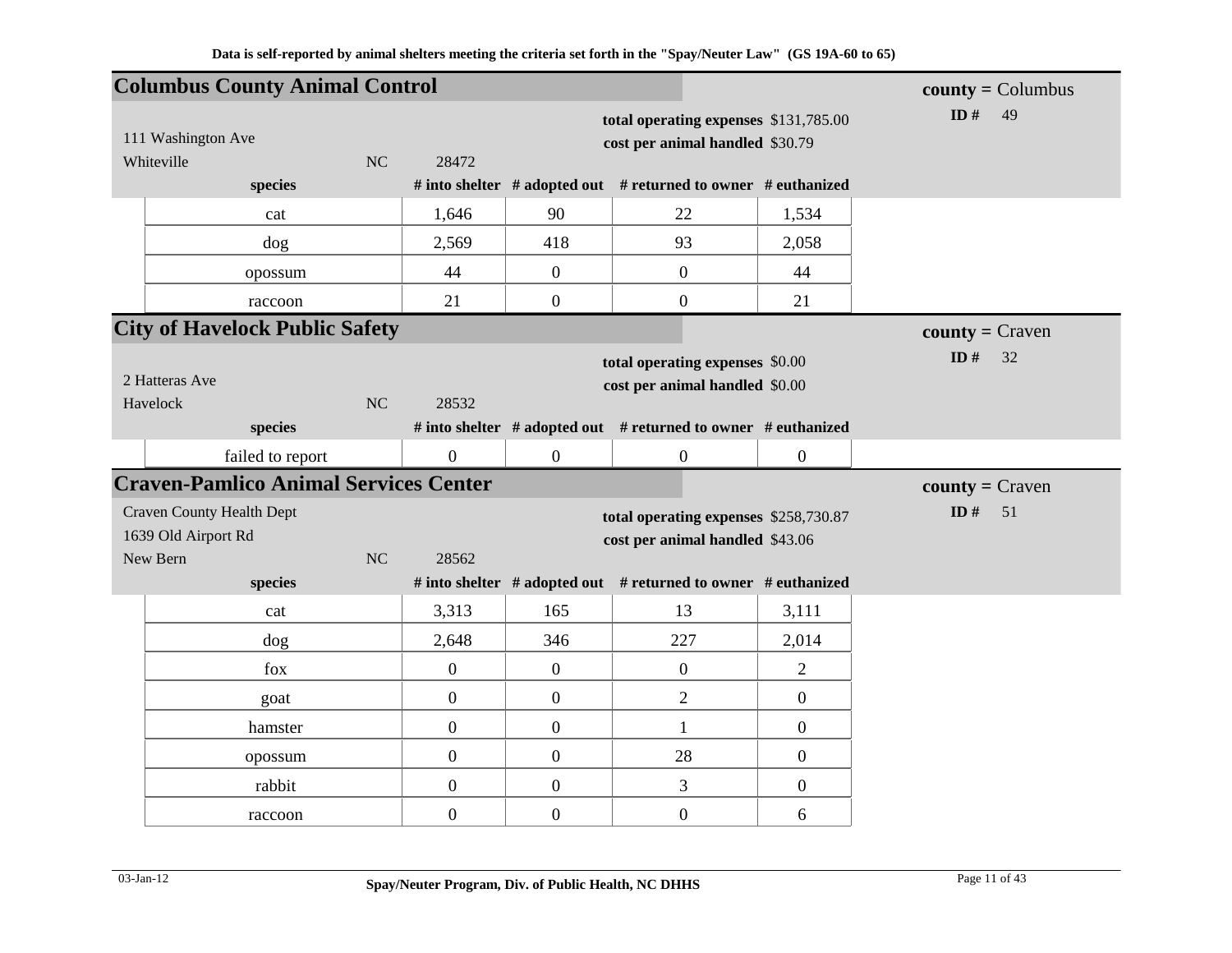|            | <b>Columbus County Animal Control</b>                   |    |                  |                                                                          |                                                                          |                  | $county = Columnbus$ |
|------------|---------------------------------------------------------|----|------------------|--------------------------------------------------------------------------|--------------------------------------------------------------------------|------------------|----------------------|
|            | 111 Washington Ave                                      |    |                  | total operating expenses \$131,785.00<br>cost per animal handled \$30.79 | ID $#$<br>49                                                             |                  |                      |
| Whiteville |                                                         | NC | 28472            |                                                                          |                                                                          |                  |                      |
|            | species                                                 |    |                  |                                                                          | # into shelter # adopted out # returned to owner # euthanized            |                  |                      |
|            | cat                                                     |    | 1,646            | 90                                                                       | 22                                                                       | 1,534            |                      |
|            | dog                                                     |    | 2,569            | 418                                                                      | 93                                                                       | 2,058            |                      |
|            | opossum                                                 |    | 44               | $\mathbf{0}$                                                             | $\mathbf{0}$                                                             | 44               |                      |
|            | raccoon                                                 |    | 21               | $\mathbf{0}$                                                             | $\overline{0}$                                                           | 21               |                      |
|            | <b>City of Havelock Public Safety</b>                   |    |                  |                                                                          |                                                                          |                  | $county = Craven$    |
| Havelock   | 2 Hatteras Ave                                          | NC | 28532            |                                                                          | total operating expenses \$0.00<br>cost per animal handled \$0.00        |                  | ID $#$<br>32         |
|            | species                                                 |    |                  |                                                                          | # into shelter # adopted out # returned to owner # euthanized            |                  |                      |
|            | failed to report                                        |    | $\boldsymbol{0}$ | $\mathbf{0}$                                                             | $\boldsymbol{0}$                                                         | $\boldsymbol{0}$ |                      |
|            | <b>Craven-Pamlico Animal Services Center</b>            |    |                  |                                                                          |                                                                          |                  | $county = Craven$    |
|            | <b>Craven County Health Dept</b><br>1639 Old Airport Rd |    |                  |                                                                          | total operating expenses \$258,730.87<br>cost per animal handled \$43.06 |                  | ID $#$<br>51         |
| New Bern   | species                                                 | NC | 28562            |                                                                          | # into shelter # adopted out # returned to owner # euthanized            |                  |                      |
|            | cat                                                     |    | 3,313            | 165                                                                      | 13                                                                       | 3,111            |                      |
|            | dog                                                     |    | 2,648            | 346                                                                      | 227                                                                      | 2,014            |                      |
|            |                                                         |    |                  |                                                                          |                                                                          |                  |                      |
|            | fox                                                     |    | $\boldsymbol{0}$ | $\boldsymbol{0}$                                                         | $\boldsymbol{0}$                                                         | $\overline{2}$   |                      |
|            | goat                                                    |    | $\boldsymbol{0}$ | $\boldsymbol{0}$                                                         | $\mathbf{2}$                                                             | $\boldsymbol{0}$ |                      |
|            | hamster                                                 |    | $\boldsymbol{0}$ | $\boldsymbol{0}$                                                         | $\mathbf{1}$                                                             | $\boldsymbol{0}$ |                      |
|            | opossum                                                 |    | $\boldsymbol{0}$ | $\mathbf{0}$                                                             | 28                                                                       | $\boldsymbol{0}$ |                      |
|            | rabbit                                                  |    | $\boldsymbol{0}$ | $\boldsymbol{0}$                                                         | $\mathfrak{Z}$                                                           | $\boldsymbol{0}$ |                      |
|            | raccoon                                                 |    | $\boldsymbol{0}$ | $\boldsymbol{0}$                                                         | $\boldsymbol{0}$                                                         | 6                |                      |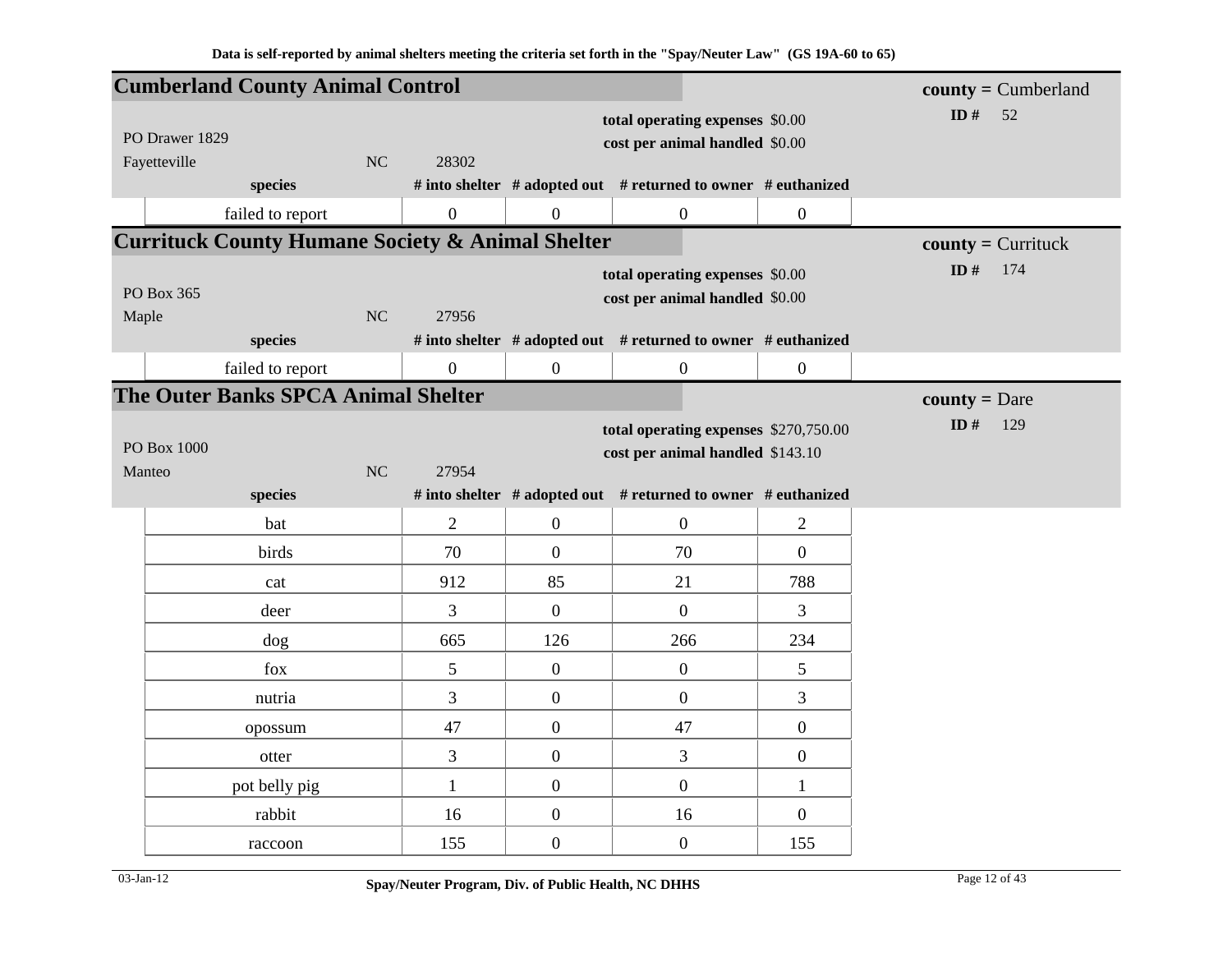|                | <b>Cumberland County Animal Control</b>                     |           |                  |                  |                                                               |                  | $county = Cumberland$ |
|----------------|-------------------------------------------------------------|-----------|------------------|------------------|---------------------------------------------------------------|------------------|-----------------------|
|                |                                                             |           |                  |                  | total operating expenses \$0.00                               |                  | ID $#$<br>52          |
| PO Drawer 1829 |                                                             |           |                  |                  | cost per animal handled \$0.00                                |                  |                       |
| Fayetteville   |                                                             | NC        | 28302            |                  |                                                               |                  |                       |
|                | species                                                     |           |                  |                  | # into shelter # adopted out # returned to owner # euthanized |                  |                       |
|                | failed to report                                            |           | $\boldsymbol{0}$ | $\overline{0}$   | $\boldsymbol{0}$                                              | $\boldsymbol{0}$ |                       |
|                | <b>Currituck County Humane Society &amp; Animal Shelter</b> |           |                  |                  |                                                               |                  | $county =$ Currituck  |
|                |                                                             |           |                  |                  | total operating expenses \$0.00                               |                  | ID $#$<br>174         |
| PO Box 365     |                                                             |           |                  |                  | cost per animal handled \$0.00                                |                  |                       |
| Maple          |                                                             | NC        | 27956            |                  |                                                               |                  |                       |
|                | species                                                     |           |                  |                  | # into shelter # adopted out # returned to owner # euthanized |                  |                       |
|                | failed to report                                            |           | $\boldsymbol{0}$ | $\overline{0}$   | $\boldsymbol{0}$                                              | $\overline{0}$   |                       |
|                | The Outer Banks SPCA Animal Shelter                         |           |                  |                  |                                                               |                  | <b>county</b> = Dare  |
|                |                                                             |           |                  |                  | total operating expenses \$270,750.00                         |                  | ID $#$<br>129         |
| PO Box 1000    |                                                             |           |                  |                  | cost per animal handled \$143.10                              |                  |                       |
| Manteo         |                                                             | <b>NC</b> | 27954            |                  |                                                               |                  |                       |
|                | species                                                     |           |                  |                  | # into shelter # adopted out # returned to owner # euthanized |                  |                       |
|                | bat                                                         |           | $\overline{2}$   | $\overline{0}$   | $\boldsymbol{0}$                                              | $\overline{2}$   |                       |
|                | birds                                                       |           | 70               | $\overline{0}$   | 70                                                            | $\overline{0}$   |                       |
|                | cat                                                         |           | 912              | 85               | 21                                                            | 788              |                       |
|                | deer                                                        |           | $\overline{3}$   | $\overline{0}$   | $\boldsymbol{0}$                                              | 3                |                       |
|                | dog                                                         |           | 665              | 126              | 266                                                           | 234              |                       |
|                | fox                                                         |           | 5                | $\overline{0}$   | $\boldsymbol{0}$                                              | 5                |                       |
|                | nutria                                                      |           | 3                | $\overline{0}$   | $\boldsymbol{0}$                                              | 3                |                       |
|                | opossum                                                     |           | 47               | $\boldsymbol{0}$ | 47                                                            | $\boldsymbol{0}$ |                       |
|                | otter                                                       |           | 3                | $\overline{0}$   | 3                                                             | $\boldsymbol{0}$ |                       |
|                | pot belly pig                                               |           | $\mathbf{1}$     | $\boldsymbol{0}$ | $\boldsymbol{0}$                                              | $\mathbf{1}$     |                       |
|                | rabbit                                                      |           | 16               | $\boldsymbol{0}$ | 16                                                            | $\overline{0}$   |                       |
|                | raccoon                                                     |           | 155              | $\overline{0}$   | $\boldsymbol{0}$                                              | 155              |                       |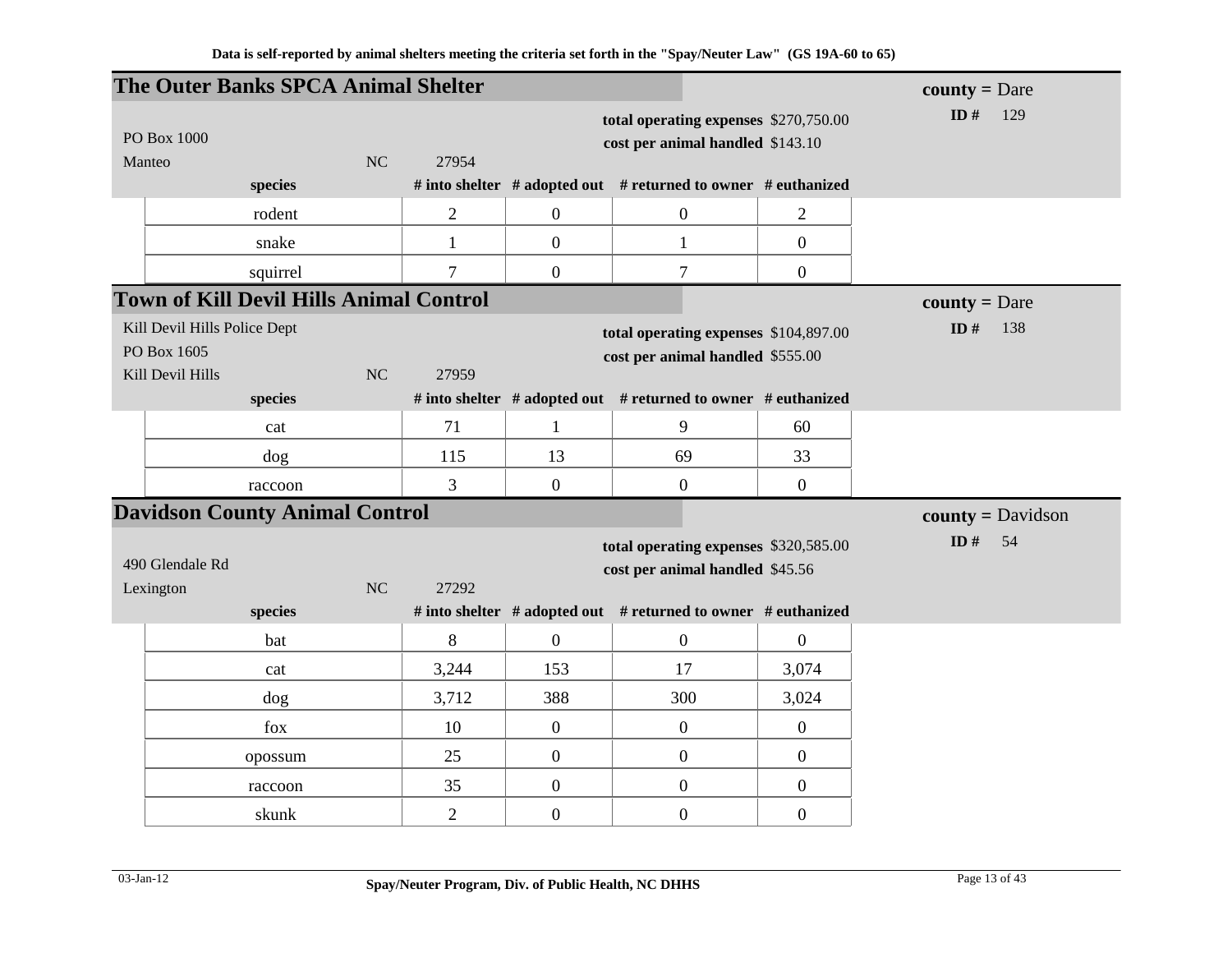|           | The Outer Banks SPCA Animal Shelter            |    |                |                |                                                               |                  | <b>county</b> = Dare       |
|-----------|------------------------------------------------|----|----------------|----------------|---------------------------------------------------------------|------------------|----------------------------|
|           |                                                |    |                |                | total operating expenses \$270,750.00                         |                  | ID#<br>129                 |
|           | PO Box 1000                                    |    |                |                | cost per animal handled \$143.10                              |                  |                            |
| Manteo    |                                                | NC | 27954          |                |                                                               |                  |                            |
|           | species                                        |    |                |                | # into shelter # adopted out # returned to owner # euthanized |                  |                            |
|           | rodent                                         |    | $\overline{2}$ | $\overline{0}$ | $\boldsymbol{0}$                                              | $\overline{2}$   |                            |
|           | snake                                          |    | $\mathbf{1}$   | $\overline{0}$ | $\mathbf{1}$                                                  | $\overline{0}$   |                            |
|           | squirrel                                       |    | $\overline{7}$ | $\overline{0}$ | $\tau$                                                        | $\overline{0}$   |                            |
|           | <b>Town of Kill Devil Hills Animal Control</b> |    |                |                |                                                               |                  | <b>county</b> = Dare       |
|           | Kill Devil Hills Police Dept                   |    |                |                | total operating expenses \$104,897.00                         |                  | ID $#$<br>138              |
|           | PO Box 1605                                    |    |                |                | cost per animal handled \$555.00                              |                  |                            |
|           | Kill Devil Hills                               | NC | 27959          |                |                                                               |                  |                            |
|           | species                                        |    |                |                | # into shelter # adopted out # returned to owner # euthanized |                  |                            |
|           | cat                                            |    | 71             | $\mathbf{1}$   | 9                                                             | 60               |                            |
|           | dog                                            |    | 115            | 13             | 69                                                            | 33               |                            |
|           | raccoon                                        |    | 3              | $\mathbf{0}$   | $\overline{0}$                                                | $\overline{0}$   |                            |
|           | <b>Davidson County Animal Control</b>          |    |                |                |                                                               |                  | $county = \text{Davidson}$ |
|           |                                                |    |                |                | total operating expenses \$320,585.00                         |                  | ID $#$<br>54               |
|           | 490 Glendale Rd                                |    |                |                | cost per animal handled \$45.56                               |                  |                            |
| Lexington |                                                | NC | 27292          |                |                                                               |                  |                            |
|           | species                                        |    |                |                | # into shelter # adopted out # returned to owner # euthanized |                  |                            |
|           | bat                                            |    | 8              | $\mathbf{0}$   | $\mathbf{0}$                                                  | $\overline{0}$   |                            |
|           | cat                                            |    | 3,244          | 153            | 17                                                            | 3,074            |                            |
|           | dog                                            |    | 3,712          | 388            | 300                                                           | 3,024            |                            |
|           | ${\rm fox}$                                    |    | 10             | $\mathbf{0}$   | $\mathbf{0}$                                                  | $\overline{0}$   |                            |
|           | opossum                                        |    | 25             | $\overline{0}$ | $\boldsymbol{0}$                                              | $\overline{0}$   |                            |
|           | raccoon                                        |    | 35             | $\mathbf{0}$   | $\mathbf{0}$                                                  | $\boldsymbol{0}$ |                            |
|           | skunk                                          |    | $\overline{2}$ | $\overline{0}$ | $\overline{0}$                                                | $\overline{0}$   |                            |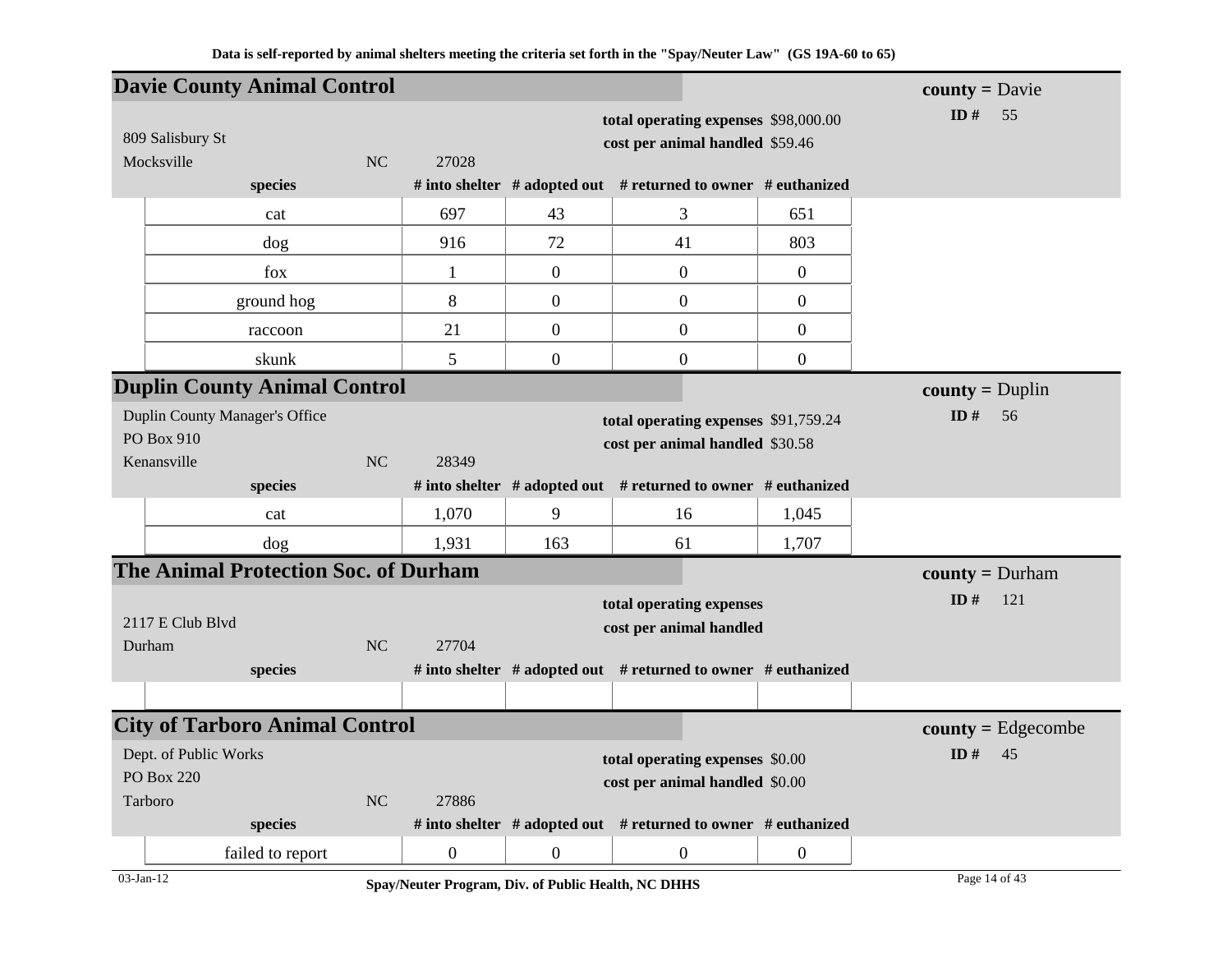|                            | <b>Davie County Animal Control</b>          |           |                  |                  |                                                                         |                  | $county = \text{David}$  |
|----------------------------|---------------------------------------------|-----------|------------------|------------------|-------------------------------------------------------------------------|------------------|--------------------------|
| 809 Salisbury St           |                                             |           |                  |                  | total operating expenses \$98,000.00<br>cost per animal handled \$59.46 |                  | ID $#$<br>55             |
| Mocksville                 |                                             | NC        | 27028            |                  |                                                                         |                  |                          |
|                            | species                                     |           |                  |                  | # into shelter # adopted out # returned to owner # euthanized           |                  |                          |
|                            | cat                                         |           | 697              | 43               | 3                                                                       | 651              |                          |
|                            | dog                                         |           | 916              | 72               | 41                                                                      | 803              |                          |
|                            | fox                                         |           | 1                | $\boldsymbol{0}$ | $\mathbf{0}$                                                            | $\overline{0}$   |                          |
|                            | ground hog                                  |           | 8                | $\boldsymbol{0}$ | $\boldsymbol{0}$                                                        | $\boldsymbol{0}$ |                          |
|                            | raccoon                                     |           | 21               | $\boldsymbol{0}$ | $\overline{0}$                                                          | $\boldsymbol{0}$ |                          |
|                            | skunk                                       |           | 5                | $\boldsymbol{0}$ | $\overline{0}$                                                          | $\mathbf{0}$     |                          |
|                            | <b>Duplin County Animal Control</b>         |           |                  |                  |                                                                         |                  | $county = Duplin$        |
| PO Box 910<br>Kenansville  | Duplin County Manager's Office              | NC        | 28349            |                  | total operating expenses \$91,759.24<br>cost per animal handled \$30.58 |                  | ID#<br>56                |
|                            | species                                     |           |                  |                  | # into shelter # adopted out # returned to owner # euthanized           |                  |                          |
|                            | cat                                         |           | 1,070            | 9                | 16                                                                      | 1,045            |                          |
|                            | dog                                         |           | 1,931            | 163              | 61                                                                      | 1,707            |                          |
|                            | <b>The Animal Protection Soc. of Durham</b> |           |                  |                  |                                                                         |                  | <b>county</b> = $Durham$ |
| 2117 E Club Blvd<br>Durham |                                             | NC        | 27704            |                  | total operating expenses<br>cost per animal handled                     |                  | ID#<br>121               |
|                            | species                                     |           |                  |                  | # into shelter # adopted out # returned to owner # euthanized           |                  |                          |
|                            |                                             |           |                  |                  |                                                                         |                  |                          |
|                            | <b>City of Tarboro Animal Control</b>       |           |                  |                  |                                                                         |                  | $county = Edgecombe$     |
| Dept. of Public Works      |                                             |           |                  |                  | total operating expenses \$0.00                                         |                  | ID $#$<br>45             |
| <b>PO Box 220</b>          |                                             |           |                  |                  | cost per animal handled \$0.00                                          |                  |                          |
| Tarboro                    |                                             | <b>NC</b> | 27886            |                  |                                                                         |                  |                          |
|                            | species                                     |           |                  |                  | # into shelter $#$ adopted out $#$ returned to owner $#$ euthanized     |                  |                          |
|                            | failed to report                            |           | $\boldsymbol{0}$ | $\mathbf{0}$     | $\boldsymbol{0}$                                                        | $\overline{0}$   |                          |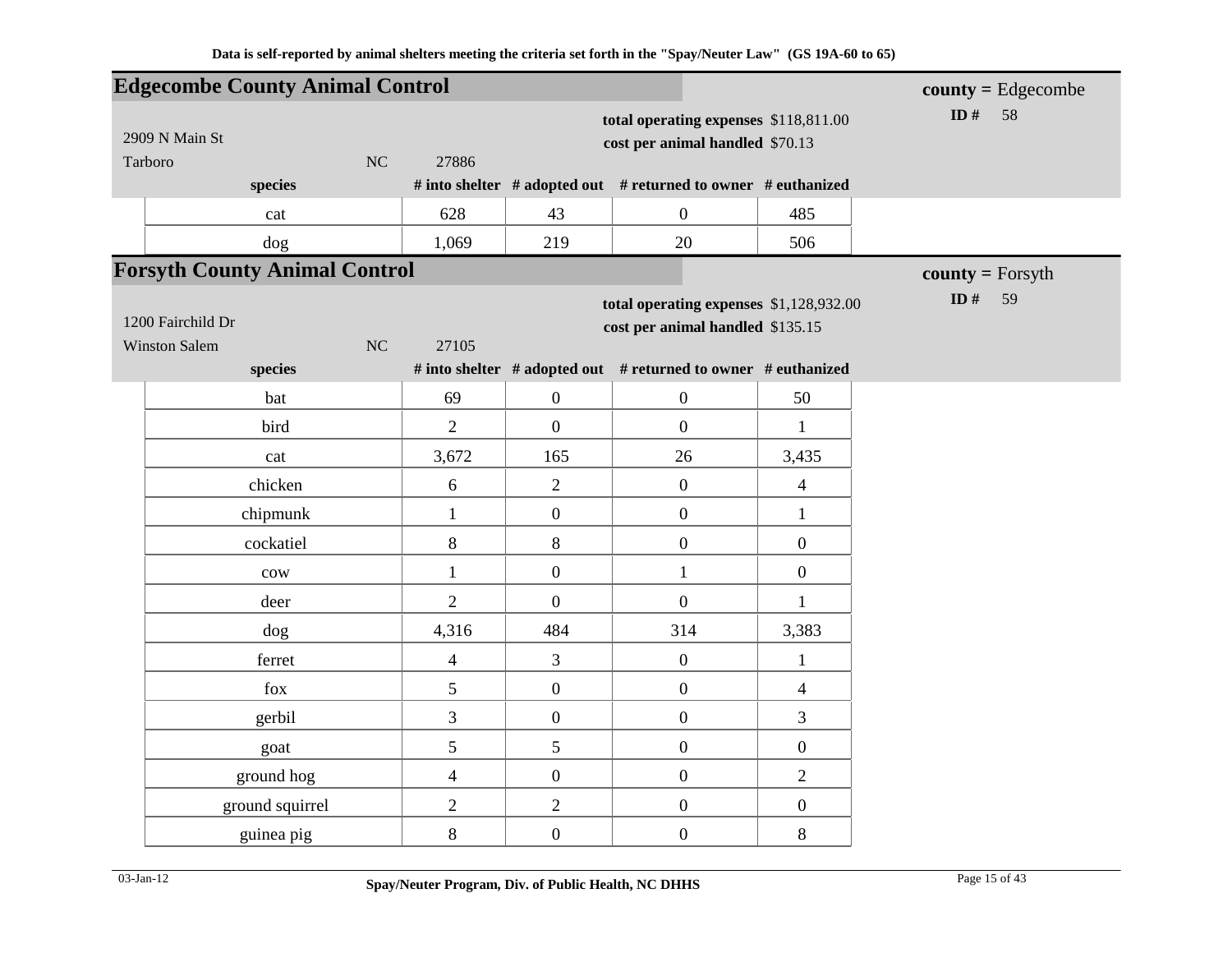|                      | <b>Edgecombe County Animal Control</b> |                          |                  |                                                               |                         | $county = Edgecombe$ |
|----------------------|----------------------------------------|--------------------------|------------------|---------------------------------------------------------------|-------------------------|----------------------|
|                      |                                        |                          |                  | total operating expenses \$118,811.00                         |                         | ID $#$<br>58         |
| 2909 N Main St       |                                        |                          |                  | cost per animal handled \$70.13                               |                         |                      |
| Tarboro              | NC                                     | 27886                    |                  |                                                               |                         |                      |
|                      | species                                |                          |                  | # into shelter # adopted out # returned to owner # euthanized |                         |                      |
|                      | cat                                    | 628                      | 43               | $\boldsymbol{0}$                                              | 485                     |                      |
|                      | dog                                    | 1,069                    | 219              | 20                                                            | 506                     |                      |
|                      | <b>Forsyth County Animal Control</b>   |                          |                  |                                                               |                         | $county = Forsyth$   |
|                      |                                        |                          |                  | total operating expenses \$1,128,932.00                       |                         | ID $#$<br>59         |
| 1200 Fairchild Dr    |                                        |                          |                  | cost per animal handled \$135.15                              |                         |                      |
| <b>Winston Salem</b> | NC                                     | 27105                    |                  |                                                               |                         |                      |
|                      | species                                |                          |                  | # into shelter # adopted out # returned to owner # euthanized |                         |                      |
|                      | bat                                    | 69                       | $\boldsymbol{0}$ | $\boldsymbol{0}$                                              | 50                      |                      |
|                      | bird                                   | $\overline{2}$           | $\overline{0}$   | $\mathbf{0}$                                                  | $\mathbf{1}$            |                      |
|                      | cat                                    | 3,672                    | 165              | 26                                                            | 3,435                   |                      |
|                      | chicken                                | 6                        | $\overline{2}$   | $\boldsymbol{0}$                                              | $\overline{\mathbf{4}}$ |                      |
|                      | chipmunk                               | $\mathbf{1}$             | $\boldsymbol{0}$ | $\boldsymbol{0}$                                              | $\mathbf{1}$            |                      |
|                      | cockatiel                              | $8\,$                    | $8\,$            | $\boldsymbol{0}$                                              | $\boldsymbol{0}$        |                      |
|                      | $_{\text{cow}}$                        | $\mathbf{1}$             | $\boldsymbol{0}$ | $\mathbf{1}$                                                  | $\boldsymbol{0}$        |                      |
|                      | deer                                   | $\overline{2}$           | $\overline{0}$   | $\mathbf{0}$                                                  | $\mathbf{1}$            |                      |
|                      | dog                                    | 4,316                    | 484              | 314                                                           | 3,383                   |                      |
|                      | ferret                                 | $\overline{\mathcal{L}}$ | 3                | $\boldsymbol{0}$                                              | $\mathbf{1}$            |                      |
|                      | fox                                    | 5                        | $\boldsymbol{0}$ | $\boldsymbol{0}$                                              | 4                       |                      |
|                      | gerbil                                 | 3                        | $\boldsymbol{0}$ | $\boldsymbol{0}$                                              | 3                       |                      |
|                      | goat                                   | 5                        | 5                | $\boldsymbol{0}$                                              | $\boldsymbol{0}$        |                      |
|                      | ground hog                             | $\overline{\mathcal{L}}$ | $\boldsymbol{0}$ | $\boldsymbol{0}$                                              | $\overline{2}$          |                      |
|                      | ground squirrel                        | $\overline{2}$           | $\overline{2}$   | $\boldsymbol{0}$                                              | $\boldsymbol{0}$        |                      |
|                      | guinea pig                             | 8                        | $\boldsymbol{0}$ | $\boldsymbol{0}$                                              | 8                       |                      |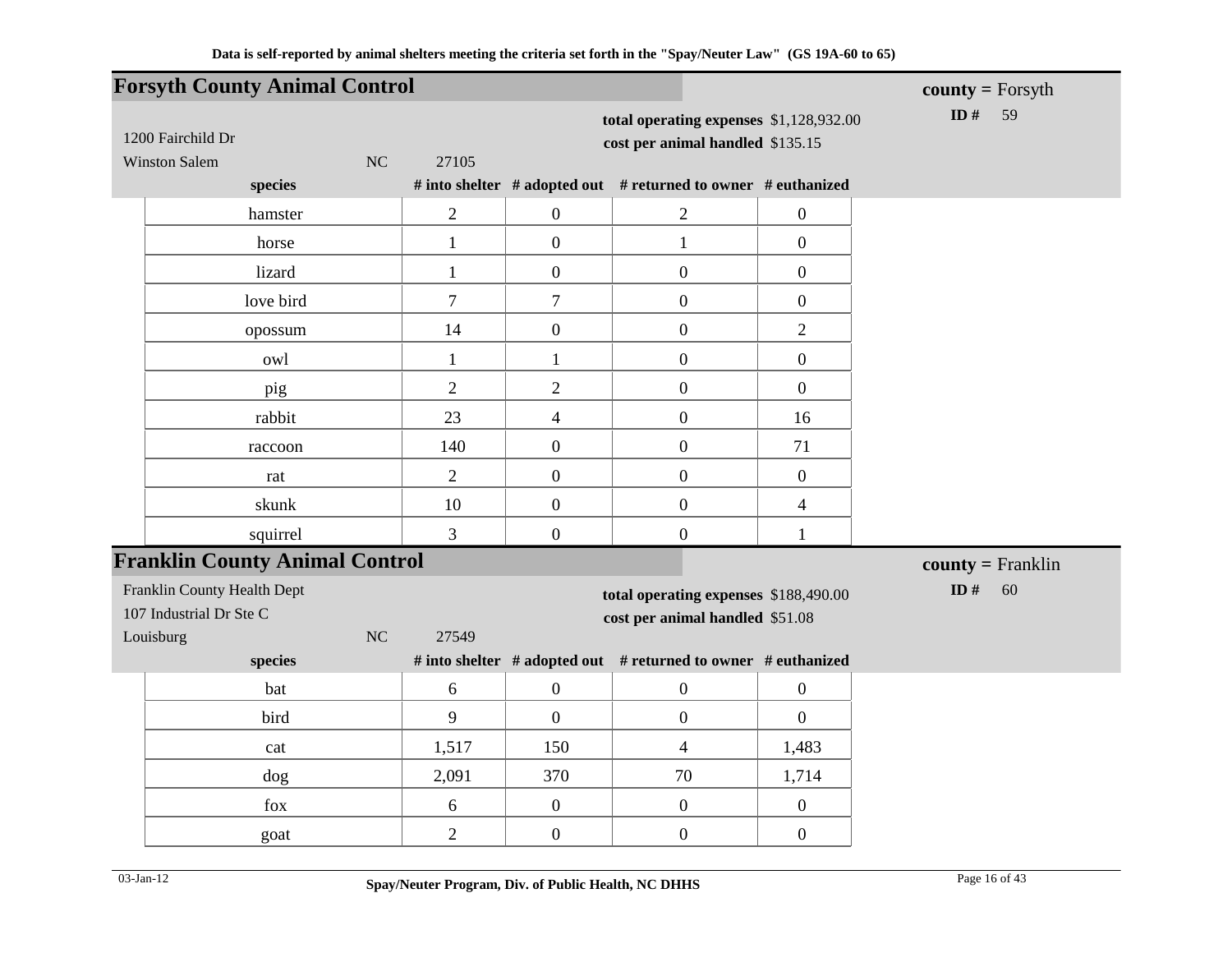|                |                                                                                                                                           |                                                                                        |                                                                                                    | $county = Forsyth$                                                                                                                                                                                                                                                                                                                                                                          |
|----------------|-------------------------------------------------------------------------------------------------------------------------------------------|----------------------------------------------------------------------------------------|----------------------------------------------------------------------------------------------------|---------------------------------------------------------------------------------------------------------------------------------------------------------------------------------------------------------------------------------------------------------------------------------------------------------------------------------------------------------------------------------------------|
| 27105          |                                                                                                                                           |                                                                                        |                                                                                                    | ID $#$<br>59                                                                                                                                                                                                                                                                                                                                                                                |
|                |                                                                                                                                           |                                                                                        |                                                                                                    |                                                                                                                                                                                                                                                                                                                                                                                             |
| $\overline{2}$ | $\boldsymbol{0}$                                                                                                                          | $\mathbf{2}$                                                                           | $\boldsymbol{0}$                                                                                   |                                                                                                                                                                                                                                                                                                                                                                                             |
| $\mathbf{1}$   | $\overline{0}$                                                                                                                            | $\mathbf{1}$                                                                           | $\overline{0}$                                                                                     |                                                                                                                                                                                                                                                                                                                                                                                             |
| $\mathbf{1}$   | $\boldsymbol{0}$                                                                                                                          | $\boldsymbol{0}$                                                                       | $\boldsymbol{0}$                                                                                   |                                                                                                                                                                                                                                                                                                                                                                                             |
| $\tau$         | $\tau$                                                                                                                                    | $\overline{0}$                                                                         | $\overline{0}$                                                                                     |                                                                                                                                                                                                                                                                                                                                                                                             |
| 14             | $\boldsymbol{0}$                                                                                                                          | $\overline{0}$                                                                         | $\overline{2}$                                                                                     |                                                                                                                                                                                                                                                                                                                                                                                             |
| $\mathbf{1}$   | $\mathbf{1}$                                                                                                                              | $\mathbf{0}$                                                                           | $\boldsymbol{0}$                                                                                   |                                                                                                                                                                                                                                                                                                                                                                                             |
| $\overline{2}$ | $\overline{2}$                                                                                                                            | $\overline{0}$                                                                         | $\overline{0}$                                                                                     |                                                                                                                                                                                                                                                                                                                                                                                             |
| 23             | $\overline{4}$                                                                                                                            | $\boldsymbol{0}$                                                                       | 16                                                                                                 |                                                                                                                                                                                                                                                                                                                                                                                             |
| 140            | $\boldsymbol{0}$                                                                                                                          | $\boldsymbol{0}$                                                                       | 71                                                                                                 |                                                                                                                                                                                                                                                                                                                                                                                             |
| $\overline{2}$ | $\boldsymbol{0}$                                                                                                                          | $\boldsymbol{0}$                                                                       | $\boldsymbol{0}$                                                                                   |                                                                                                                                                                                                                                                                                                                                                                                             |
| 10             | $\overline{0}$                                                                                                                            | $\boldsymbol{0}$                                                                       | $\overline{4}$                                                                                     |                                                                                                                                                                                                                                                                                                                                                                                             |
| 3              | $\boldsymbol{0}$                                                                                                                          | $\overline{0}$                                                                         | $\mathbf{1}$                                                                                       |                                                                                                                                                                                                                                                                                                                                                                                             |
|                |                                                                                                                                           |                                                                                        |                                                                                                    | $county = Franklin$                                                                                                                                                                                                                                                                                                                                                                         |
|                |                                                                                                                                           |                                                                                        |                                                                                                    | ID#<br>60                                                                                                                                                                                                                                                                                                                                                                                   |
|                |                                                                                                                                           |                                                                                        |                                                                                                    |                                                                                                                                                                                                                                                                                                                                                                                             |
|                |                                                                                                                                           |                                                                                        |                                                                                                    |                                                                                                                                                                                                                                                                                                                                                                                             |
|                |                                                                                                                                           |                                                                                        |                                                                                                    |                                                                                                                                                                                                                                                                                                                                                                                             |
|                |                                                                                                                                           |                                                                                        |                                                                                                    |                                                                                                                                                                                                                                                                                                                                                                                             |
|                |                                                                                                                                           |                                                                                        |                                                                                                    |                                                                                                                                                                                                                                                                                                                                                                                             |
|                |                                                                                                                                           |                                                                                        |                                                                                                    |                                                                                                                                                                                                                                                                                                                                                                                             |
|                |                                                                                                                                           |                                                                                        |                                                                                                    |                                                                                                                                                                                                                                                                                                                                                                                             |
|                | <b>Forsyth County Animal Control</b><br><b>Franklin County Animal Control</b><br>27549<br>6<br>9<br>1,517<br>2,091<br>6<br>$\overline{2}$ | $\boldsymbol{0}$<br>$\overline{0}$<br>150<br>370<br>$\boldsymbol{0}$<br>$\overline{0}$ | $\boldsymbol{0}$<br>$\overline{0}$<br>$\overline{4}$<br>70<br>$\boldsymbol{0}$<br>$\boldsymbol{0}$ | total operating expenses \$1,128,932.00<br>cost per animal handled \$135.15<br># into shelter # adopted out # returned to owner # euthanized<br>total operating expenses \$188,490.00<br>cost per animal handled \$51.08<br># into shelter # adopted out # returned to owner # euthanized<br>$\boldsymbol{0}$<br>$\boldsymbol{0}$<br>1,483<br>1,714<br>$\boldsymbol{0}$<br>$\boldsymbol{0}$ |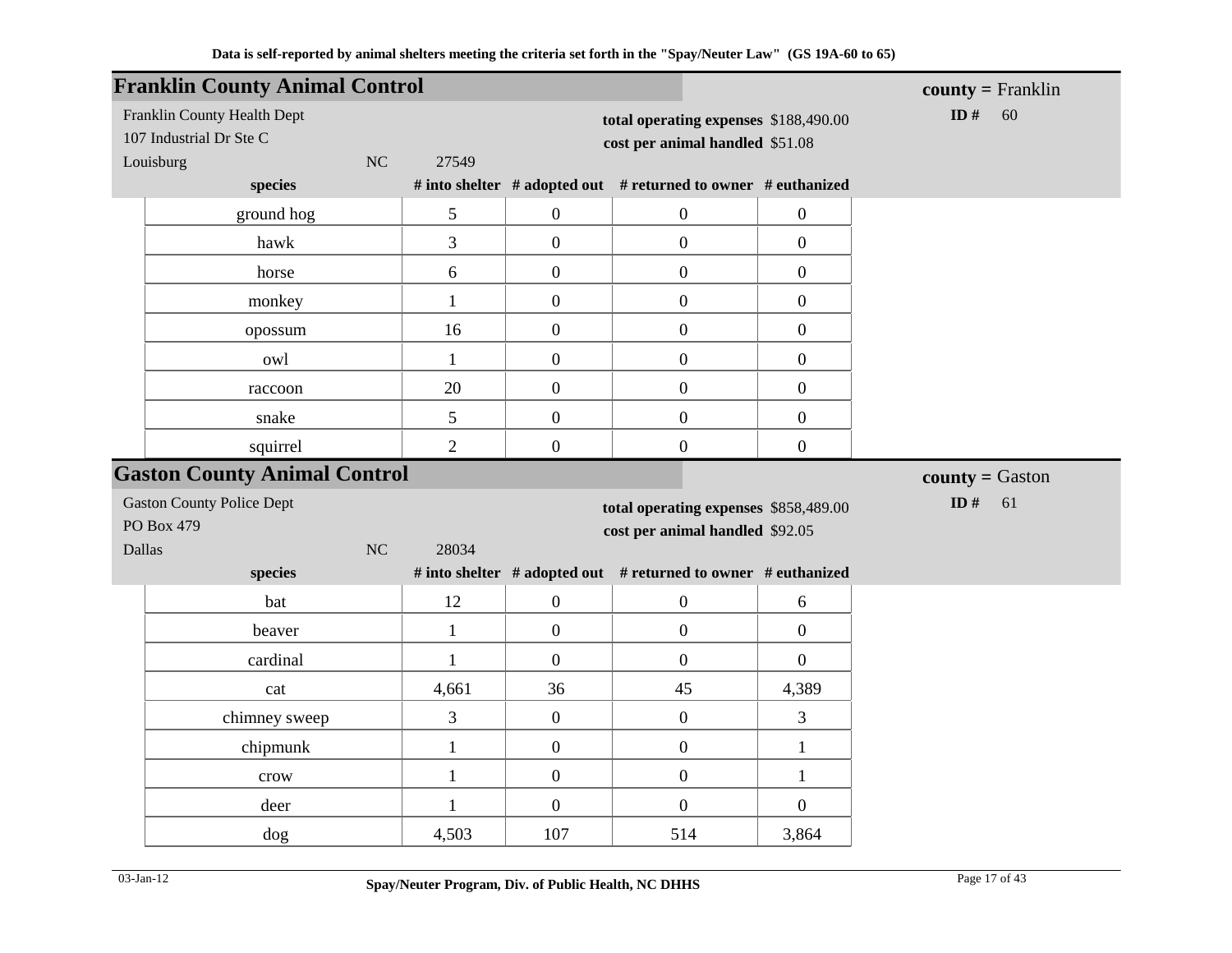|                                      | <b>Franklin County Animal Control</b> |                       |                       |                                                                          |                         | $county = Franklin$       |
|--------------------------------------|---------------------------------------|-----------------------|-----------------------|--------------------------------------------------------------------------|-------------------------|---------------------------|
| 107 Industrial Dr Ste C<br>Louisburg | Franklin County Health Dept<br>NC     | 27549                 |                       | total operating expenses \$188,490.00<br>cost per animal handled \$51.08 |                         | ID#<br>60                 |
|                                      | species                               |                       |                       | # into shelter # adopted out # returned to owner # euthanized            |                         |                           |
|                                      | ground hog                            | 5                     | $\boldsymbol{0}$      | $\boldsymbol{0}$                                                         | $\boldsymbol{0}$        |                           |
|                                      | hawk                                  | 3                     | $\overline{0}$        | $\boldsymbol{0}$                                                         | $\overline{0}$          |                           |
|                                      | horse                                 | 6                     | $\boldsymbol{0}$      | $\boldsymbol{0}$                                                         | $\overline{0}$          |                           |
|                                      | monkey                                | $\mathbf{1}$          | $\overline{0}$        | $\boldsymbol{0}$                                                         | $\overline{0}$          |                           |
|                                      | opossum                               | 16                    | $\overline{0}$        | $\boldsymbol{0}$                                                         | $\overline{0}$          |                           |
|                                      | owl                                   | $\mathbf{1}$          | $\overline{0}$        | $\overline{0}$                                                           | $\overline{0}$          |                           |
|                                      | raccoon                               | 20                    | $\boldsymbol{0}$      | $\boldsymbol{0}$                                                         | $\boldsymbol{0}$        |                           |
|                                      | snake                                 | 5                     | $\boldsymbol{0}$      | $\boldsymbol{0}$                                                         | $\mathbf{0}$            |                           |
|                                      | squirrel                              | $\overline{2}$        | $\overline{0}$        | $\boldsymbol{0}$                                                         | $\boldsymbol{0}$        |                           |
|                                      | <b>Gaston County Animal Control</b>   |                       |                       |                                                                          |                         | <b>county</b> = $G$ aston |
| <b>Gaston County Police Dept</b>     |                                       |                       |                       |                                                                          |                         |                           |
|                                      |                                       |                       |                       | total operating expenses \$858,489.00                                    |                         | ID#<br>61                 |
| PO Box 479                           |                                       |                       |                       | cost per animal handled \$92.05                                          |                         |                           |
| <b>Dallas</b>                        | <b>NC</b>                             | 28034                 |                       |                                                                          |                         |                           |
|                                      | species                               |                       |                       | # into shelter # adopted out # returned to owner # euthanized            |                         |                           |
|                                      | bat                                   | 12                    | $\overline{0}$        | $\boldsymbol{0}$                                                         | 6                       |                           |
|                                      | beaver                                | $\mathbf{1}$          | $\overline{0}$        | $\boldsymbol{0}$                                                         | $\overline{0}$          |                           |
|                                      | cardinal                              | $\mathbf{1}$          | $\boldsymbol{0}$      | $\boldsymbol{0}$                                                         | $\overline{0}$          |                           |
|                                      | cat                                   | 4,661                 | 36                    | 45                                                                       | 4,389                   |                           |
|                                      | chimney sweep                         | 3                     | $\boldsymbol{0}$      | $\boldsymbol{0}$                                                         | 3                       |                           |
|                                      | chipmunk                              | $\mathbf{1}$          | $\boldsymbol{0}$      | $\boldsymbol{0}$                                                         | $\mathbf{1}$            |                           |
|                                      | crow                                  | $\mathbf{1}$          | $\overline{0}$        | $\boldsymbol{0}$                                                         | $\mathbf{1}$            |                           |
|                                      | deer<br>dog                           | $\mathbf{1}$<br>4,503 | $\overline{0}$<br>107 | $\overline{0}$<br>514                                                    | $\overline{0}$<br>3,864 |                           |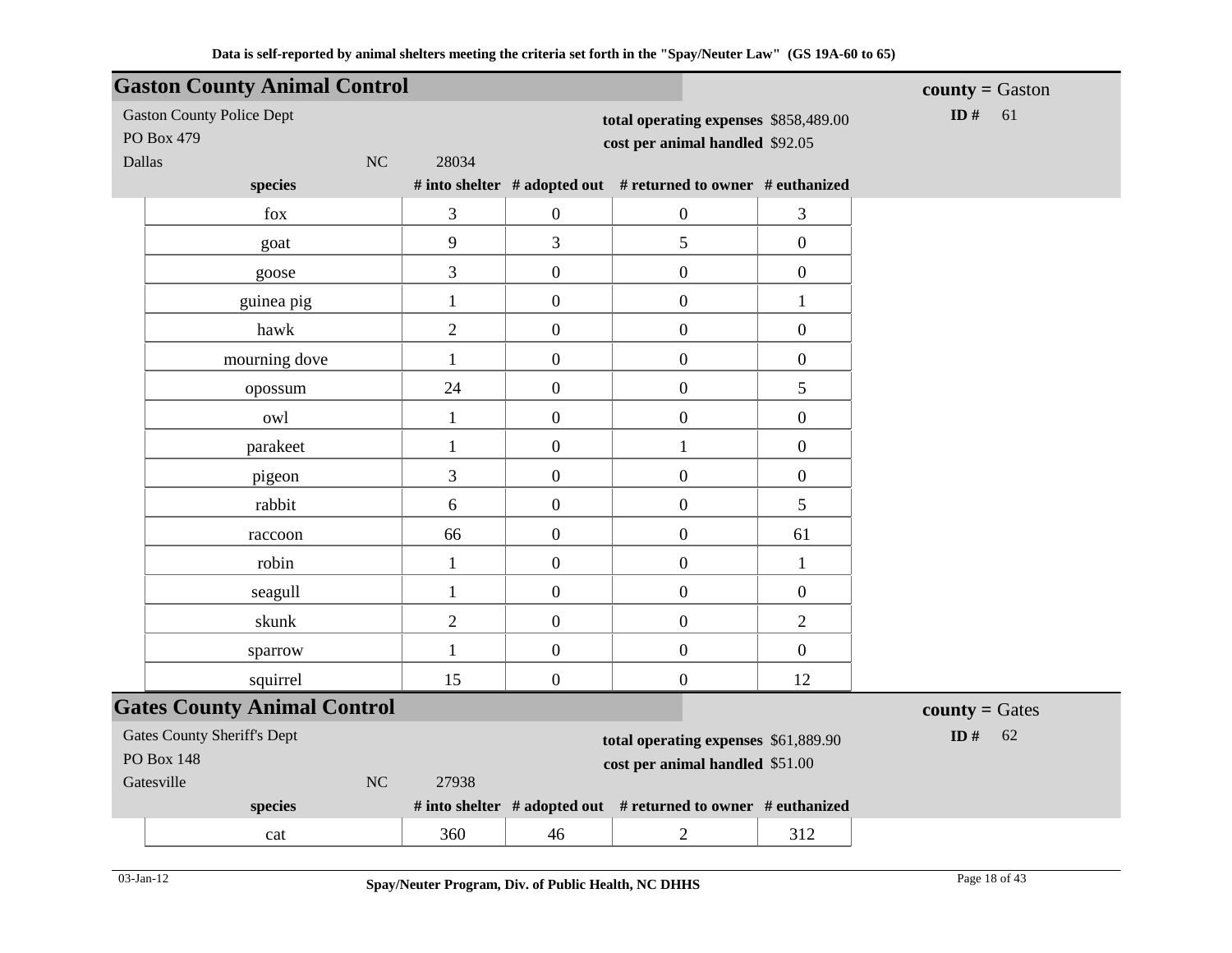|        | <b>Gaston County Animal Control</b>            |                |                  |                                                                          |                  | $county = Gaston$       |
|--------|------------------------------------------------|----------------|------------------|--------------------------------------------------------------------------|------------------|-------------------------|
|        | <b>Gaston County Police Dept</b><br>PO Box 479 |                |                  | total operating expenses \$858,489.00<br>cost per animal handled \$92.05 |                  | ID $#$<br>61            |
| Dallas | NC<br>species                                  | 28034          |                  | # into shelter # adopted out # returned to owner # euthanized            |                  |                         |
|        | fox                                            | 3              | $\boldsymbol{0}$ | $\boldsymbol{0}$                                                         | 3                |                         |
|        | goat                                           | 9              | 3                | 5                                                                        | $\boldsymbol{0}$ |                         |
|        | goose                                          | 3              | $\boldsymbol{0}$ | $\boldsymbol{0}$                                                         | $\boldsymbol{0}$ |                         |
|        | guinea pig                                     | $\mathbf{1}$   | $\boldsymbol{0}$ | $\boldsymbol{0}$                                                         | $\mathbf{1}$     |                         |
|        | hawk                                           | $\overline{2}$ | $\boldsymbol{0}$ | $\boldsymbol{0}$                                                         | $\boldsymbol{0}$ |                         |
|        | mourning dove                                  | $\mathbf{1}$   | $\boldsymbol{0}$ | $\boldsymbol{0}$                                                         | $\boldsymbol{0}$ |                         |
|        |                                                | 24             | $\boldsymbol{0}$ | $\boldsymbol{0}$                                                         | 5                |                         |
|        | opossum                                        |                |                  |                                                                          |                  |                         |
|        | owl                                            | $\mathbf{1}$   | $\boldsymbol{0}$ | $\boldsymbol{0}$                                                         | $\boldsymbol{0}$ |                         |
|        | parakeet                                       | $\mathbf{1}$   | $\boldsymbol{0}$ | $\mathbf{1}$                                                             | $\boldsymbol{0}$ |                         |
|        | pigeon                                         | 3              | $\boldsymbol{0}$ | $\boldsymbol{0}$                                                         | $\boldsymbol{0}$ |                         |
|        | rabbit                                         | 6              | $\boldsymbol{0}$ | $\boldsymbol{0}$                                                         | 5                |                         |
|        | raccoon                                        | 66             | $\boldsymbol{0}$ | $\boldsymbol{0}$                                                         | 61               |                         |
|        | robin                                          | $\mathbf{1}$   | $\boldsymbol{0}$ | $\boldsymbol{0}$                                                         | $\mathbf{1}$     |                         |
|        | seagull                                        | $\mathbf{1}$   | $\boldsymbol{0}$ | $\boldsymbol{0}$                                                         | $\boldsymbol{0}$ |                         |
|        | skunk                                          | $\overline{2}$ | $\boldsymbol{0}$ | $\boldsymbol{0}$                                                         | $\overline{2}$   |                         |
|        | sparrow                                        | $\mathbf{1}$   | $\boldsymbol{0}$ | $\boldsymbol{0}$                                                         | $\boldsymbol{0}$ |                         |
|        | squirrel                                       | 15             | $\boldsymbol{0}$ | $\boldsymbol{0}$                                                         | 12               |                         |
|        | <b>Gates County Animal Control</b>             |                |                  |                                                                          |                  | <b>county</b> = $Gates$ |
|        | <b>Gates County Sheriff's Dept</b>             |                |                  | total operating expenses \$61,889.90                                     |                  | ID $#$<br>62            |
|        | <b>PO Box 148</b>                              |                |                  | cost per animal handled \$51.00                                          |                  |                         |
|        | Gatesville<br>$\rm NC$                         | 27938          |                  |                                                                          |                  |                         |
|        | species                                        |                |                  | # into shelter # adopted out # returned to owner # euthanized            |                  |                         |
|        | cat                                            | 360            | 46               | $\overline{c}$                                                           | 312              |                         |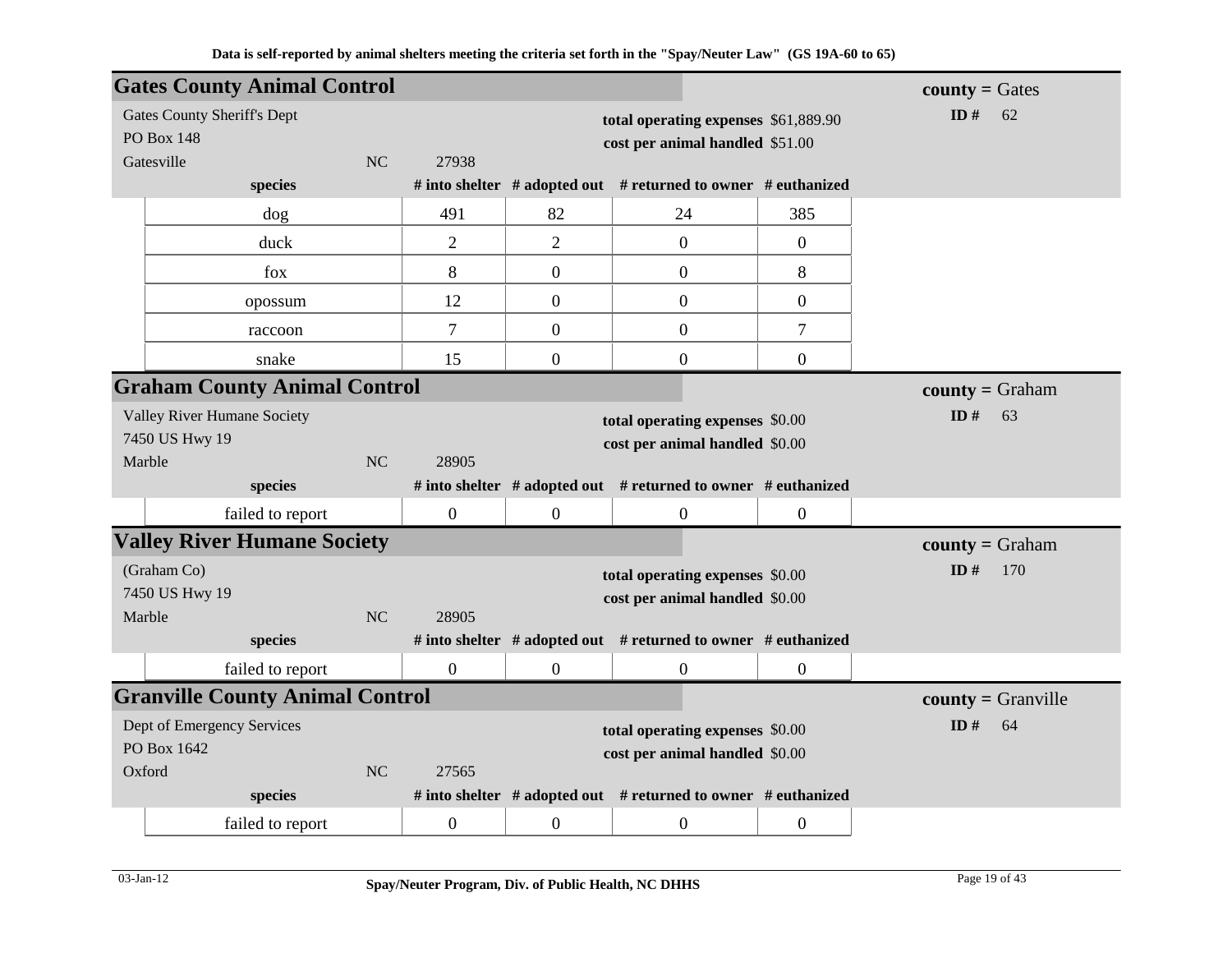| <b>Gates County Animal Control</b>     |                  |                  |                                                                     |                  | <b>county</b> = $Gates$ |
|----------------------------------------|------------------|------------------|---------------------------------------------------------------------|------------------|-------------------------|
| <b>Gates County Sheriff's Dept</b>     |                  |                  | total operating expenses \$61,889.90                                |                  | ID#<br>62               |
| <b>PO Box 148</b>                      |                  |                  | cost per animal handled \$51.00                                     |                  |                         |
| Gatesville<br><b>NC</b>                | 27938            |                  |                                                                     |                  |                         |
| species                                |                  |                  | # into shelter $#$ adopted out $#$ returned to owner $#$ euthanized |                  |                         |
| dog                                    | 491              | 82               | 24                                                                  | 385              |                         |
| duck                                   | $\overline{2}$   | $\overline{2}$   | $\overline{0}$                                                      | $\boldsymbol{0}$ |                         |
| fox                                    | 8                | $\boldsymbol{0}$ | $\mathbf{0}$                                                        | 8                |                         |
| opossum                                | 12               | $\boldsymbol{0}$ | $\mathbf{0}$                                                        | $\boldsymbol{0}$ |                         |
| raccoon                                | $\tau$           | $\overline{0}$   | $\mathbf{0}$                                                        | $\tau$           |                         |
| snake                                  | 15               | $\overline{0}$   | $\mathbf{0}$                                                        | $\overline{0}$   |                         |
| <b>Graham County Animal Control</b>    |                  |                  |                                                                     |                  | $county = Graham$       |
| Valley River Humane Society            |                  |                  | total operating expenses \$0.00                                     |                  | ID $#$<br>63            |
| 7450 US Hwy 19                         |                  |                  | cost per animal handled \$0.00                                      |                  |                         |
| Marble<br>NC                           | 28905            |                  |                                                                     |                  |                         |
| species                                |                  |                  | # into shelter # adopted out # returned to owner # euthanized       |                  |                         |
| failed to report                       | $\boldsymbol{0}$ | $\boldsymbol{0}$ | $\overline{0}$                                                      | $\boldsymbol{0}$ |                         |
| <b>Valley River Humane Society</b>     |                  |                  |                                                                     |                  | $county = Graham$       |
| (Graham Co)                            |                  |                  | total operating expenses \$0.00                                     |                  | ID#<br>170              |
| 7450 US Hwy 19                         |                  |                  | cost per animal handled \$0.00                                      |                  |                         |
| Marble<br><b>NC</b>                    | 28905            |                  |                                                                     |                  |                         |
| species                                |                  |                  | # into shelter # adopted out # returned to owner # euthanized       |                  |                         |
| failed to report                       | $\boldsymbol{0}$ | $\boldsymbol{0}$ | $\boldsymbol{0}$                                                    | $\boldsymbol{0}$ |                         |
| <b>Granville County Animal Control</b> |                  |                  |                                                                     |                  | $county = Granville$    |
| Dept of Emergency Services             |                  |                  | total operating expenses \$0.00                                     |                  | ID#<br>64               |
| PO Box 1642                            |                  |                  | cost per animal handled \$0.00                                      |                  |                         |
| Oxford<br><b>NC</b>                    | 27565            |                  |                                                                     |                  |                         |
| species                                |                  |                  | # into shelter # adopted out # returned to owner # euthanized       |                  |                         |
| failed to report                       | $\boldsymbol{0}$ | $\overline{0}$   | $\overline{0}$                                                      | $\overline{0}$   |                         |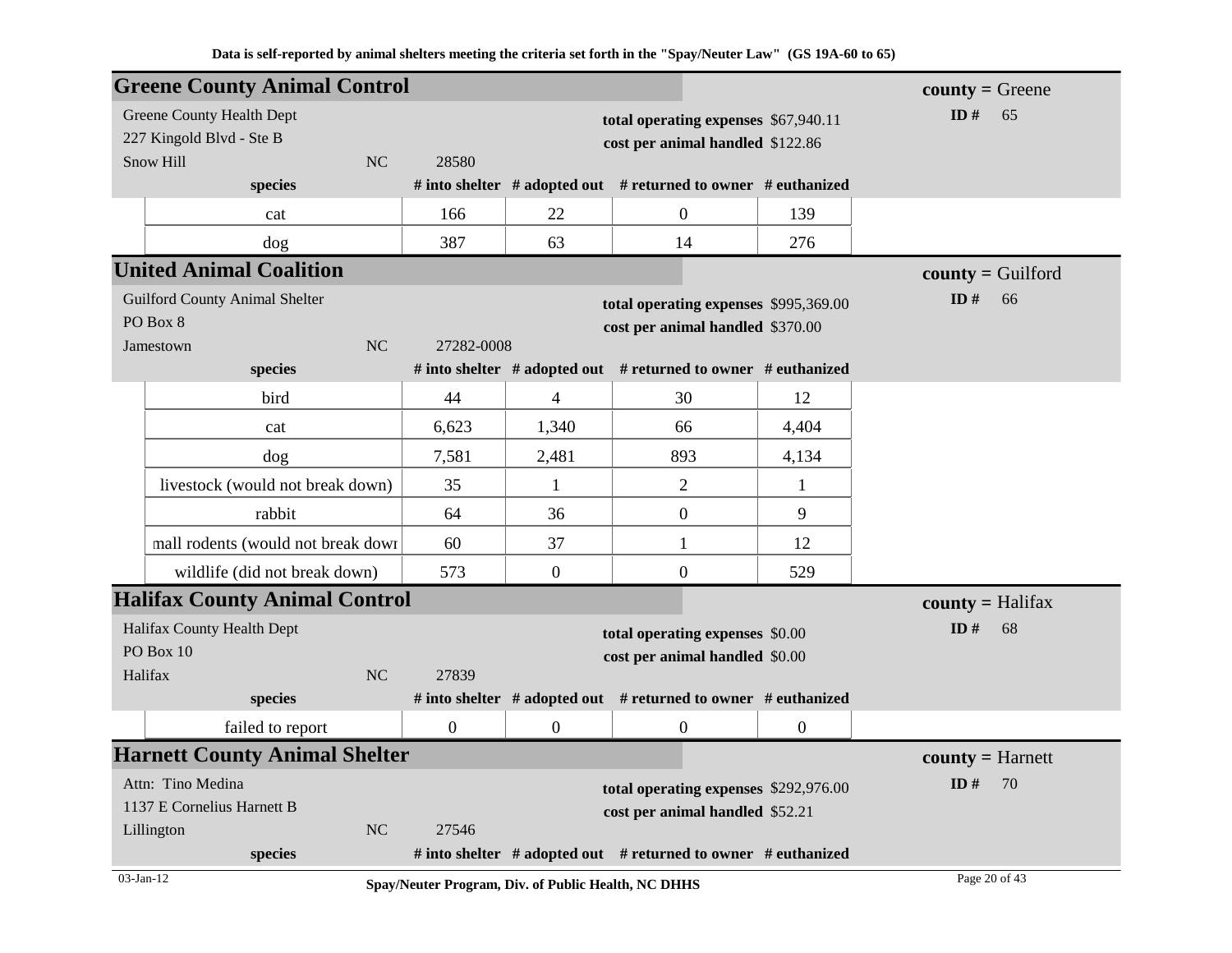|           | <b>Greene County Animal Control</b>   |           |                  |                                                     |                                                                     |                  | $countv = Green$    |
|-----------|---------------------------------------|-----------|------------------|-----------------------------------------------------|---------------------------------------------------------------------|------------------|---------------------|
|           | Greene County Health Dept             |           |                  |                                                     | total operating expenses \$67,940.11                                |                  | ID $#$<br>65        |
|           | 227 Kingold Blvd - Ste B              |           |                  |                                                     | cost per animal handled \$122.86                                    |                  |                     |
|           | Snow Hill                             | <b>NC</b> | 28580            |                                                     |                                                                     |                  |                     |
|           | species                               |           |                  |                                                     | # into shelter $#$ adopted out $#$ returned to owner $#$ euthanized |                  |                     |
|           | cat                                   |           | 166              | 22                                                  | $\overline{0}$                                                      | 139              |                     |
|           | dog                                   |           | 387              | 63                                                  | 14                                                                  | 276              |                     |
|           | <b>United Animal Coalition</b>        |           |                  |                                                     |                                                                     |                  | $county =$ Guilford |
|           | <b>Guilford County Animal Shelter</b> |           |                  |                                                     | total operating expenses \$995,369.00                               |                  | ID#<br>66           |
|           | PO Box 8                              |           |                  |                                                     | cost per animal handled \$370.00                                    |                  |                     |
|           | Jamestown                             | <b>NC</b> | 27282-0008       |                                                     |                                                                     |                  |                     |
|           | species                               |           |                  |                                                     | # into shelter $#$ adopted out $#$ returned to owner $#$ euthanized |                  |                     |
|           | bird                                  |           | 44               | 4                                                   | 30                                                                  | 12               |                     |
|           | cat                                   |           | 6,623            | 1,340                                               | 66                                                                  | 4,404            |                     |
|           | dog                                   |           | 7,581            | 2,481                                               | 893                                                                 | 4,134            |                     |
|           | livestock (would not break down)      |           | 35               | 1                                                   | $\overline{c}$                                                      | 1                |                     |
|           | rabbit                                |           | 64               | 36                                                  | $\boldsymbol{0}$                                                    | 9                |                     |
|           | mall rodents (would not break down    |           | 60               | 37                                                  | $\mathbf{1}$                                                        | 12               |                     |
|           | wildlife (did not break down)         |           | 573              | $\overline{0}$                                      | $\boldsymbol{0}$                                                    | 529              |                     |
|           | <b>Halifax County Animal Control</b>  |           |                  |                                                     |                                                                     |                  | $county = Halifax$  |
|           | Halifax County Health Dept            |           |                  |                                                     | total operating expenses \$0.00                                     |                  | ID#<br>68           |
|           | PO Box 10                             |           |                  |                                                     | cost per animal handled \$0.00                                      |                  |                     |
| Halifax   |                                       | <b>NC</b> | 27839            |                                                     |                                                                     |                  |                     |
|           | species                               |           |                  |                                                     | # into shelter $#$ adopted out $#$ returned to owner $#$ euthanized |                  |                     |
|           | failed to report                      |           | $\boldsymbol{0}$ | $\boldsymbol{0}$                                    | $\boldsymbol{0}$                                                    | $\boldsymbol{0}$ |                     |
|           | <b>Harnett County Animal Shelter</b>  |           |                  |                                                     |                                                                     |                  | $county = Harnett$  |
|           | Attn: Tino Medina                     |           |                  |                                                     | total operating expenses \$292,976.00                               |                  | ID#<br>70           |
|           | 1137 E Cornelius Harnett B            |           |                  |                                                     | cost per animal handled \$52.21                                     |                  |                     |
|           | Lillington                            | <b>NC</b> | 27546            |                                                     |                                                                     |                  |                     |
|           | species                               |           |                  |                                                     | # into shelter $#$ adopted out $#$ returned to owner $#$ euthanized |                  |                     |
| 03-Jan-12 |                                       |           |                  | Spay/Neuter Program, Div. of Public Health, NC DHHS |                                                                     |                  | Page 20 of 43       |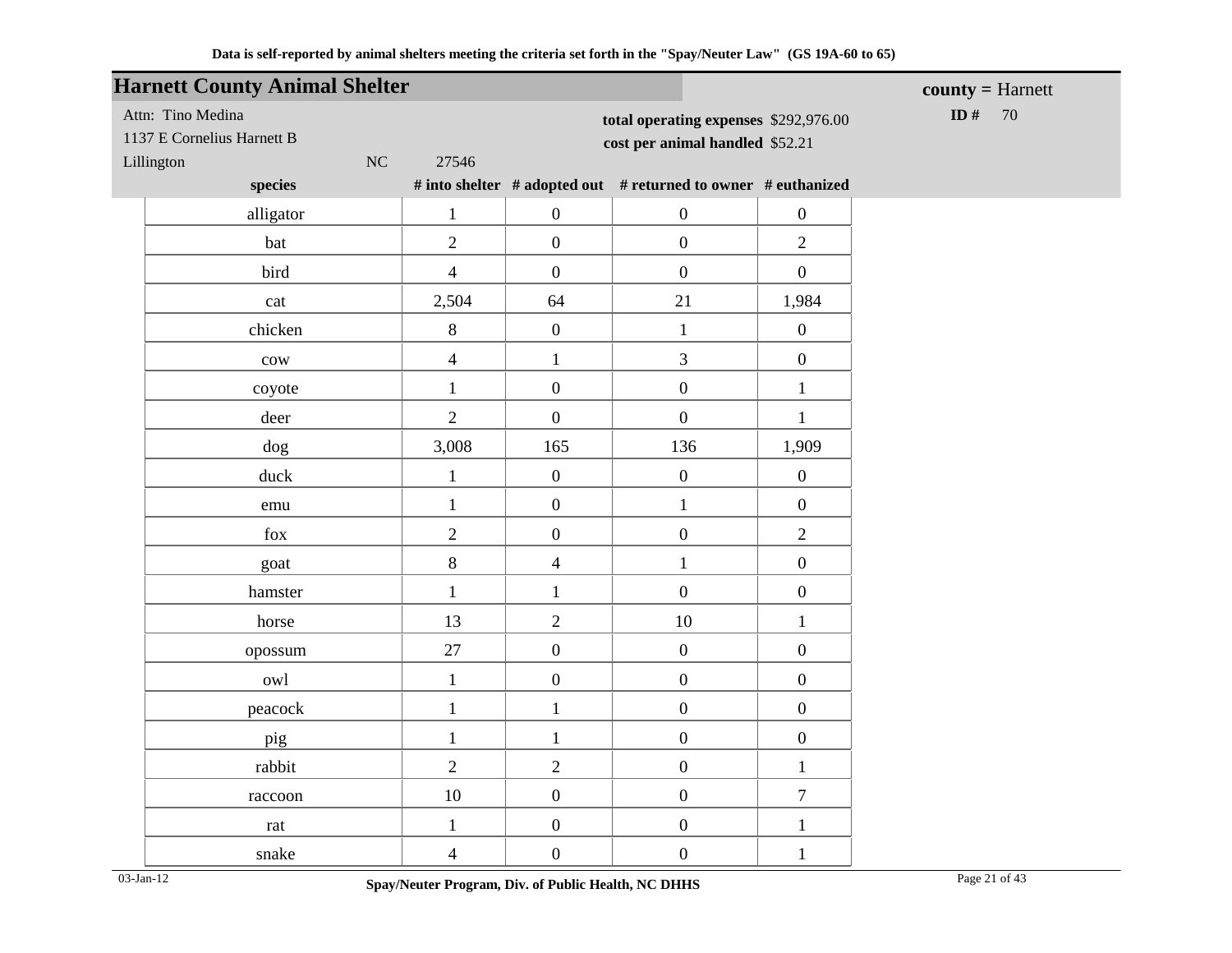| <b>Harnett County Animal Shelter</b> |                         |                  |                                                               |                  | $county = Harnett$ |
|--------------------------------------|-------------------------|------------------|---------------------------------------------------------------|------------------|--------------------|
| Attn: Tino Medina                    |                         |                  | total operating expenses \$292,976.00                         |                  | ID #<br>70         |
| 1137 E Cornelius Harnett B           |                         |                  | cost per animal handled \$52.21                               |                  |                    |
| NC<br>Lillington                     | 27546                   |                  |                                                               |                  |                    |
| species                              |                         |                  | # into shelter # adopted out # returned to owner # euthanized |                  |                    |
| alligator                            | $\mathbf{1}$            | $\boldsymbol{0}$ | $\boldsymbol{0}$                                              | $\boldsymbol{0}$ |                    |
| bat                                  | $\overline{2}$          | $\boldsymbol{0}$ | $\boldsymbol{0}$                                              | $\overline{2}$   |                    |
| bird                                 | $\overline{4}$          | $\boldsymbol{0}$ | $\boldsymbol{0}$                                              | $\boldsymbol{0}$ |                    |
| cat                                  | 2,504                   | 64               | 21                                                            | 1,984            |                    |
| chicken                              | 8                       | $\boldsymbol{0}$ | $\mathbf{1}$                                                  | $\boldsymbol{0}$ |                    |
| $_{\text{cow}}$                      | $\overline{4}$          | $\mathbf{1}$     | $\overline{3}$                                                | $\boldsymbol{0}$ |                    |
| coyote                               | $\mathbf{1}$            | $\boldsymbol{0}$ | $\boldsymbol{0}$                                              | $\mathbf{1}$     |                    |
| deer                                 | $\overline{2}$          | $\boldsymbol{0}$ | $\boldsymbol{0}$                                              | $\mathbf{1}$     |                    |
| dog                                  | 3,008                   | 165              | 136                                                           | 1,909            |                    |
| duck                                 | $\mathbf{1}$            | $\boldsymbol{0}$ | $\boldsymbol{0}$                                              | $\boldsymbol{0}$ |                    |
| emu                                  | $\mathbf{1}$            | $\boldsymbol{0}$ | $\mathbf{1}$                                                  | $\boldsymbol{0}$ |                    |
| $\rm{fox}$                           | $\overline{2}$          | $\boldsymbol{0}$ | $\boldsymbol{0}$                                              | $\overline{2}$   |                    |
| goat                                 | $8\,$                   | $\overline{4}$   | $\mathbf{1}$                                                  | $\boldsymbol{0}$ |                    |
| hamster                              | $\mathbf{1}$            | $\mathbf{1}$     | $\overline{0}$                                                | $\overline{0}$   |                    |
| horse                                | 13                      | $\overline{2}$   | $10\,$                                                        | $\mathbf{1}$     |                    |
| opossum                              | 27                      | $\boldsymbol{0}$ | $\boldsymbol{0}$                                              | $\boldsymbol{0}$ |                    |
| owl                                  | $\mathbf{1}$            | $\boldsymbol{0}$ | $\boldsymbol{0}$                                              | $\boldsymbol{0}$ |                    |
| peacock                              | $\mathbf{1}$            | $\mathbf{1}$     | $\boldsymbol{0}$                                              | $\boldsymbol{0}$ |                    |
| pig                                  | $\mathbf{1}$            | $\mathbf{1}$     | $\boldsymbol{0}$                                              | $\boldsymbol{0}$ |                    |
| rabbit                               | $\overline{2}$          | $\overline{2}$   | $\boldsymbol{0}$                                              | $\mathbf{1}$     |                    |
| raccoon                              | $10\,$                  | $\boldsymbol{0}$ | $\boldsymbol{0}$                                              | $\overline{7}$   |                    |
| rat                                  | $\mathbf{1}$            | $\boldsymbol{0}$ | $\boldsymbol{0}$                                              | $\mathbf{1}$     |                    |
| snake                                | $\overline{\mathbf{4}}$ | $\boldsymbol{0}$ | $\boldsymbol{0}$                                              | $\mathbf{1}$     |                    |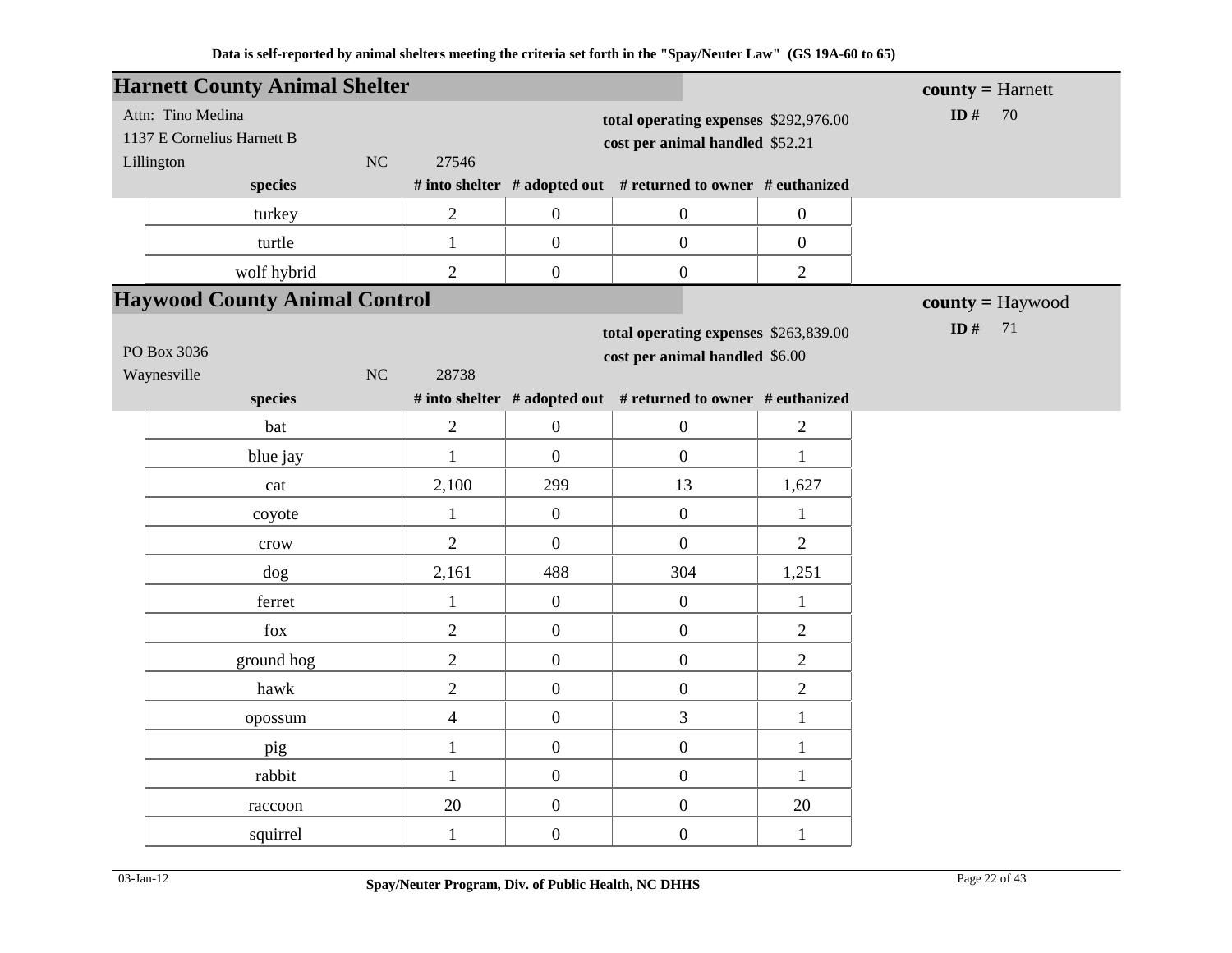|            | <b>Harnett County Animal Shelter</b> |    |                |                  |                                                               |                  | $county = Harnett$ |
|------------|--------------------------------------|----|----------------|------------------|---------------------------------------------------------------|------------------|--------------------|
|            | Attn: Tino Medina                    |    |                |                  | total operating expenses \$292,976.00                         |                  | ID $#$<br>70       |
|            | 1137 E Cornelius Harnett B           |    |                |                  | cost per animal handled \$52.21                               |                  |                    |
| Lillington |                                      | NC | 27546          |                  |                                                               |                  |                    |
|            | species                              |    |                |                  | # into shelter # adopted out # returned to owner # euthanized |                  |                    |
|            | turkey                               |    | $\mathbf{2}$   | $\boldsymbol{0}$ | $\boldsymbol{0}$                                              | $\boldsymbol{0}$ |                    |
|            | turtle                               |    | $\mathbf{1}$   | $\boldsymbol{0}$ | $\boldsymbol{0}$                                              | $\boldsymbol{0}$ |                    |
|            | wolf hybrid                          |    | $\overline{2}$ | $\boldsymbol{0}$ | $\boldsymbol{0}$                                              | $\overline{2}$   |                    |
|            | <b>Haywood County Animal Control</b> |    |                |                  |                                                               |                  | $county = Haywood$ |
|            |                                      |    |                |                  | total operating expenses \$263,839.00                         |                  | ID $#$<br>71       |
|            | PO Box 3036                          |    |                |                  | cost per animal handled \$6.00                                |                  |                    |
|            | Waynesville<br>species               | NC | 28738          |                  | # into shelter # adopted out # returned to owner # euthanized |                  |                    |
|            |                                      |    |                |                  |                                                               |                  |                    |
|            | bat                                  |    | $\overline{2}$ | $\boldsymbol{0}$ | $\boldsymbol{0}$                                              | $\overline{2}$   |                    |
|            | blue jay                             |    | $\mathbf{1}$   | $\overline{0}$   | $\overline{0}$                                                | $\mathbf{1}$     |                    |
|            | cat                                  |    | 2,100          | 299              | 13                                                            | 1,627            |                    |
|            | coyote                               |    | $\mathbf{1}$   | $\boldsymbol{0}$ | $\overline{0}$                                                | $\mathbf{1}$     |                    |
|            | crow                                 |    | $\overline{2}$ | $\boldsymbol{0}$ | $\boldsymbol{0}$                                              | $\overline{2}$   |                    |
|            | dog                                  |    | 2,161          | 488              | 304                                                           | 1,251            |                    |
|            | ferret                               |    | $\mathbf{1}$   | $\overline{0}$   | $\boldsymbol{0}$                                              | $\mathbf{1}$     |                    |
|            | fox                                  |    | $\overline{2}$ | $\overline{0}$   | $\overline{0}$                                                | $\overline{2}$   |                    |
|            | ground hog                           |    | $\sqrt{2}$     | $\boldsymbol{0}$ | $\boldsymbol{0}$                                              | $\sqrt{2}$       |                    |
|            | hawk                                 |    | $\overline{2}$ | $\boldsymbol{0}$ | $\boldsymbol{0}$                                              | $\overline{2}$   |                    |
|            | opossum                              |    | $\overline{4}$ | $\boldsymbol{0}$ | 3                                                             | $\mathbf{1}$     |                    |
|            | pig                                  |    | $\mathbf{1}$   | $\boldsymbol{0}$ | $\boldsymbol{0}$                                              | $\mathbf{1}$     |                    |
|            | rabbit                               |    | $\mathbf{1}$   | $\boldsymbol{0}$ | $\boldsymbol{0}$                                              | $\mathbf{1}$     |                    |
|            | raccoon                              |    | 20             | $\boldsymbol{0}$ | $\boldsymbol{0}$                                              | 20               |                    |
|            | squirrel                             |    | $\mathbf{1}$   | $\boldsymbol{0}$ | $\boldsymbol{0}$                                              | $\mathbf{1}$     |                    |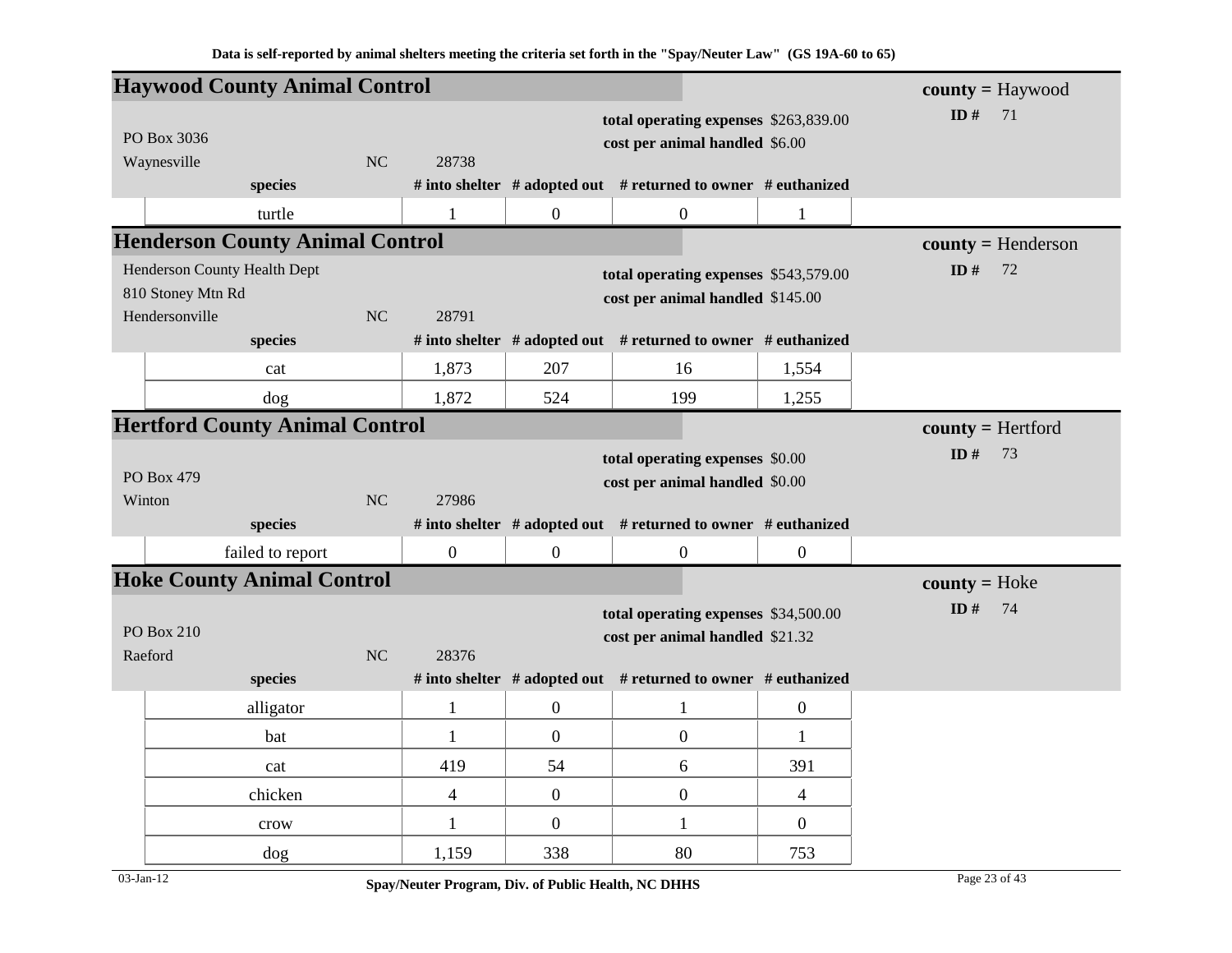|                              | <b>Haywood County Animal Control</b>   |                |                  |                  |                                                               |                  | $county = Haywood$   |
|------------------------------|----------------------------------------|----------------|------------------|------------------|---------------------------------------------------------------|------------------|----------------------|
|                              |                                        |                |                  |                  | total operating expenses \$263,839.00                         |                  | ID $#$<br>71         |
| PO Box 3036                  |                                        |                |                  |                  | cost per animal handled \$6.00                                |                  |                      |
| Waynesville                  |                                        | <b>NC</b>      | 28738            |                  |                                                               |                  |                      |
|                              | species                                |                |                  |                  | # into shelter # adopted out # returned to owner # euthanized |                  |                      |
|                              | turtle                                 |                | 1                | $\overline{0}$   | $\boldsymbol{0}$                                              | 1                |                      |
|                              | <b>Henderson County Animal Control</b> |                |                  |                  |                                                               |                  | $county = Henderson$ |
| Henderson County Health Dept |                                        |                |                  |                  | total operating expenses \$543,579.00                         |                  | ID $#$<br>72         |
| 810 Stoney Mtn Rd            |                                        |                |                  |                  | cost per animal handled \$145.00                              |                  |                      |
| Hendersonville               |                                        | N <sub>C</sub> | 28791            |                  |                                                               |                  |                      |
|                              | species                                |                |                  |                  | # into shelter # adopted out # returned to owner # euthanized |                  |                      |
|                              | cat                                    |                | 1,873            | 207              | 16                                                            | 1,554            |                      |
|                              | dog                                    |                | 1,872            | 524              | 199                                                           | 1,255            |                      |
|                              | <b>Hertford County Animal Control</b>  |                |                  |                  |                                                               |                  | $county = Hertford$  |
|                              |                                        |                |                  |                  | total operating expenses \$0.00                               |                  | ID $#$<br>73         |
| PO Box 479                   |                                        |                |                  |                  | cost per animal handled \$0.00                                |                  |                      |
| Winton                       |                                        | <b>NC</b>      | 27986            |                  |                                                               |                  |                      |
|                              | species                                |                |                  |                  | # into shelter # adopted out # returned to owner # euthanized |                  |                      |
|                              | failed to report                       |                | $\boldsymbol{0}$ | $\overline{0}$   | $\boldsymbol{0}$                                              | $\boldsymbol{0}$ |                      |
|                              | <b>Hoke County Animal Control</b>      |                |                  |                  |                                                               |                  | $county = Hoke$      |
|                              |                                        |                |                  |                  | total operating expenses \$34,500.00                          |                  | ID#<br>74            |
| <b>PO</b> Box 210            |                                        |                |                  |                  | cost per animal handled \$21.32                               |                  |                      |
| Raeford                      |                                        | N <sub>C</sub> | 28376            |                  |                                                               |                  |                      |
|                              | species                                |                |                  |                  | # into shelter # adopted out # returned to owner # euthanized |                  |                      |
|                              | alligator                              |                | $\mathbf{1}$     | $\boldsymbol{0}$ | $\mathbf{1}$                                                  | $\boldsymbol{0}$ |                      |
|                              | bat                                    |                | 1                | $\mathbf{0}$     | $\overline{0}$                                                | 1                |                      |
|                              | cat                                    |                | 419              | 54               | 6                                                             | 391              |                      |
|                              | chicken                                |                | $\overline{4}$   | $\overline{0}$   | $\boldsymbol{0}$                                              | $\overline{4}$   |                      |
|                              | crow                                   |                | $\mathbf{1}$     | $\overline{0}$   | $\mathbf{1}$                                                  | $\overline{0}$   |                      |
|                              | dog                                    |                | 1,159            | 338              | 80                                                            | 753              |                      |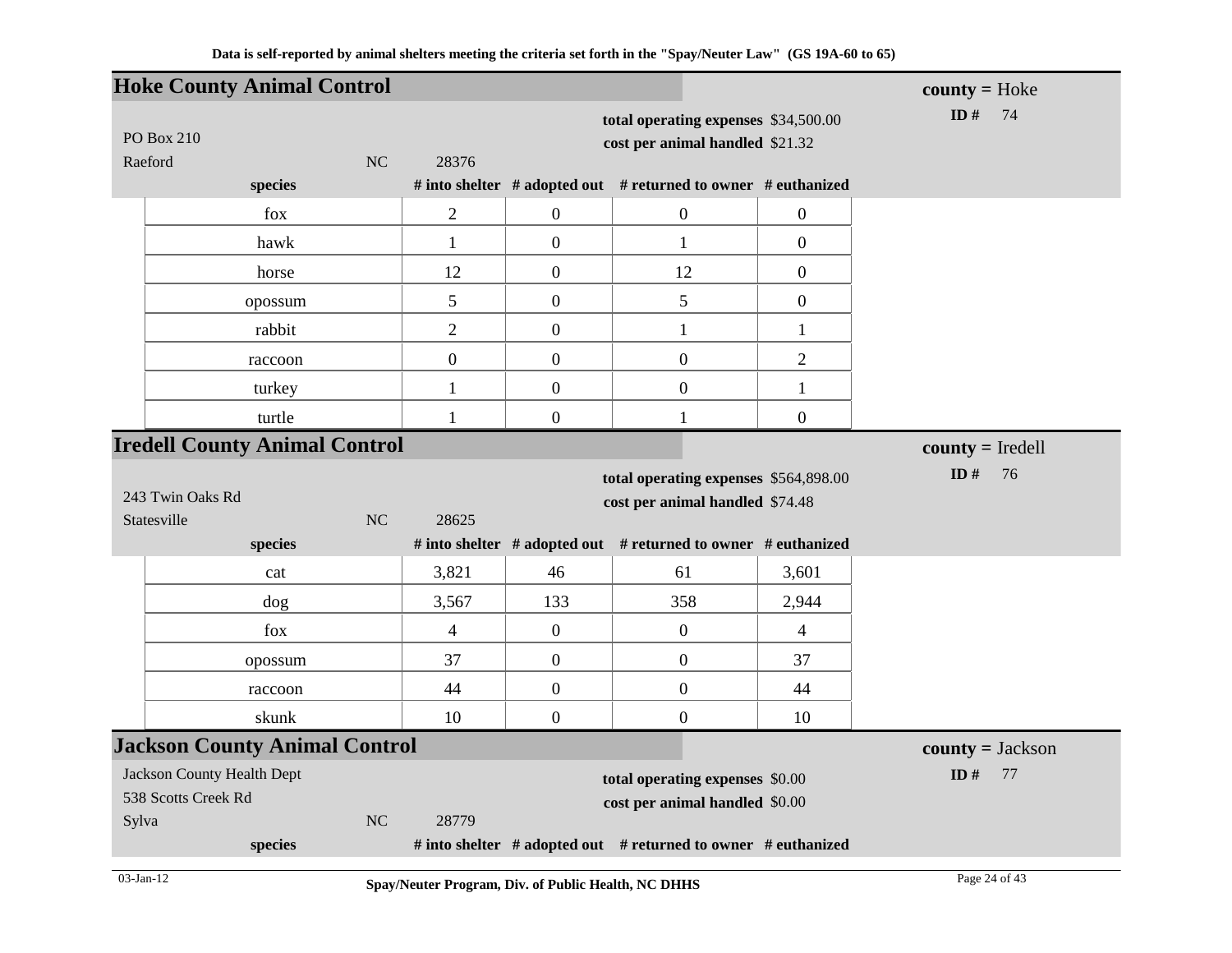|                                                                   | <b>Hoke County Animal Control</b>    |    |                  |                  |                                                                          |                  | $county = Hoke$    |
|-------------------------------------------------------------------|--------------------------------------|----|------------------|------------------|--------------------------------------------------------------------------|------------------|--------------------|
| PO Box 210<br>Raeford                                             |                                      | NC | 28376            |                  | total operating expenses \$34,500.00<br>cost per animal handled \$21.32  |                  | ID $#$<br>74       |
|                                                                   | species                              |    |                  |                  | # into shelter # adopted out # returned to owner # euthanized            |                  |                    |
|                                                                   | fox                                  |    | $\overline{2}$   | $\boldsymbol{0}$ | $\mathbf{0}$                                                             | $\boldsymbol{0}$ |                    |
|                                                                   | hawk                                 |    | $\mathbf{1}$     | $\boldsymbol{0}$ | $\mathbf{1}$                                                             | $\boldsymbol{0}$ |                    |
|                                                                   | horse                                |    | 12               | $\boldsymbol{0}$ | 12                                                                       | $\boldsymbol{0}$ |                    |
|                                                                   | opossum                              |    | 5                | $\boldsymbol{0}$ | 5                                                                        | $\boldsymbol{0}$ |                    |
|                                                                   | rabbit                               |    | $\overline{2}$   | $\boldsymbol{0}$ | $\mathbf{1}$                                                             | $\mathbf{1}$     |                    |
|                                                                   | raccoon                              |    | $\boldsymbol{0}$ | $\boldsymbol{0}$ | $\overline{0}$                                                           | $\overline{2}$   |                    |
|                                                                   | turkey                               |    | $\mathbf{1}$     | $\boldsymbol{0}$ | $\boldsymbol{0}$                                                         | $\mathbf{1}$     |                    |
|                                                                   | turtle                               |    | 1                | $\boldsymbol{0}$ | 1                                                                        | $\boldsymbol{0}$ |                    |
|                                                                   | <b>Iredell County Animal Control</b> |    |                  |                  |                                                                          |                  | $county = Iredell$ |
|                                                                   |                                      |    |                  |                  |                                                                          |                  |                    |
| 243 Twin Oaks Rd<br>Statesville                                   |                                      | NC | 28625            |                  | total operating expenses \$564,898.00<br>cost per animal handled \$74.48 |                  | ID $#$<br>76       |
|                                                                   | species                              |    |                  |                  | # into shelter # adopted out # returned to owner # euthanized            |                  |                    |
|                                                                   | cat                                  |    | 3,821            | 46               | 61                                                                       | 3,601            |                    |
|                                                                   | dog                                  |    | 3,567            | 133              | 358                                                                      | 2,944            |                    |
|                                                                   | fox                                  |    | $\overline{4}$   | $\boldsymbol{0}$ | $\boldsymbol{0}$                                                         | $\overline{4}$   |                    |
|                                                                   | opossum                              |    | 37               | $\boldsymbol{0}$ | $\boldsymbol{0}$                                                         | 37               |                    |
|                                                                   | raccoon                              |    | 44               | $\boldsymbol{0}$ | $\mathbf{0}$                                                             | 44               |                    |
|                                                                   | skunk                                |    | 10               | $\boldsymbol{0}$ | $\boldsymbol{0}$                                                         | 10               |                    |
|                                                                   | <b>Jackson County Animal Control</b> |    |                  |                  |                                                                          |                  | $county = Jackson$ |
| <b>Jackson County Health Dept</b><br>538 Scotts Creek Rd<br>Sylva |                                      | NC | 28779            |                  | total operating expenses \$0.00<br>cost per animal handled \$0.00        |                  | ID $#$<br>77       |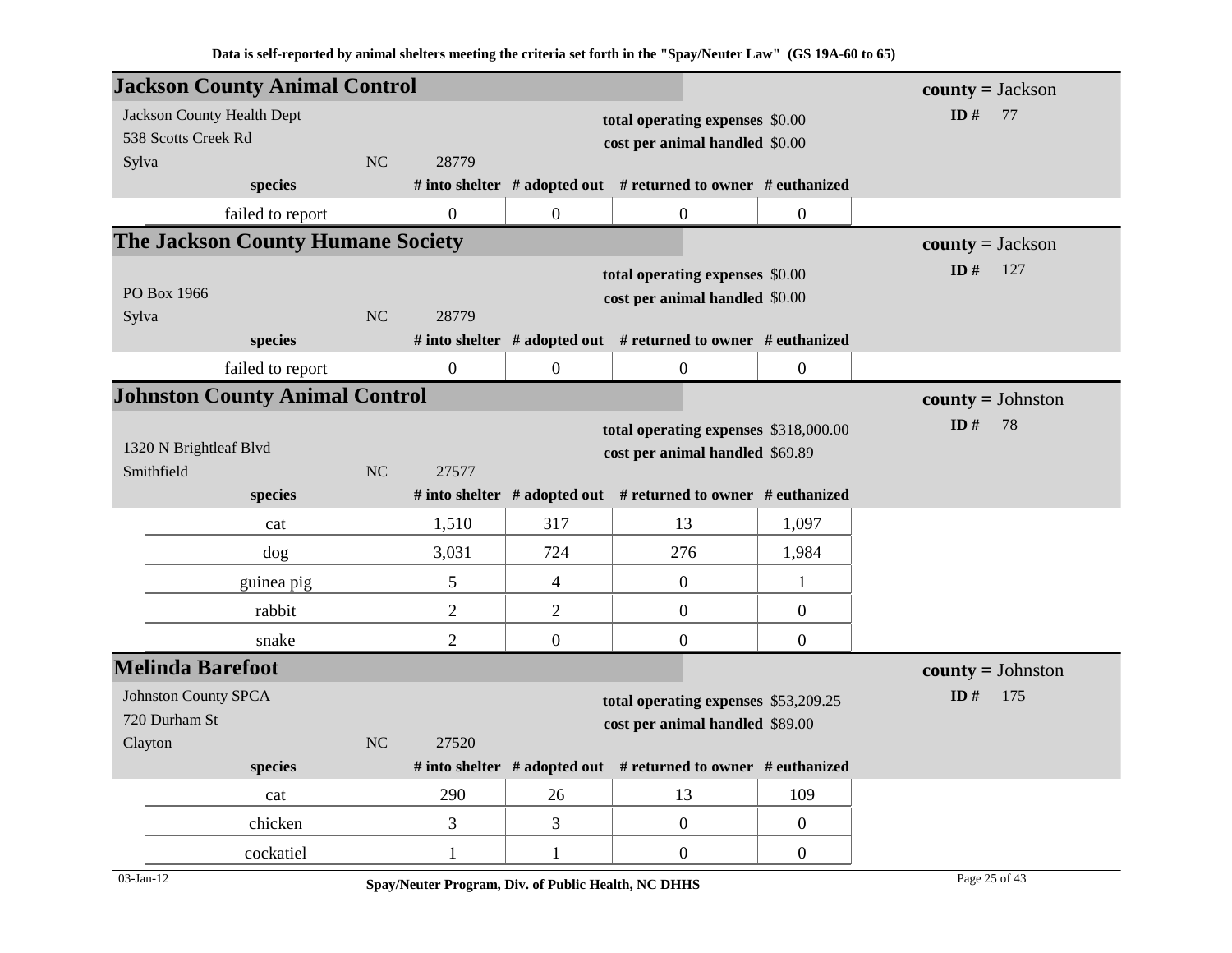|         | <b>Jackson County Animal Control</b>     |              |                |                                |                                                               |                | $county = Jackson$  |
|---------|------------------------------------------|--------------|----------------|--------------------------------|---------------------------------------------------------------|----------------|---------------------|
|         | Jackson County Health Dept               |              |                |                                | total operating expenses \$0.00                               |                | ID $#$<br>77        |
|         | 538 Scotts Creek Rd                      |              |                |                                | cost per animal handled \$0.00                                |                |                     |
| Sylva   |                                          | <b>NC</b>    | 28779          |                                |                                                               |                |                     |
|         | species                                  |              |                |                                | # into shelter # adopted out # returned to owner # euthanized |                |                     |
|         | failed to report                         |              | $\overline{0}$ | $\mathbf{0}$                   | $\mathbf{0}$                                                  | $\overline{0}$ |                     |
|         | <b>The Jackson County Humane Society</b> |              |                |                                |                                                               |                | $county = Jackson$  |
|         |                                          |              |                |                                | total operating expenses \$0.00                               |                | ID $#$<br>127       |
|         | PO Box 1966                              |              |                | cost per animal handled \$0.00 |                                                               |                |                     |
| Sylva   | species                                  | NC           | 28779          |                                | # into shelter # adopted out # returned to owner # euthanized |                |                     |
|         |                                          |              | $\overline{0}$ | $\mathbf{0}$                   |                                                               | $\overline{0}$ |                     |
|         | failed to report                         |              |                |                                | $\boldsymbol{0}$                                              |                |                     |
|         | <b>Johnston County Animal Control</b>    |              |                |                                |                                                               |                | $county = Johnston$ |
|         | 1320 N Brightleaf Blvd                   | ID $#$<br>78 |                |                                |                                                               |                |                     |
|         | Smithfield                               | NC           | 27577          |                                | cost per animal handled \$69.89                               |                |                     |
|         | species                                  |              |                |                                | # into shelter # adopted out # returned to owner # euthanized |                |                     |
|         | cat                                      |              | 1,510          | 317                            | 13                                                            | 1,097          |                     |
|         | dog                                      |              | 3,031          | 724                            | 276                                                           | 1,984          |                     |
|         | guinea pig                               |              | 5              | $\overline{4}$                 | $\mathbf{0}$                                                  | $\mathbf{1}$   |                     |
|         | rabbit                                   |              | $\overline{2}$ | $\overline{2}$                 | $\overline{0}$                                                | $\overline{0}$ |                     |
|         | snake                                    |              | $\overline{2}$ | $\overline{0}$                 | $\mathbf{0}$                                                  | $\overline{0}$ |                     |
|         | <b>Melinda Barefoot</b>                  |              |                |                                |                                                               |                | $county = Johnston$ |
|         | <b>Johnston County SPCA</b>              |              |                |                                | total operating expenses \$53,209.25                          |                | ID $#$<br>175       |
|         | 720 Durham St                            |              |                |                                | cost per animal handled \$89.00                               |                |                     |
| Clayton |                                          | NC           | 27520          |                                |                                                               |                |                     |
|         | species                                  |              |                |                                | # into shelter # adopted out # returned to owner # euthanized |                |                     |
|         | cat                                      |              | 290            | 26                             | 13                                                            | 109            |                     |
|         | chicken                                  |              | 3              | 3                              | $\mathbf{0}$                                                  | $\mathbf{0}$   |                     |
|         | cockatiel                                |              | 1              | 1                              | $\boldsymbol{0}$                                              | $\overline{0}$ |                     |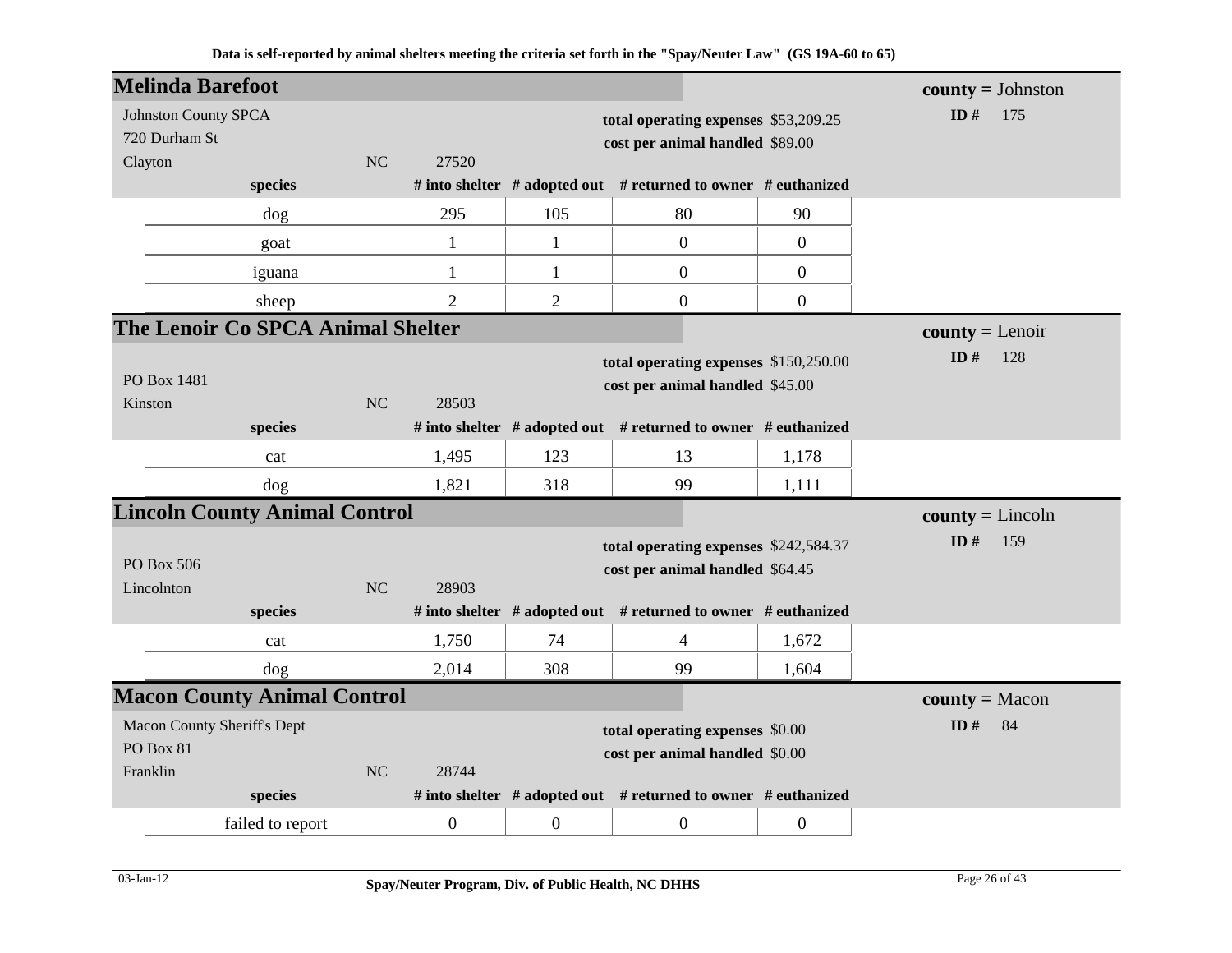| <b>Melinda Barefoot</b>     |                                      |           |                  |                  |                                                                     |                | $county = Johnston$ |
|-----------------------------|--------------------------------------|-----------|------------------|------------------|---------------------------------------------------------------------|----------------|---------------------|
| <b>Johnston County SPCA</b> |                                      |           |                  |                  | total operating expenses \$53,209.25                                |                | ID#<br>175          |
| 720 Durham St               |                                      |           |                  |                  | cost per animal handled \$89.00                                     |                |                     |
| Clayton                     |                                      | <b>NC</b> | 27520            |                  |                                                                     |                |                     |
|                             | species                              |           |                  |                  | # into shelter $#$ adopted out $#$ returned to owner $#$ euthanized |                |                     |
|                             | dog                                  |           | 295              | 105              | 80                                                                  | 90             |                     |
|                             | goat                                 |           | $\mathbf{1}$     | $\mathbf{1}$     | $\mathbf{0}$                                                        | $\overline{0}$ |                     |
|                             | iguana                               |           | 1                | $\mathbf{1}$     | $\overline{0}$                                                      | $\overline{0}$ |                     |
|                             | sheep                                |           | $\overline{2}$   | $\overline{2}$   | $\overline{0}$                                                      | $\overline{0}$ |                     |
|                             | The Lenoir Co SPCA Animal Shelter    |           |                  |                  |                                                                     |                | $county = Lenoir$   |
|                             |                                      |           |                  |                  | total operating expenses \$150,250.00                               |                | ID#<br>128          |
| PO Box 1481                 |                                      |           |                  |                  | cost per animal handled \$45.00                                     |                |                     |
| Kinston                     |                                      | <b>NC</b> | 28503            |                  |                                                                     |                |                     |
|                             | species                              |           |                  |                  | # into shelter $#$ adopted out $#$ returned to owner $#$ euthanized |                |                     |
|                             | cat                                  |           | 1,495            | 123              | 13                                                                  | 1,178          |                     |
|                             | dog                                  |           | 1,821            | 318              | 99                                                                  | 1,111          |                     |
|                             | <b>Lincoln County Animal Control</b> |           |                  |                  |                                                                     |                | $county = Lincoln$  |
|                             |                                      |           |                  |                  | total operating expenses \$242,584.37                               |                | ID#<br>159          |
| PO Box 506                  |                                      |           |                  |                  | cost per animal handled \$64.45                                     |                |                     |
| Lincolnton                  |                                      | <b>NC</b> | 28903            |                  |                                                                     |                |                     |
|                             | species                              |           |                  |                  | # into shelter # adopted out # returned to owner # euthanized       |                |                     |
|                             | cat                                  |           | 1,750            | 74               | 4                                                                   | 1,672          |                     |
|                             | dog                                  |           | 2,014            | 308              | 99                                                                  | 1,604          |                     |
|                             | <b>Macon County Animal Control</b>   |           |                  |                  |                                                                     |                | $county = Macon$    |
| Macon County Sheriff's Dept |                                      |           |                  |                  | total operating expenses \$0.00                                     |                | ID#<br>84           |
| PO Box 81                   |                                      |           |                  |                  | cost per animal handled \$0.00                                      |                |                     |
| Franklin                    |                                      | <b>NC</b> | 28744            |                  |                                                                     |                |                     |
|                             | species                              |           |                  |                  | # into shelter # adopted out # returned to owner # euthanized       |                |                     |
|                             | failed to report                     |           | $\boldsymbol{0}$ | $\boldsymbol{0}$ | $\overline{0}$                                                      | $\overline{0}$ |                     |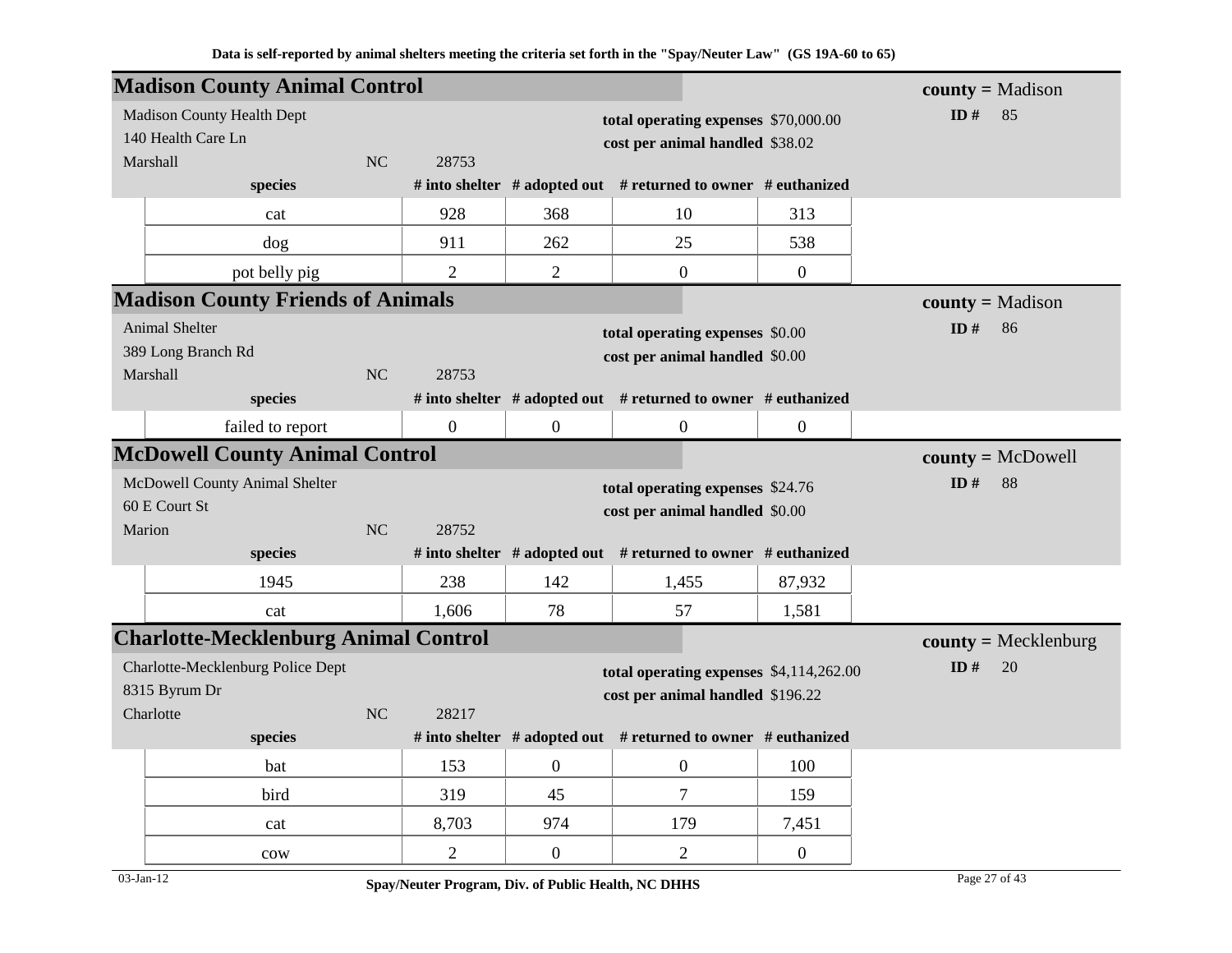|                    | <b>Madison County Animal Control</b>            |    |                                      |                  |                                                                    |                  | $county = Madison$     |
|--------------------|-------------------------------------------------|----|--------------------------------------|------------------|--------------------------------------------------------------------|------------------|------------------------|
|                    | <b>Madison County Health Dept</b>               |    | total operating expenses \$70,000.00 |                  |                                                                    |                  | ID $#$<br>85           |
|                    | 140 Health Care Ln                              |    |                                      |                  | cost per animal handled \$38.02                                    |                  |                        |
|                    | Marshall<br>species                             | NC | 28753                                |                  | # into shelter # adopted out # returned to owner # euthanized      |                  |                        |
|                    |                                                 |    | 928                                  | 368              | 10                                                                 |                  |                        |
|                    | cat                                             |    |                                      |                  |                                                                    | 313              |                        |
|                    | $\log$                                          |    | 911                                  | 262              | 25                                                                 | 538              |                        |
|                    | pot belly pig                                   |    | $\overline{2}$                       | $\overline{2}$   | $\boldsymbol{0}$                                                   | $\overline{0}$   |                        |
|                    | <b>Madison County Friends of Animals</b>        |    |                                      |                  |                                                                    |                  | $county = Madison$     |
| Animal Shelter     |                                                 |    |                                      |                  | total operating expenses \$0.00                                    |                  | ID $#$<br>86           |
| 389 Long Branch Rd |                                                 |    |                                      |                  | cost per animal handled \$0.00                                     |                  |                        |
|                    | Marshall<br>species                             | NC | 28753                                |                  | # into shelter # adopted out # returned to owner # euthanized      |                  |                        |
|                    |                                                 |    | $\mathbf{0}$                         |                  |                                                                    |                  |                        |
|                    | failed to report                                |    |                                      | $\boldsymbol{0}$ | $\boldsymbol{0}$                                                   | $\boldsymbol{0}$ |                        |
|                    | <b>McDowell County Animal Control</b>           |    |                                      |                  |                                                                    |                  | $county = McDowell$    |
|                    | McDowell County Animal Shelter<br>60 E Court St |    |                                      |                  | total operating expenses \$24.76<br>cost per animal handled \$0.00 |                  | ID#<br>88              |
| Marion             |                                                 | NC | 28752                                |                  |                                                                    |                  |                        |
|                    | species                                         |    |                                      |                  | # into shelter # adopted out # returned to owner # euthanized      |                  |                        |
|                    | 1945                                            |    | 238                                  | 142              | 1,455                                                              | 87,932           |                        |
|                    | cat                                             |    | 1,606                                | 78               | 57                                                                 | 1,581            |                        |
|                    | <b>Charlotte-Mecklenburg Animal Control</b>     |    |                                      |                  |                                                                    |                  | $county = Mecklenburg$ |
|                    | Charlotte-Mecklenburg Police Dept               |    |                                      |                  | total operating expenses \$4,114,262.00                            |                  | ID#<br>20              |
|                    | 8315 Byrum Dr                                   |    |                                      |                  | cost per animal handled \$196.22                                   |                  |                        |
|                    | Charlotte                                       | NC | 28217                                |                  |                                                                    |                  |                        |
|                    | species                                         |    |                                      |                  | # into shelter # adopted out # returned to owner # euthanized      |                  |                        |
|                    | bat                                             |    | 153                                  | $\mathbf{0}$     | $\boldsymbol{0}$                                                   | 100              |                        |
|                    | bird                                            |    | 319                                  | 45               | $\overline{7}$                                                     | 159              |                        |
|                    | cat                                             |    | 8,703                                | 974              | 179                                                                | 7,451            |                        |
|                    | cow                                             |    | $\overline{2}$                       | $\boldsymbol{0}$ | $\overline{2}$                                                     | $\boldsymbol{0}$ |                        |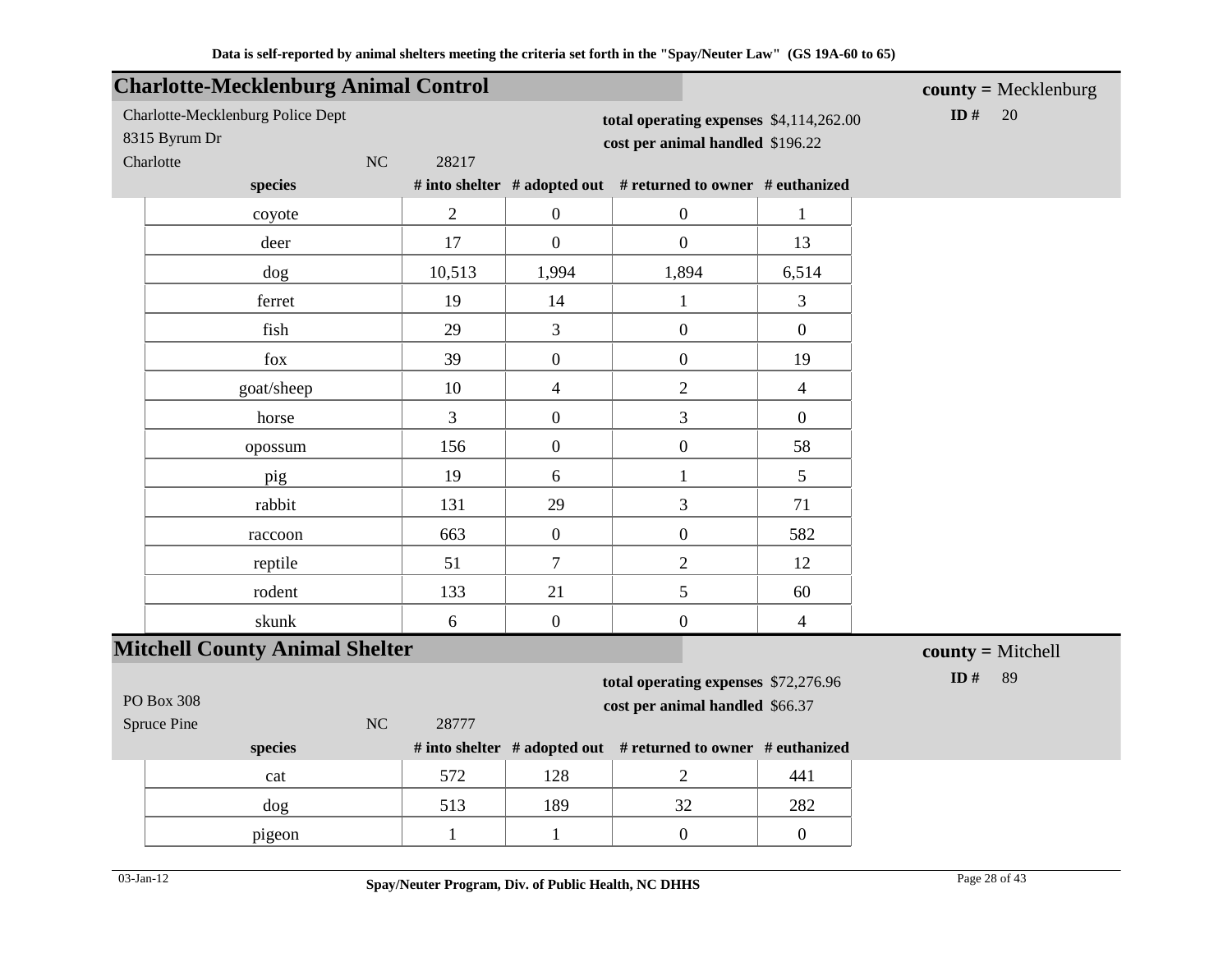|                            | <b>Charlotte-Mecklenburg Animal Control</b> |                |                                                                         |                                                               |                | $county = Mecklenburg$ |
|----------------------------|---------------------------------------------|----------------|-------------------------------------------------------------------------|---------------------------------------------------------------|----------------|------------------------|
| 8315 Byrum Dr<br>Charlotte | Charlotte-Mecklenburg Police Dept<br>NC     | 28217          | cost per animal handled \$196.22                                        | ID#<br>20<br>total operating expenses \$4,114,262.00          |                |                        |
|                            | species                                     |                |                                                                         | # into shelter # adopted out # returned to owner # euthanized |                |                        |
|                            | coyote                                      | $\overline{2}$ | $\overline{0}$                                                          | $\boldsymbol{0}$                                              | $\mathbf{1}$   |                        |
|                            | deer                                        | 17             | $\overline{0}$                                                          | $\overline{0}$                                                | 13             |                        |
|                            | dog                                         | 10,513         | 1,994                                                                   | 1,894                                                         | 6,514          |                        |
|                            | ferret                                      | 19             | 14                                                                      | $\mathbf{1}$                                                  | 3              |                        |
|                            | fish                                        | 29             | 3                                                                       | $\boldsymbol{0}$                                              | $\overline{0}$ |                        |
|                            | fox                                         | 39             | $\overline{0}$                                                          | $\boldsymbol{0}$                                              | 19             |                        |
|                            | goat/sheep                                  | 10             | $\overline{4}$                                                          | $\overline{2}$                                                | $\overline{4}$ |                        |
|                            | horse                                       | 3              | $\overline{0}$                                                          | 3                                                             | $\mathbf{0}$   |                        |
|                            | opossum                                     | 156            | $\mathbf{0}$                                                            | $\boldsymbol{0}$                                              | 58             |                        |
|                            | pig                                         | 19             | $6\,$                                                                   | $\mathbf{1}$                                                  | 5              |                        |
|                            | rabbit                                      | 131            | 29                                                                      | 3                                                             | 71             |                        |
|                            | raccoon                                     | 663            | $\mathbf{0}$                                                            | $\boldsymbol{0}$                                              | 582            |                        |
|                            | reptile                                     | 51             | $\overline{7}$                                                          | $\overline{2}$                                                | 12             |                        |
|                            | rodent                                      | 133            | 21                                                                      | 5                                                             | 60             |                        |
|                            | skunk                                       | 6              | $\overline{0}$                                                          | $\boldsymbol{0}$                                              | $\overline{4}$ |                        |
|                            | <b>Mitchell County Animal Shelter</b>       |                |                                                                         |                                                               |                | $county = Mitchell$    |
| PO Box 308                 |                                             | 28777          | total operating expenses \$72,276.96<br>cost per animal handled \$66.37 | ID#<br>89                                                     |                |                        |
| Spruce Pine                | NC<br>species                               |                |                                                                         | # into shelter # adopted out # returned to owner # euthanized |                |                        |
|                            | cat                                         | 572            | 128                                                                     | $\overline{2}$                                                | 441            |                        |
|                            | dog                                         | 513            | 189                                                                     | 32                                                            | 282            |                        |
|                            | pigeon                                      | $\mathbf{1}$   | $\mathbf{1}$                                                            | $\boldsymbol{0}$                                              | $\mathbf{0}$   |                        |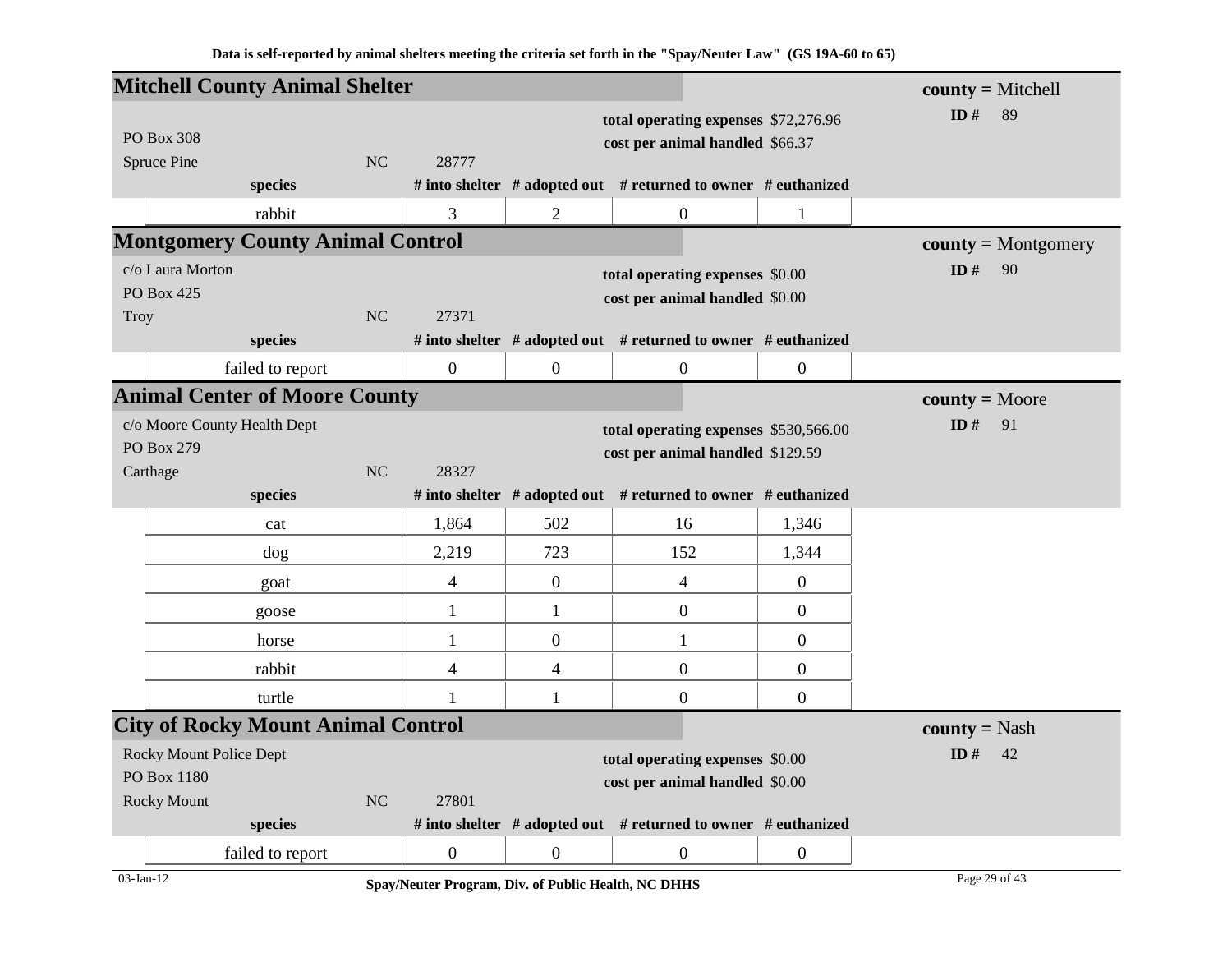|                                                          | <b>Mitchell County Animal Shelter</b>     |                |                          |                  |                                                                           |                  | $county = Mitchell$   |  |  |  |
|----------------------------------------------------------|-------------------------------------------|----------------|--------------------------|------------------|---------------------------------------------------------------------------|------------------|-----------------------|--|--|--|
|                                                          |                                           |                |                          |                  | total operating expenses \$72,276.96                                      |                  | ID $#$<br>89          |  |  |  |
| PO Box 308                                               |                                           |                |                          |                  | cost per animal handled \$66.37                                           |                  |                       |  |  |  |
| Spruce Pine                                              |                                           | <b>NC</b>      | 28777                    |                  |                                                                           |                  |                       |  |  |  |
|                                                          | species                                   |                |                          |                  | # into shelter $#$ adopted out $#$ returned to owner $#$ euthanized       |                  |                       |  |  |  |
|                                                          | rabbit                                    |                | 3                        | $\overline{2}$   | $\boldsymbol{0}$                                                          | $\mathbf{1}$     |                       |  |  |  |
|                                                          | <b>Montgomery County Animal Control</b>   |                |                          |                  |                                                                           |                  | $county = Montgomery$ |  |  |  |
| c/o Laura Morton                                         |                                           |                |                          |                  | total operating expenses \$0.00                                           |                  | ID#<br>90             |  |  |  |
| PO Box 425<br><b>Troy</b>                                |                                           | <b>NC</b>      | 27371                    |                  | cost per animal handled \$0.00                                            |                  |                       |  |  |  |
|                                                          | species                                   |                |                          |                  | # into shelter $#$ adopted out $#$ returned to owner $#$ euthanized       |                  |                       |  |  |  |
|                                                          | failed to report                          |                | $\mathbf{0}$             | $\boldsymbol{0}$ | $\boldsymbol{0}$                                                          | $\boldsymbol{0}$ |                       |  |  |  |
| <b>Animal Center of Moore County</b><br>$county = Moore$ |                                           |                |                          |                  |                                                                           |                  |                       |  |  |  |
|                                                          | c/o Moore County Health Dept              | ID $#$<br>91   |                          |                  |                                                                           |                  |                       |  |  |  |
| PO Box 279                                               |                                           |                |                          |                  | total operating expenses \$530,566.00<br>cost per animal handled \$129.59 |                  |                       |  |  |  |
| Carthage                                                 |                                           | <b>NC</b>      | 28327                    |                  |                                                                           |                  |                       |  |  |  |
|                                                          | species                                   |                |                          |                  | # into shelter # adopted out # returned to owner # euthanized             |                  |                       |  |  |  |
|                                                          | cat                                       |                | 1,864                    | 502              | 16                                                                        | 1,346            |                       |  |  |  |
|                                                          | dog                                       |                | 2,219                    | 723              | 152                                                                       | 1,344            |                       |  |  |  |
|                                                          | goat                                      |                | $\overline{\mathcal{A}}$ | $\overline{0}$   | $\overline{4}$                                                            | $\overline{0}$   |                       |  |  |  |
|                                                          | goose                                     |                | $\mathbf{1}$             | $\mathbf{1}$     | $\boldsymbol{0}$                                                          | $\boldsymbol{0}$ |                       |  |  |  |
|                                                          | horse                                     |                | 1                        | $\boldsymbol{0}$ | $\mathbf{1}$                                                              | $\boldsymbol{0}$ |                       |  |  |  |
|                                                          | rabbit                                    |                | $\overline{\mathcal{A}}$ | $\overline{4}$   | $\boldsymbol{0}$                                                          | $\boldsymbol{0}$ |                       |  |  |  |
|                                                          | turtle                                    |                | $\mathbf{1}$             | $\mathbf{1}$     | $\boldsymbol{0}$                                                          | $\boldsymbol{0}$ |                       |  |  |  |
|                                                          | <b>City of Rocky Mount Animal Control</b> |                |                          |                  |                                                                           |                  | <b>county</b> = Nash  |  |  |  |
|                                                          | <b>Rocky Mount Police Dept</b>            |                |                          |                  | total operating expenses \$0.00                                           |                  | ID $#$<br>42          |  |  |  |
| PO Box 1180                                              |                                           |                |                          |                  | cost per animal handled \$0.00                                            |                  |                       |  |  |  |
| <b>Rocky Mount</b>                                       |                                           | N <sub>C</sub> | 27801                    |                  |                                                                           |                  |                       |  |  |  |
|                                                          | species                                   |                |                          |                  | # into shelter # adopted out # returned to owner # euthanized             |                  |                       |  |  |  |
|                                                          | failed to report                          |                | $\boldsymbol{0}$         | $\overline{0}$   | $\boldsymbol{0}$                                                          | $\boldsymbol{0}$ |                       |  |  |  |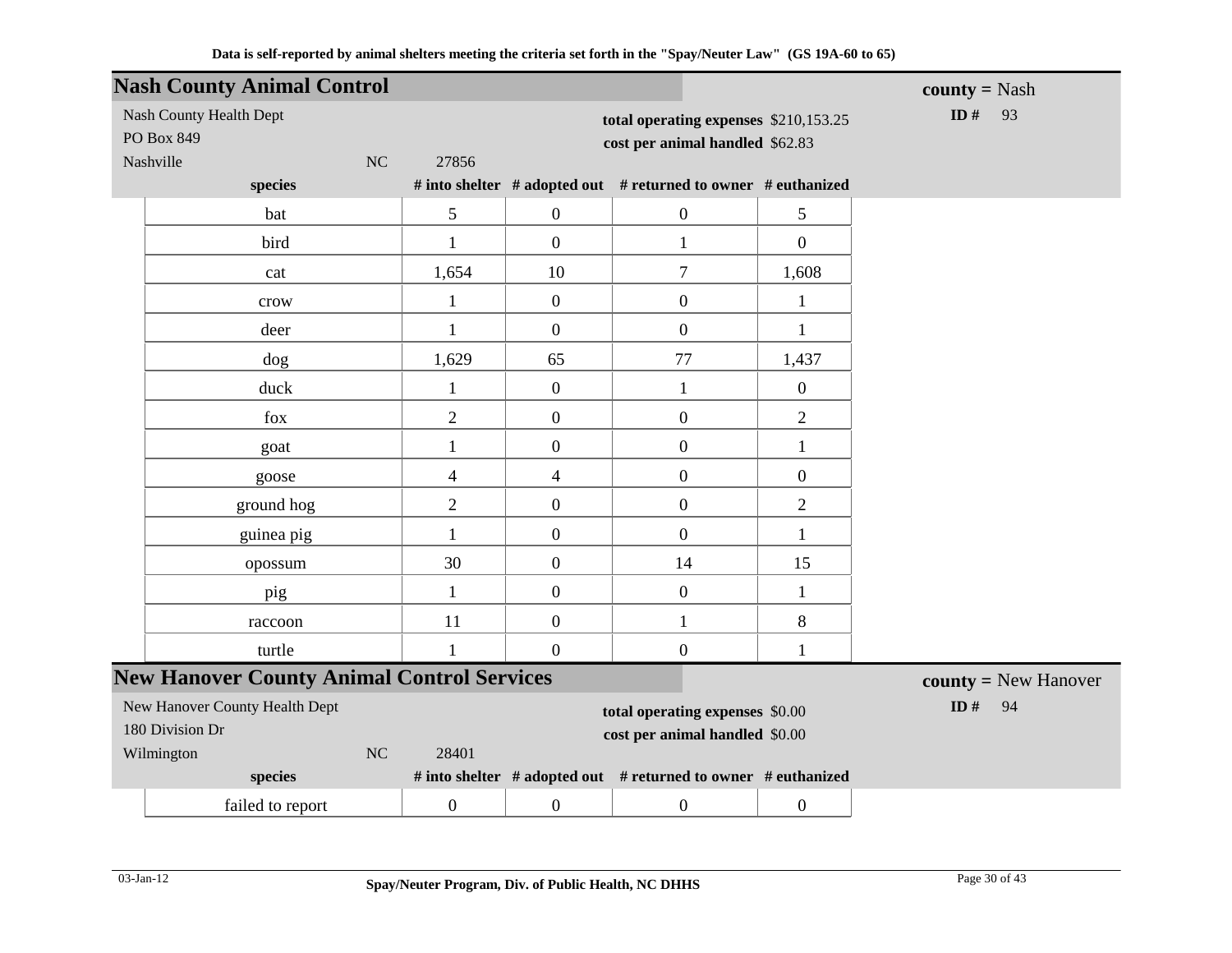| <b>Nash County Animal Control</b>                               |                  |                          |                                                                          |                  | <b>county</b> = Nash   |
|-----------------------------------------------------------------|------------------|--------------------------|--------------------------------------------------------------------------|------------------|------------------------|
| Nash County Health Dept<br>PO Box 849<br>Nashville<br><b>NC</b> | 27856            |                          | total operating expenses \$210,153.25<br>cost per animal handled \$62.83 |                  | ID#<br>93              |
| species                                                         |                  |                          | # into shelter # adopted out # returned to owner # euthanized            |                  |                        |
| bat                                                             | 5                | $\boldsymbol{0}$         | $\mathbf{0}$                                                             | 5                |                        |
| bird                                                            | $\mathbf{1}$     | $\overline{0}$           | $\mathbf{1}$                                                             | $\overline{0}$   |                        |
| cat                                                             | 1,654            | 10                       | $\boldsymbol{7}$                                                         | 1,608            |                        |
| crow                                                            | $\mathbf{1}$     | $\boldsymbol{0}$         | $\boldsymbol{0}$                                                         | $\mathbf{1}$     |                        |
| deer                                                            | 1                | $\boldsymbol{0}$         | $\boldsymbol{0}$                                                         | $\mathbf{1}$     |                        |
| dog                                                             | 1,629            | 65                       | 77                                                                       | 1,437            |                        |
| duck                                                            | $\mathbf{1}$     | $\boldsymbol{0}$         | $\mathbf{1}$                                                             | $\boldsymbol{0}$ |                        |
| fox                                                             | $\overline{2}$   | $\overline{0}$           | $\boldsymbol{0}$                                                         | $\overline{2}$   |                        |
| goat                                                            | 1                | $\boldsymbol{0}$         | $\boldsymbol{0}$                                                         | $\mathbf{1}$     |                        |
| goose                                                           | 4                | $\overline{\mathcal{A}}$ | $\boldsymbol{0}$                                                         | $\boldsymbol{0}$ |                        |
| ground hog                                                      | $\overline{2}$   | $\boldsymbol{0}$         | $\boldsymbol{0}$                                                         | $\overline{2}$   |                        |
| guinea pig                                                      | $\mathbf{1}$     | $\boldsymbol{0}$         | $\boldsymbol{0}$                                                         | $\mathbf{1}$     |                        |
| opossum                                                         | 30               | $\boldsymbol{0}$         | 14                                                                       | 15               |                        |
| pig                                                             | $\mathbf{1}$     | $\boldsymbol{0}$         | $\boldsymbol{0}$                                                         | $\mathbf{1}$     |                        |
| raccoon                                                         | 11               | $\boldsymbol{0}$         | $\mathbf{1}$                                                             | 8                |                        |
| turtle                                                          | $\mathbf{1}$     | $\boldsymbol{0}$         | $\boldsymbol{0}$                                                         | $\mathbf{1}$     |                        |
| <b>New Hanover County Animal Control Services</b>               |                  |                          |                                                                          |                  | $county = New Hanover$ |
| New Hanover County Health Dept                                  | ID $#$<br>94     |                          |                                                                          |                  |                        |
| 180 Division Dr                                                 |                  |                          |                                                                          |                  |                        |
| Wilmington<br>$\rm NC$                                          | 28401            |                          |                                                                          |                  |                        |
| species                                                         |                  |                          | # into shelter # adopted out # returned to owner # euthanized            |                  |                        |
| failed to report                                                | $\boldsymbol{0}$ | $\boldsymbol{0}$         | $\boldsymbol{0}$                                                         | $\boldsymbol{0}$ |                        |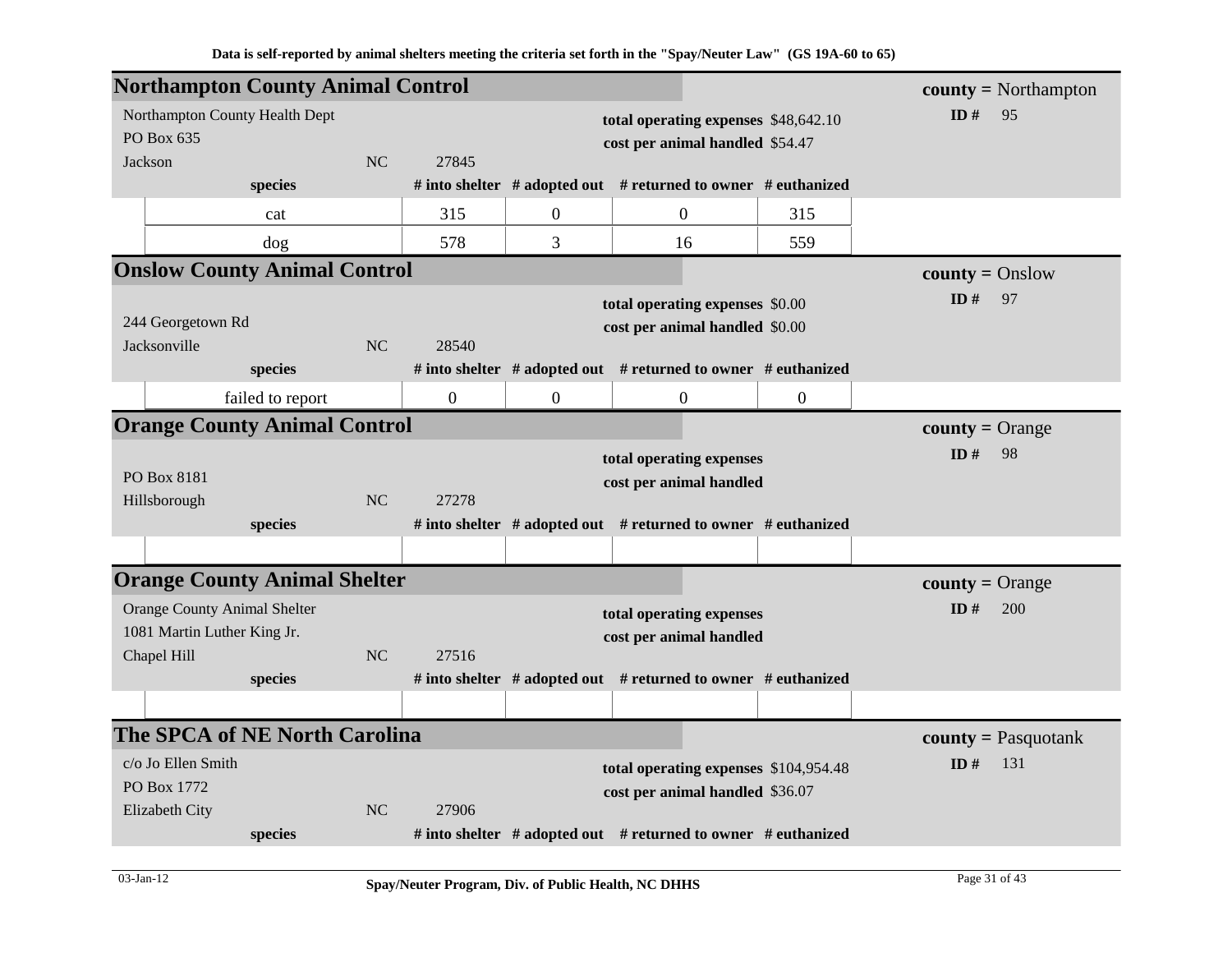| <b>Northampton County Animal Control</b> |                  |           |                |                  |                                                                     |                | $\text{county} = \text{Northampton}$ |
|------------------------------------------|------------------|-----------|----------------|------------------|---------------------------------------------------------------------|----------------|--------------------------------------|
| Northampton County Health Dept           |                  |           |                |                  | total operating expenses \$48,642.10                                |                | ID#<br>95                            |
| PO Box 635                               |                  |           |                |                  | cost per animal handled \$54.47                                     |                |                                      |
| Jackson                                  |                  | NC        | 27845          |                  |                                                                     |                |                                      |
|                                          | species          |           |                |                  | # into shelter $#$ adopted out $#$ returned to owner $#$ euthanized |                |                                      |
|                                          | cat              |           | 315            | $\boldsymbol{0}$ | $\overline{0}$                                                      | 315            |                                      |
|                                          | dog              |           | 578            | 3                | 16                                                                  | 559            |                                      |
| <b>Onslow County Animal Control</b>      |                  |           |                |                  |                                                                     |                | $county = Onslow$                    |
|                                          |                  |           |                |                  | total operating expenses \$0.00                                     |                | ID#<br>97                            |
| 244 Georgetown Rd                        |                  |           |                |                  | cost per animal handled \$0.00                                      |                |                                      |
| Jacksonville                             |                  | NC        | 28540          |                  |                                                                     |                |                                      |
|                                          | species          |           |                |                  | # into shelter # adopted out # returned to owner # euthanized       |                |                                      |
|                                          | failed to report |           | $\overline{0}$ | $\overline{0}$   | $\boldsymbol{0}$                                                    | $\overline{0}$ |                                      |
| <b>Orange County Animal Control</b>      |                  |           |                |                  |                                                                     |                | $county = Orange$                    |
|                                          |                  |           |                |                  | total operating expenses                                            |                | ID#<br>98                            |
| PO Box 8181                              |                  |           |                |                  | cost per animal handled                                             |                |                                      |
| Hillsborough                             |                  | <b>NC</b> | 27278          |                  |                                                                     |                |                                      |
|                                          | species          |           |                |                  | # into shelter # adopted out # returned to owner # euthanized       |                |                                      |
|                                          |                  |           |                |                  |                                                                     |                |                                      |
| <b>Orange County Animal Shelter</b>      |                  |           |                |                  |                                                                     |                | $county = Orange$                    |
| <b>Orange County Animal Shelter</b>      |                  |           |                |                  | total operating expenses                                            |                | ID#<br>200                           |
| 1081 Martin Luther King Jr.              |                  |           |                |                  | cost per animal handled                                             |                |                                      |
| Chapel Hill                              |                  | NC        | 27516          |                  |                                                                     |                |                                      |
|                                          | species          |           |                |                  | # into shelter # adopted out # returned to owner # euthanized       |                |                                      |
|                                          |                  |           |                |                  |                                                                     |                |                                      |
| <b>The SPCA of NE North Carolina</b>     |                  |           |                |                  |                                                                     |                | $county = Pasquotank$                |
| c/o Jo Ellen Smith                       |                  |           |                |                  | total operating expenses \$104,954.48                               |                | ID#<br>131                           |
| PO Box 1772                              |                  |           |                |                  | cost per animal handled \$36.07                                     |                |                                      |
| Elizabeth City                           |                  | NC        | 27906          |                  |                                                                     |                |                                      |
|                                          | species          |           |                |                  | # into shelter # adopted out # returned to owner # euthanized       |                |                                      |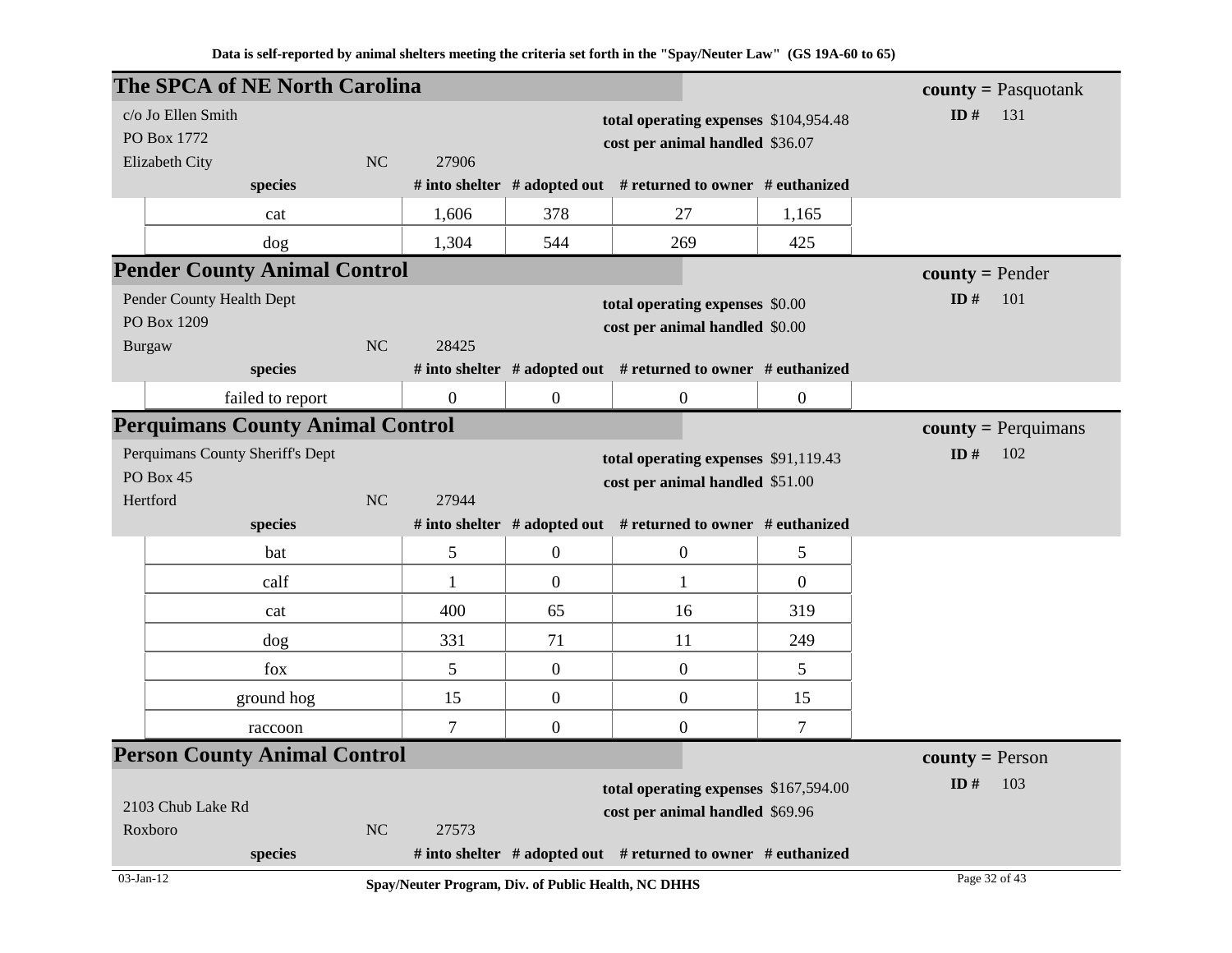|               |                                                              | <b>The SPCA of NE North Carolina</b>    |           |                |                  |                                                                     |                  | <b>county</b> = Pasquotank |
|---------------|--------------------------------------------------------------|-----------------------------------------|-----------|----------------|------------------|---------------------------------------------------------------------|------------------|----------------------------|
|               | c/o Jo Ellen Smith                                           |                                         |           |                |                  | total operating expenses \$104,954.48                               |                  | ID $#$<br>131              |
|               | PO Box 1772                                                  |                                         |           |                |                  | cost per animal handled \$36.07                                     |                  |                            |
|               | Elizabeth City                                               |                                         | <b>NC</b> | 27906          |                  |                                                                     |                  |                            |
|               |                                                              | species                                 |           |                |                  | # into shelter # adopted out # returned to owner # euthanized       |                  |                            |
|               |                                                              | cat                                     |           | 1,606          | 378              | 27                                                                  | 1,165            |                            |
|               |                                                              | dog                                     |           | 1,304          | 544              | 269                                                                 | 425              |                            |
|               |                                                              | <b>Pender County Animal Control</b>     |           |                |                  |                                                                     |                  | $county = Pender$          |
|               | Pender County Health Dept<br>total operating expenses \$0.00 |                                         |           |                |                  |                                                                     |                  | ID#<br>101                 |
|               | PO Box 1209                                                  |                                         |           |                |                  | cost per animal handled \$0.00                                      |                  |                            |
| <b>Burgaw</b> |                                                              |                                         | <b>NC</b> | 28425          |                  |                                                                     |                  |                            |
|               |                                                              | species                                 |           |                |                  | # into shelter # adopted out # returned to owner # euthanized       |                  |                            |
|               |                                                              | failed to report                        |           | $\overline{0}$ | $\boldsymbol{0}$ | $\overline{0}$                                                      | $\boldsymbol{0}$ |                            |
|               |                                                              | <b>Perquimans County Animal Control</b> |           |                |                  |                                                                     |                  | $county = Perquimans$      |
|               | Perquimans County Sheriff's Dept                             |                                         |           |                |                  | total operating expenses \$91,119.43                                |                  | ID $#$<br>102              |
| Hertford      | PO Box 45                                                    |                                         | <b>NC</b> | 27944          |                  | cost per animal handled \$51.00                                     |                  |                            |
|               |                                                              | species                                 |           |                |                  | # into shelter # adopted out # returned to owner # euthanized       |                  |                            |
|               |                                                              | bat                                     |           | 5              | $\mathbf{0}$     | $\overline{0}$                                                      | 5                |                            |
|               |                                                              | calf                                    |           | 1              | $\overline{0}$   | $\mathbf{1}$                                                        | $\overline{0}$   |                            |
|               |                                                              | cat                                     |           | 400            | 65               | 16                                                                  | 319              |                            |
|               |                                                              | dog                                     |           | 331            | 71               | 11                                                                  | 249              |                            |
|               |                                                              | fox                                     |           | 5              | $\mathbf{0}$     | $\overline{0}$                                                      | 5                |                            |
|               |                                                              | ground hog                              |           | 15             | $\overline{0}$   | $\boldsymbol{0}$                                                    | 15               |                            |
|               |                                                              | raccoon                                 |           | $\overline{7}$ | $\boldsymbol{0}$ | $\boldsymbol{0}$                                                    | $\overline{7}$   |                            |
|               |                                                              | <b>Person County Animal Control</b>     |           |                |                  |                                                                     |                  | <b>county</b> = Person     |
|               |                                                              |                                         |           |                |                  | total operating expenses \$167,594.00                               |                  | ID#<br>103                 |
|               | 2103 Chub Lake Rd                                            |                                         |           |                |                  | cost per animal handled \$69.96                                     |                  |                            |
| Roxboro       |                                                              |                                         | NC        | 27573          |                  |                                                                     |                  |                            |
|               |                                                              |                                         |           |                |                  |                                                                     |                  |                            |
| 03-Jan-12     |                                                              | species                                 |           |                |                  | # into shelter $#$ adopted out $#$ returned to owner $#$ euthanized |                  | Page 32 of 43              |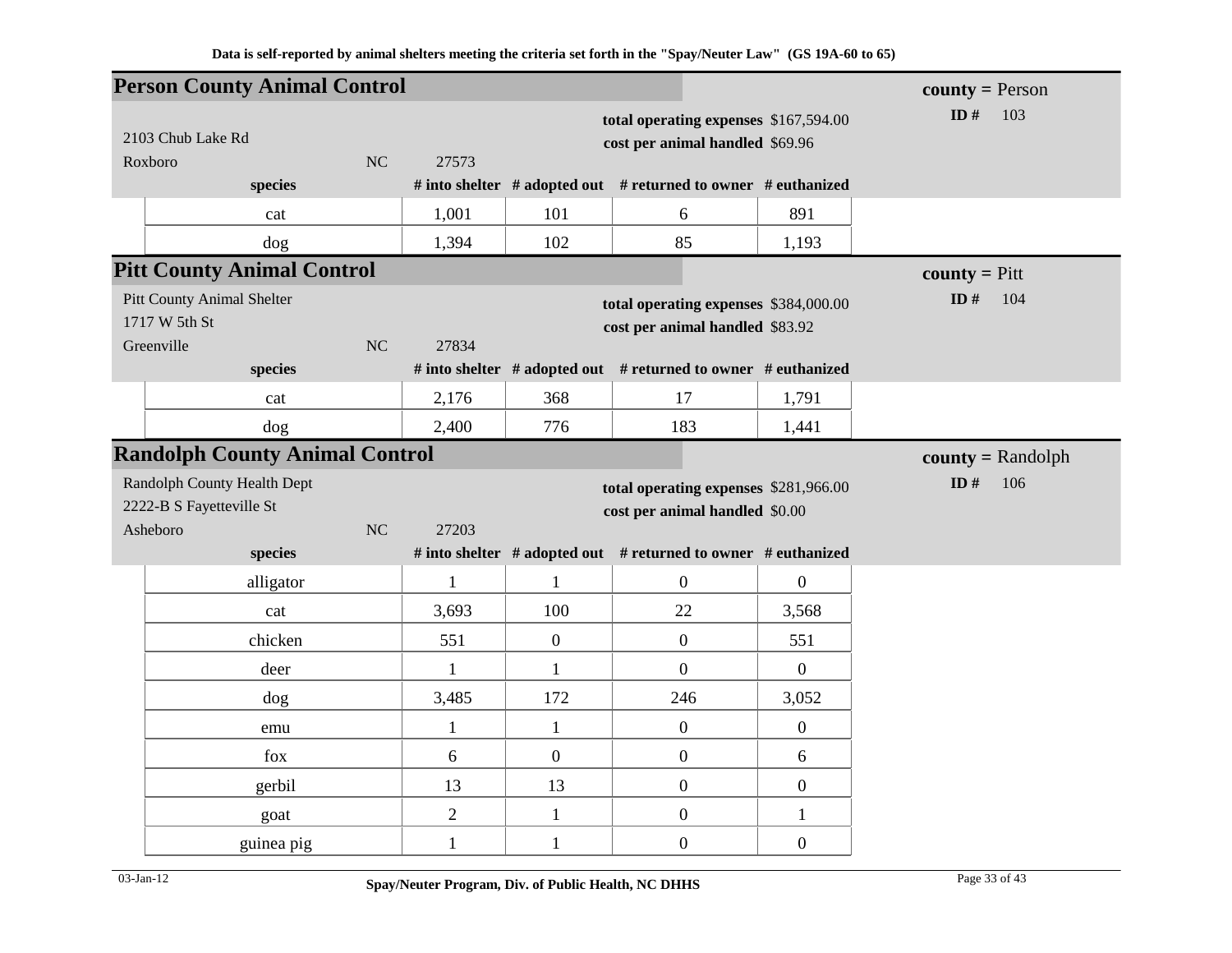|                                                                  | <b>Person County Animal Control</b>   |                |                |                                                                          |                                                               |                  | <b>county</b> = Person  |
|------------------------------------------------------------------|---------------------------------------|----------------|----------------|--------------------------------------------------------------------------|---------------------------------------------------------------|------------------|-------------------------|
|                                                                  | 2103 Chub Lake Rd                     |                |                | total operating expenses \$167,594.00<br>cost per animal handled \$69.96 | ID $#$<br>103                                                 |                  |                         |
|                                                                  | Roxboro<br>species                    | N <sub>C</sub> | 27573          |                                                                          | # into shelter # adopted out # returned to owner # euthanized |                  |                         |
|                                                                  |                                       |                |                |                                                                          |                                                               |                  |                         |
|                                                                  | cat                                   |                | 1,001          | 101                                                                      | 6                                                             | 891              |                         |
|                                                                  | dog                                   |                | 1,394          | 102                                                                      | 85                                                            | 1,193            |                         |
|                                                                  | <b>Pitt County Animal Control</b>     |                |                |                                                                          |                                                               |                  | <b>county</b> = $P$ itt |
| <b>Pitt County Animal Shelter</b><br>1717 W 5th St<br>Greenville |                                       | NC             | 27834          | total operating expenses \$384,000.00<br>cost per animal handled \$83.92 | ID $#$<br>104                                                 |                  |                         |
|                                                                  | species                               |                |                |                                                                          | # into shelter # adopted out # returned to owner # euthanized |                  |                         |
|                                                                  | cat                                   |                | 2,176          | 368                                                                      | 17                                                            | 1,791            |                         |
|                                                                  | dog                                   |                | 2,400          | 776                                                                      | 183                                                           | 1,441            |                         |
|                                                                  | <b>Randolph County Animal Control</b> |                |                |                                                                          |                                                               |                  | $county = Random$       |
|                                                                  | Randolph County Health Dept           |                |                |                                                                          | total operating expenses \$281,966.00                         |                  | ID $#$<br>106           |
|                                                                  | 2222-B S Fayetteville St              |                |                | cost per animal handled \$0.00                                           |                                                               |                  |                         |
|                                                                  | Asheboro                              | NC             | 27203          |                                                                          |                                                               |                  |                         |
|                                                                  | species                               |                |                |                                                                          | # into shelter # adopted out # returned to owner # euthanized |                  |                         |
|                                                                  | alligator                             |                | $\mathbf{1}$   | $\mathbf{1}$                                                             | $\boldsymbol{0}$                                              | $\boldsymbol{0}$ |                         |
|                                                                  | cat                                   |                | 3,693          | 100                                                                      | 22                                                            | 3,568            |                         |
|                                                                  | chicken                               |                | 551            | $\boldsymbol{0}$                                                         | $\boldsymbol{0}$                                              | 551              |                         |
|                                                                  | deer                                  |                | $\mathbf{1}$   | $\mathbf{1}$                                                             | $\boldsymbol{0}$                                              | $\overline{0}$   |                         |
|                                                                  | dog                                   |                | 3,485          | 172                                                                      | 246                                                           | 3,052            |                         |
|                                                                  | emu                                   |                | $\mathbf{1}$   | $\mathbf{1}$                                                             | $\boldsymbol{0}$                                              | $\boldsymbol{0}$ |                         |
|                                                                  | fox                                   |                | 6              | $\boldsymbol{0}$                                                         | $\boldsymbol{0}$                                              | 6                |                         |
|                                                                  | gerbil                                |                | 13             | 13                                                                       | $\boldsymbol{0}$                                              | $\boldsymbol{0}$ |                         |
|                                                                  | goat                                  |                | $\overline{2}$ | $\mathbf{1}$                                                             | $\boldsymbol{0}$                                              | $\mathbf{1}$     |                         |
|                                                                  | guinea pig                            |                | $\mathbf{1}$   | $\mathbf{1}$                                                             | $\boldsymbol{0}$                                              | $\boldsymbol{0}$ |                         |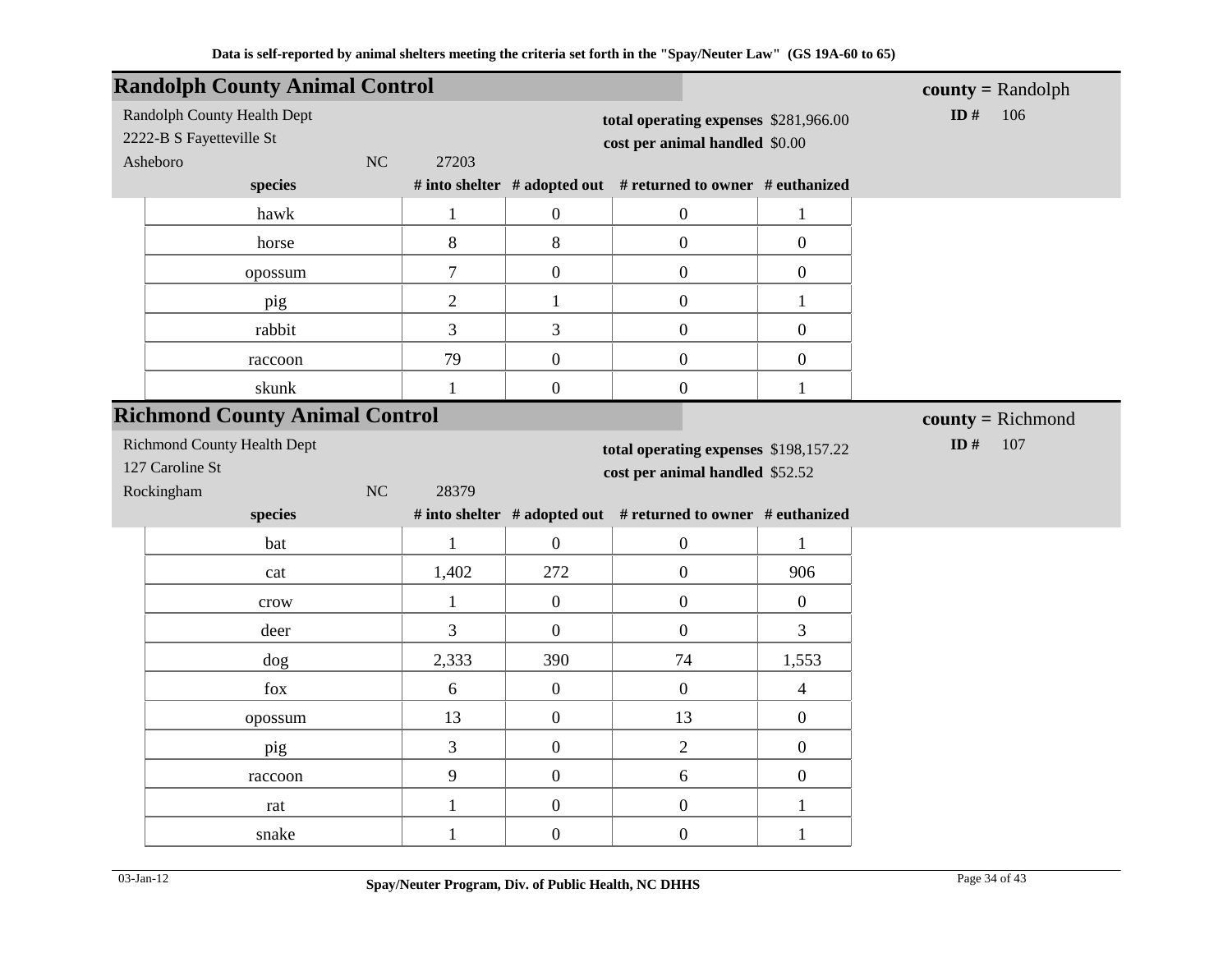| <b>Randolph County Animal Control</b>                                            |                  |                                                                         |                                                               |                  | $county = Random$  |
|----------------------------------------------------------------------------------|------------------|-------------------------------------------------------------------------|---------------------------------------------------------------|------------------|--------------------|
| Randolph County Health Dept<br>2222-B S Fayetteville St<br><b>NC</b><br>Asheboro | 27203            | total operating expenses \$281,966.00<br>cost per animal handled \$0.00 | ID#<br>106                                                    |                  |                    |
| species                                                                          |                  |                                                                         | # into shelter # adopted out # returned to owner # euthanized |                  |                    |
| hawk                                                                             | $\mathbf{1}$     | $\boldsymbol{0}$                                                        | $\boldsymbol{0}$                                              | $\mathbf{1}$     |                    |
| horse                                                                            | 8                | 8                                                                       | $\boldsymbol{0}$                                              | $\overline{0}$   |                    |
| opossum                                                                          | $\boldsymbol{7}$ | $\boldsymbol{0}$                                                        | $\boldsymbol{0}$                                              | $\overline{0}$   |                    |
| pig                                                                              | $\overline{2}$   | $\mathbf{1}$                                                            | $\boldsymbol{0}$                                              | $\mathbf{1}$     |                    |
| rabbit                                                                           | 3                | 3                                                                       | $\boldsymbol{0}$                                              | $\overline{0}$   |                    |
| raccoon                                                                          | 79               | $\boldsymbol{0}$                                                        | $\boldsymbol{0}$                                              | $\overline{0}$   |                    |
| skunk                                                                            | $\mathbf{1}$     | $\mathbf{0}$                                                            | $\boldsymbol{0}$                                              | $\mathbf{1}$     |                    |
| <b>Richmond County Animal Control</b>                                            |                  |                                                                         |                                                               |                  | $county = Richard$ |
| <b>Richmond County Health Dept</b>                                               |                  |                                                                         | total operating expenses \$198,157.22                         |                  | ID $#$<br>107      |
| 127 Caroline St                                                                  |                  |                                                                         | cost per animal handled \$52.52                               |                  |                    |
| Rockingham<br>NC                                                                 | 28379            |                                                                         |                                                               |                  |                    |
| species                                                                          |                  |                                                                         | # into shelter # adopted out # returned to owner # euthanized |                  |                    |
| bat                                                                              | $\mathbf{1}$     | $\overline{0}$                                                          | $\boldsymbol{0}$                                              | $\mathbf{1}$     |                    |
| cat                                                                              | 1,402            | 272                                                                     | $\boldsymbol{0}$                                              | 906              |                    |
| crow                                                                             | $\mathbf{1}$     | $\boldsymbol{0}$                                                        | $\boldsymbol{0}$                                              | $\boldsymbol{0}$ |                    |
| deer                                                                             | $\overline{3}$   | $\mathbf{0}$                                                            | $\boldsymbol{0}$                                              | $\overline{3}$   |                    |
| dog                                                                              | 2,333            | 390                                                                     | 74                                                            | 1,553            |                    |
| fox                                                                              | $\sqrt{6}$       | $\boldsymbol{0}$                                                        | $\boldsymbol{0}$                                              | $\overline{4}$   |                    |
| opossum                                                                          | 13               | $\overline{0}$                                                          | 13                                                            | $\overline{0}$   |                    |
| pig                                                                              | $\overline{3}$   | $\boldsymbol{0}$                                                        | $\mathbf{2}$                                                  | $\boldsymbol{0}$ |                    |
| raccoon                                                                          | 9                | $\boldsymbol{0}$                                                        | $\sqrt{6}$                                                    | $\boldsymbol{0}$ |                    |
| rat                                                                              | $\mathbf{1}$     | $\boldsymbol{0}$                                                        | $\boldsymbol{0}$                                              | $\mathbf{1}$     |                    |
| snake                                                                            | $\mathbf{1}$     | $\boldsymbol{0}$                                                        | $\boldsymbol{0}$                                              | $\mathbf{1}$     |                    |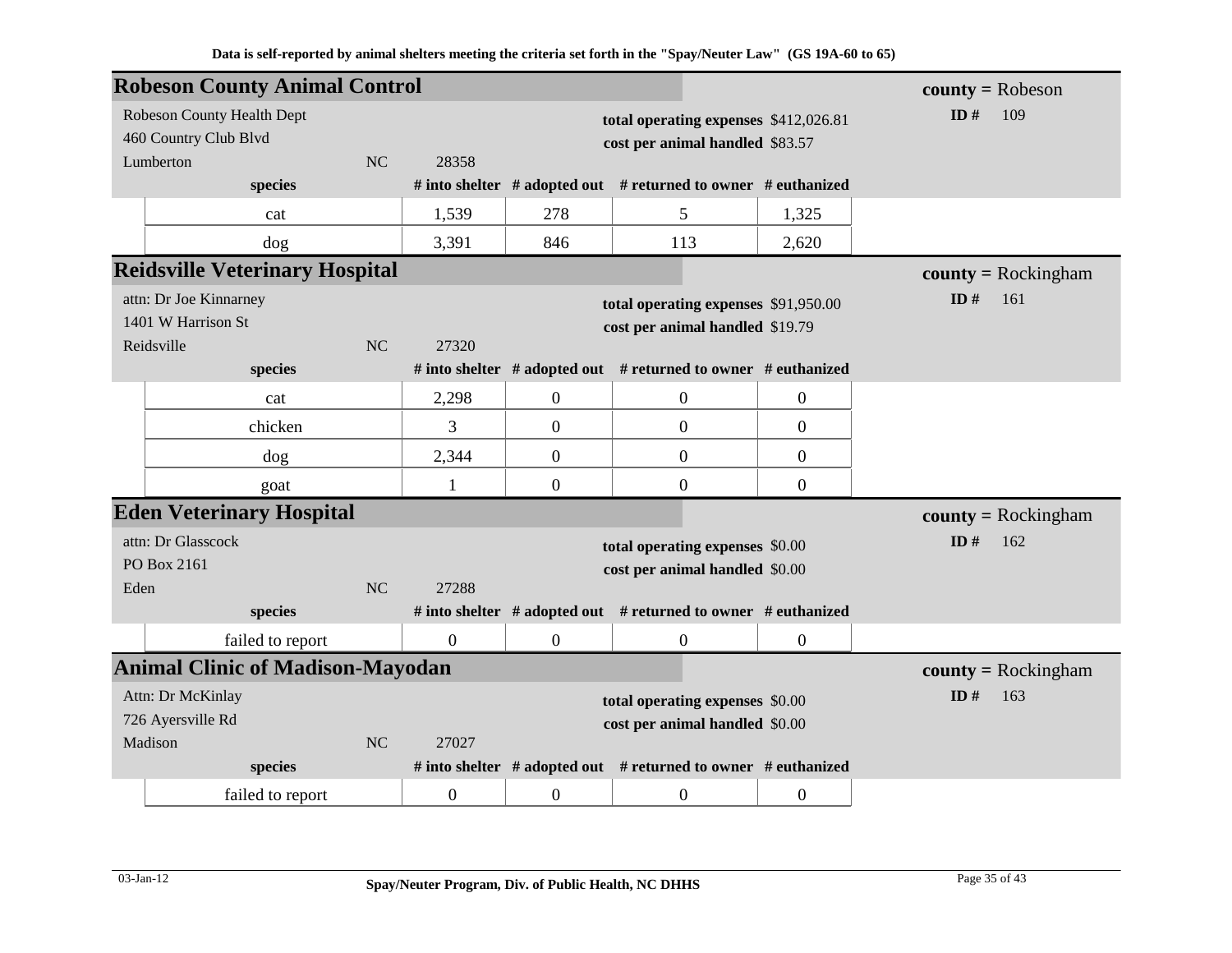|                      | <b>Robeson County Animal Control</b>    |           |                  |                                       |                                                                     |                  | $county = Robeson$    |
|----------------------|-----------------------------------------|-----------|------------------|---------------------------------------|---------------------------------------------------------------------|------------------|-----------------------|
|                      | Robeson County Health Dept              |           |                  | total operating expenses \$412,026.81 | ID#<br>109                                                          |                  |                       |
|                      | 460 Country Club Blvd                   |           |                  | cost per animal handled \$83.57       |                                                                     |                  |                       |
|                      | Lumberton                               | <b>NC</b> | 28358            |                                       |                                                                     |                  |                       |
|                      | species                                 |           |                  |                                       | # into shelter $#$ adopted out $#$ returned to owner $#$ euthanized |                  |                       |
|                      | cat                                     |           | 1,539            | 278                                   | 5                                                                   | 1,325            |                       |
|                      | dog                                     |           | 3,391            | 846                                   | 113                                                                 | 2,620            |                       |
|                      | <b>Reidsville Veterinary Hospital</b>   |           |                  |                                       |                                                                     |                  | $county = Rockingham$ |
|                      | attn: Dr Joe Kinnarney                  |           |                  |                                       | total operating expenses \$91,950.00                                |                  | ID#<br>161            |
|                      | 1401 W Harrison St                      |           |                  |                                       | cost per animal handled \$19.79                                     |                  |                       |
|                      | Reidsville                              | <b>NC</b> | 27320            |                                       |                                                                     |                  |                       |
|                      | species                                 |           |                  |                                       | # into shelter # adopted out # returned to owner # euthanized       |                  |                       |
|                      | cat                                     |           | 2,298            | $\boldsymbol{0}$                      | $\boldsymbol{0}$                                                    | 0                |                       |
|                      | chicken                                 |           | 3                | $\overline{0}$                        | $\boldsymbol{0}$                                                    | $\overline{0}$   |                       |
|                      | dog                                     |           | 2,344            | $\overline{0}$                        | $\boldsymbol{0}$                                                    | $\overline{0}$   |                       |
|                      | goat                                    |           | $\mathbf{1}$     | $\overline{0}$                        | $\boldsymbol{0}$                                                    | $\boldsymbol{0}$ |                       |
|                      | <b>Eden Veterinary Hospital</b>         |           |                  |                                       |                                                                     |                  | $county = Rockingham$ |
|                      | attn: Dr Glasscock                      |           |                  |                                       | total operating expenses \$0.00                                     |                  | ID $#$<br>162         |
|                      | PO Box 2161                             |           |                  |                                       | cost per animal handled \$0.00                                      |                  |                       |
| Eden                 |                                         | NC        | 27288            |                                       |                                                                     |                  |                       |
|                      | species                                 |           |                  |                                       | # into shelter # adopted out # returned to owner # euthanized       |                  |                       |
|                      | failed to report                        |           | $\overline{0}$   | $\mathbf{0}$                          | $\boldsymbol{0}$                                                    | $\boldsymbol{0}$ |                       |
|                      | <b>Animal Clinic of Madison-Mayodan</b> |           |                  |                                       |                                                                     |                  | $county = Rockingham$ |
|                      | Attn: Dr McKinlay                       |           |                  |                                       | total operating expenses \$0.00                                     |                  | ID#<br>163            |
|                      | 726 Ayersville Rd                       |           |                  | cost per animal handled \$0.00        |                                                                     |                  |                       |
| Madison<br><b>NC</b> |                                         |           | 27027            |                                       |                                                                     |                  |                       |
|                      | species                                 |           |                  |                                       | # into shelter $#$ adopted out $#$ returned to owner $#$ euthanized |                  |                       |
|                      | failed to report                        |           | $\boldsymbol{0}$ | $\overline{0}$                        | $\boldsymbol{0}$                                                    | $\boldsymbol{0}$ |                       |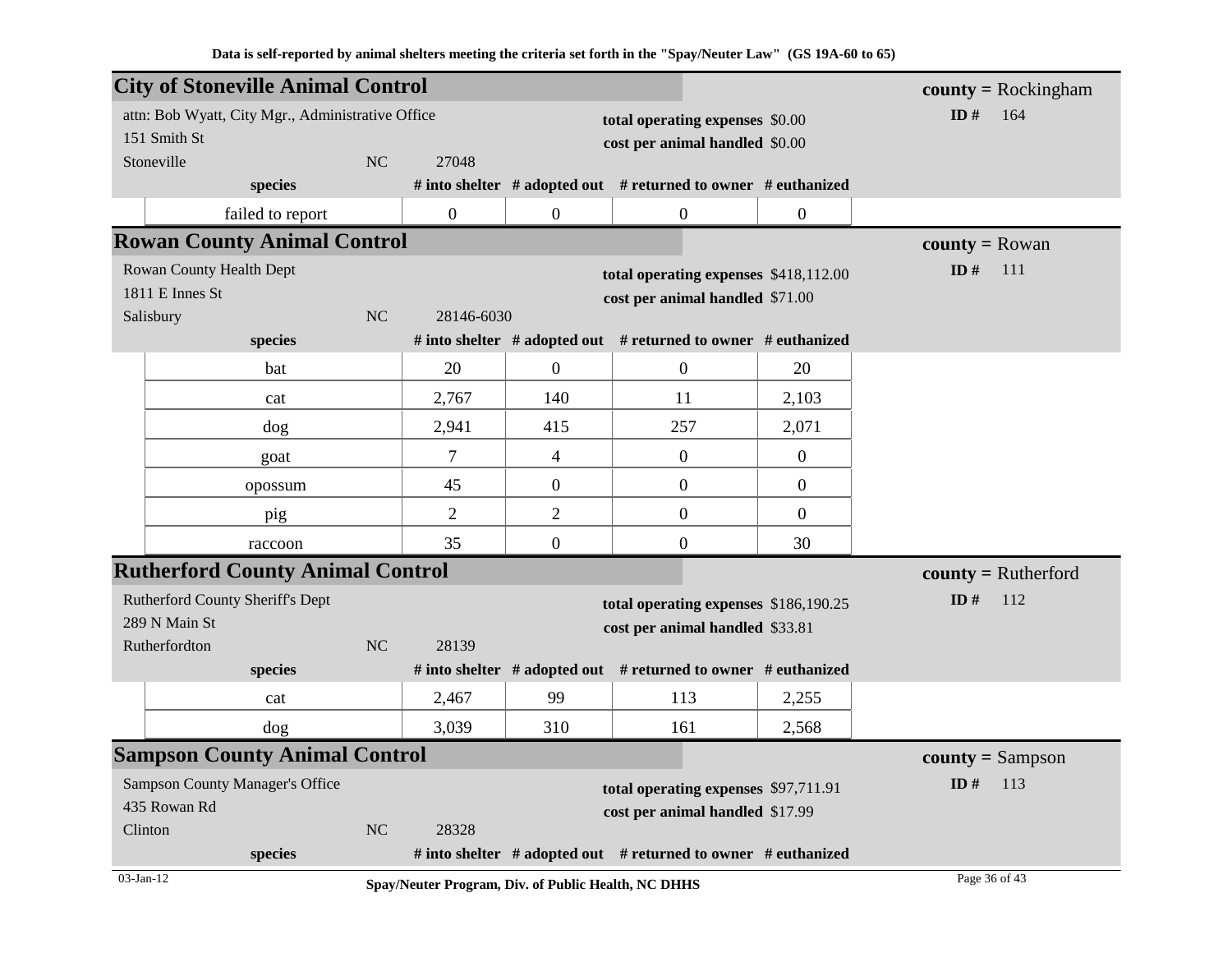| <b>City of Stoneville Animal Control</b>          |    |                |                                 |                                                                     |                | $county = Rockingham$   |
|---------------------------------------------------|----|----------------|---------------------------------|---------------------------------------------------------------------|----------------|-------------------------|
| attn: Bob Wyatt, City Mgr., Administrative Office |    |                |                                 | total operating expenses \$0.00                                     |                | ID#<br>164              |
| 151 Smith St                                      |    |                |                                 | cost per animal handled \$0.00                                      |                |                         |
| Stoneville                                        | NC | 27048          |                                 |                                                                     |                |                         |
| species                                           |    |                |                                 | # into shelter # adopted out # returned to owner # euthanized       |                |                         |
| failed to report                                  |    | $\overline{0}$ | $\boldsymbol{0}$                | $\overline{0}$                                                      | $\Omega$       |                         |
| <b>Rowan County Animal Control</b>                |    |                |                                 |                                                                     |                | <b>county</b> = $Rowan$ |
| Rowan County Health Dept                          |    |                |                                 | total operating expenses \$418,112.00                               |                | ID $#$<br>111           |
| 1811 E Innes St                                   |    |                |                                 | cost per animal handled \$71.00                                     |                |                         |
| Salisbury                                         | NC | 28146-6030     |                                 |                                                                     |                |                         |
| species                                           |    |                |                                 | # into shelter $#$ adopted out $#$ returned to owner $#$ euthanized |                |                         |
| bat                                               |    | 20             | $\boldsymbol{0}$                | $\mathbf{0}$                                                        | 20             |                         |
| cat                                               |    | 2,767          | 140                             | 11                                                                  | 2,103          |                         |
| dog                                               |    | 2,941          | 415                             | 257                                                                 | 2,071          |                         |
| goat                                              |    | $\tau$         | $\overline{4}$                  | $\mathbf{0}$                                                        | $\overline{0}$ |                         |
| opossum                                           |    | 45             | $\mathbf{0}$                    | $\mathbf{0}$                                                        | $\overline{0}$ |                         |
| pig                                               |    | $\overline{2}$ | $\overline{2}$                  | $\boldsymbol{0}$                                                    | $\overline{0}$ |                         |
| raccoon                                           |    | 35             | $\boldsymbol{0}$                | $\overline{0}$                                                      | 30             |                         |
| <b>Rutherford County Animal Control</b>           |    |                |                                 |                                                                     |                | $county = Rutherford$   |
| Rutherford County Sheriff's Dept                  |    |                |                                 | total operating expenses \$186,190.25                               |                | ID#<br>112              |
| 289 N Main St                                     |    |                |                                 | cost per animal handled \$33.81                                     |                |                         |
| Rutherfordton                                     | NC | 28139          |                                 |                                                                     |                |                         |
| species                                           |    |                |                                 | # into shelter # adopted out # returned to owner # euthanized       |                |                         |
| cat                                               |    | 2,467          | 99                              | 113                                                                 | 2,255          |                         |
| $\log$                                            |    | 3,039          | 310                             | 161                                                                 | 2,568          |                         |
| <b>Sampson County Animal Control</b>              |    |                |                                 |                                                                     |                | $county = Sampson$      |
| <b>Sampson County Manager's Office</b>            |    |                |                                 | total operating expenses \$97,711.91                                |                | ID#<br>113              |
| 435 Rowan Rd                                      |    |                | cost per animal handled \$17.99 |                                                                     |                |                         |
| Clinton                                           | NC | 28328          |                                 |                                                                     |                |                         |
| species<br>$\overline{10}$                        |    |                |                                 | # into shelter # adopted out # returned to owner # euthanized       |                | 25.012                  |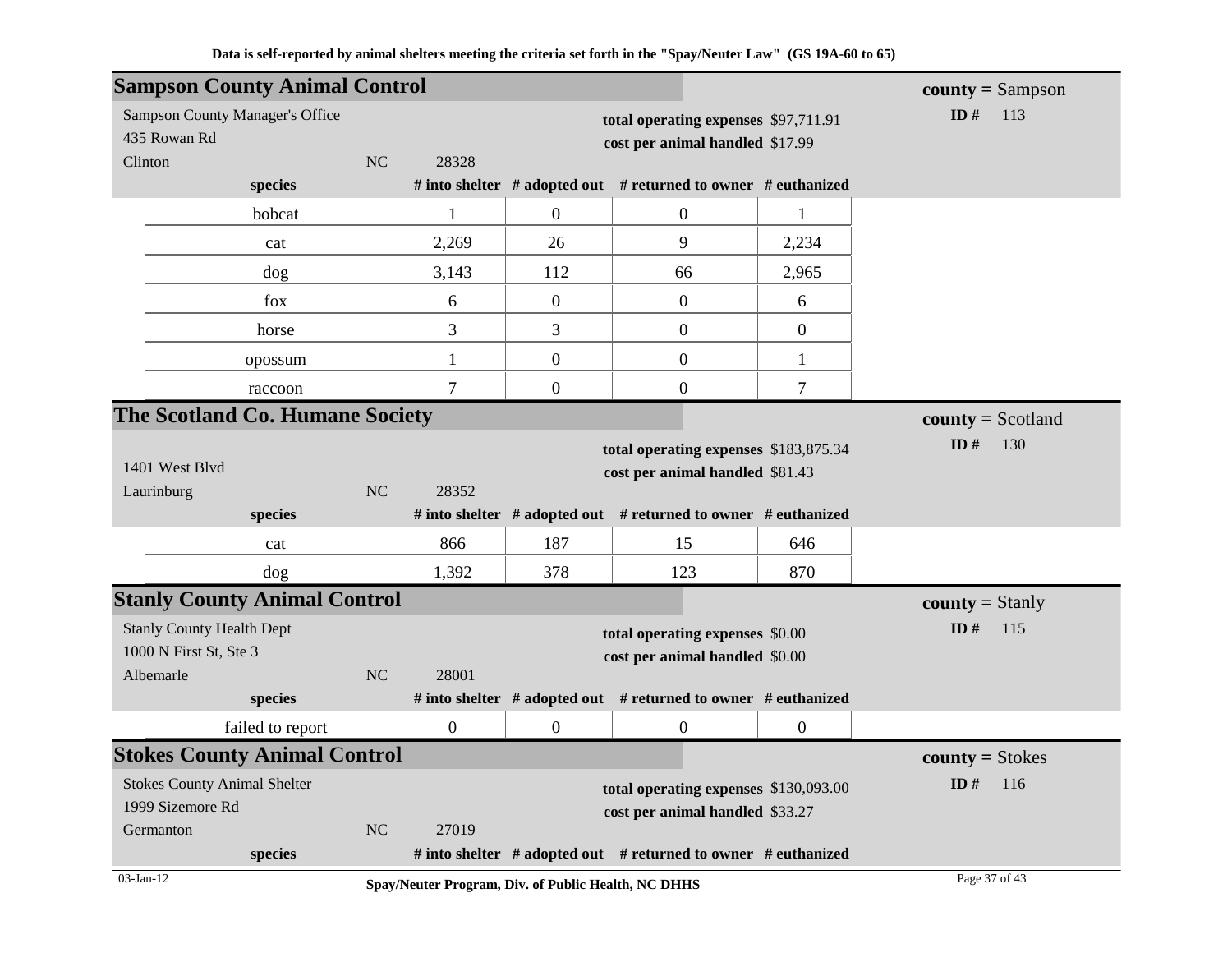| <b>Sampson County Animal Control</b>                                    |                                                                            |                                                                         |                                                                          |                                                               |                | $county = Sampson$     |
|-------------------------------------------------------------------------|----------------------------------------------------------------------------|-------------------------------------------------------------------------|--------------------------------------------------------------------------|---------------------------------------------------------------|----------------|------------------------|
| <b>Sampson County Manager's Office</b><br>435 Rowan Rd                  |                                                                            | total operating expenses \$97,711.91<br>cost per animal handled \$17.99 | ID $#$<br>113                                                            |                                                               |                |                        |
| Clinton                                                                 | NC                                                                         | 28328                                                                   |                                                                          |                                                               |                |                        |
| species                                                                 |                                                                            |                                                                         |                                                                          | # into shelter # adopted out # returned to owner # euthanized |                |                        |
| bobcat                                                                  |                                                                            | $\mathbf{1}$                                                            | $\theta$                                                                 | $\overline{0}$                                                | 1              |                        |
| cat                                                                     |                                                                            | 2,269                                                                   | 26                                                                       | 9                                                             | 2,234          |                        |
| dog                                                                     |                                                                            | 3,143                                                                   | 112                                                                      | 66                                                            | 2,965          |                        |
| fox                                                                     |                                                                            | 6                                                                       | $\boldsymbol{0}$                                                         | $\overline{0}$                                                | 6              |                        |
| horse                                                                   |                                                                            | 3                                                                       | 3                                                                        | $\overline{0}$                                                | $\mathbf{0}$   |                        |
| opossum                                                                 |                                                                            | 1                                                                       | $\overline{0}$                                                           | $\overline{0}$                                                | $\mathbf{1}$   |                        |
| raccoon                                                                 |                                                                            | $\overline{7}$                                                          | $\overline{0}$                                                           | $\boldsymbol{0}$                                              | $\overline{7}$ |                        |
| The Scotland Co. Humane Society                                         |                                                                            |                                                                         |                                                                          |                                                               |                | $county = Scotland$    |
| 1401 West Blvd<br>Laurinburg                                            | N <sub>C</sub>                                                             | 28352                                                                   | total operating expenses \$183,875.34<br>cost per animal handled \$81.43 | ID#<br>130                                                    |                |                        |
| species                                                                 |                                                                            |                                                                         |                                                                          | # into shelter # adopted out # returned to owner # euthanized |                |                        |
| cat                                                                     |                                                                            | 866                                                                     | 187                                                                      | 15                                                            | 646            |                        |
| dog                                                                     |                                                                            | 1,392                                                                   | 378                                                                      | 123                                                           | 870            |                        |
| <b>Stanly County Animal Control</b>                                     |                                                                            |                                                                         |                                                                          |                                                               |                | <b>county</b> = Stanly |
| <b>Stanly County Health Dept</b><br>1000 N First St, Ste 3<br>Albemarle | total operating expenses \$0.00<br>cost per animal handled \$0.00<br>28001 |                                                                         |                                                                          |                                                               | ID#<br>115     |                        |
| species                                                                 |                                                                            |                                                                         |                                                                          | # into shelter # adopted out # returned to owner # euthanized |                |                        |
| failed to report                                                        |                                                                            | $\overline{0}$                                                          | $\overline{0}$                                                           | $\boldsymbol{0}$                                              | $\overline{0}$ |                        |
| <b>Stokes County Animal Control</b>                                     |                                                                            |                                                                         |                                                                          |                                                               |                | $county = Stokes$      |
| <b>Stokes County Animal Shelter</b>                                     |                                                                            |                                                                         | total operating expenses \$130,093.00                                    |                                                               | ID $#$<br>116  |                        |
| 1999 Sizemore Rd                                                        |                                                                            |                                                                         | cost per animal handled \$33.27                                          |                                                               |                |                        |
| Germanton                                                               | <b>NC</b>                                                                  | 27019                                                                   |                                                                          |                                                               |                |                        |
| species                                                                 |                                                                            |                                                                         |                                                                          | # into shelter # adopted out # returned to owner # euthanized |                |                        |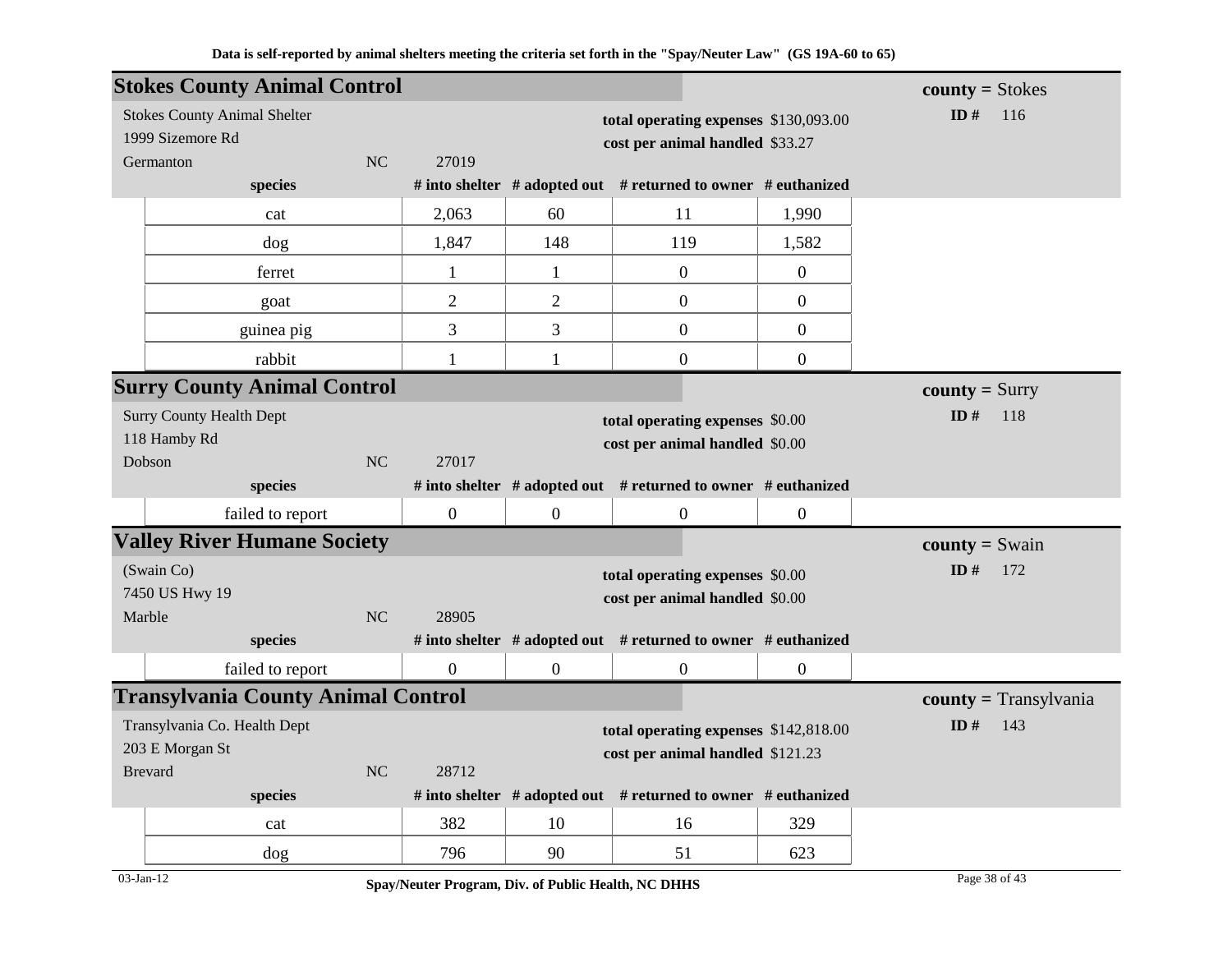|                  | <b>Stokes County Animal Control</b>       |           |                |                                       |                                                                     |                  | $county = Stokes$       |
|------------------|-------------------------------------------|-----------|----------------|---------------------------------------|---------------------------------------------------------------------|------------------|-------------------------|
|                  | <b>Stokes County Animal Shelter</b>       |           |                | total operating expenses \$130,093.00 | ID $#$<br>116                                                       |                  |                         |
| 1999 Sizemore Rd |                                           |           |                |                                       | cost per animal handled \$33.27                                     |                  |                         |
| NC<br>Germanton  |                                           |           | 27019          |                                       |                                                                     |                  |                         |
|                  | species                                   |           |                |                                       | # into shelter $#$ adopted out $#$ returned to owner $#$ euthanized |                  |                         |
|                  | cat                                       |           | 2,063          | 60                                    | 11                                                                  | 1,990            |                         |
|                  | dog                                       |           | 1,847          | 148                                   | 119                                                                 | 1,582            |                         |
|                  | ferret                                    |           | $\mathbf{1}$   | $\mathbf{1}$                          | $\overline{0}$                                                      | $\boldsymbol{0}$ |                         |
|                  | goat                                      |           | $\overline{2}$ | $\overline{2}$                        | $\mathbf{0}$                                                        | $\overline{0}$   |                         |
|                  | guinea pig                                |           | 3              | 3                                     | $\mathbf{0}$                                                        | $\overline{0}$   |                         |
|                  | rabbit                                    |           | 1              | $\mathbf{1}$                          | $\mathbf{0}$                                                        | $\overline{0}$   |                         |
|                  | <b>Surry County Animal Control</b>        |           |                |                                       |                                                                     |                  | $county = Surry$        |
|                  | <b>Surry County Health Dept</b>           |           |                | total operating expenses \$0.00       | ID $#$<br>118                                                       |                  |                         |
|                  | 118 Hamby Rd                              |           |                | cost per animal handled \$0.00        |                                                                     |                  |                         |
|                  | Dobson                                    | <b>NC</b> | 27017          |                                       |                                                                     |                  |                         |
|                  | species                                   |           |                |                                       | # into shelter # adopted out # returned to owner # euthanized       |                  |                         |
|                  | failed to report                          |           | $\mathbf{0}$   | $\boldsymbol{0}$                      | $\boldsymbol{0}$                                                    | $\boldsymbol{0}$ |                         |
|                  | <b>Valley River Humane Society</b>        |           |                |                                       |                                                                     |                  | <b>county</b> = $Swain$ |
|                  | (Swain Co)                                |           |                | total operating expenses \$0.00       | ID#<br>172                                                          |                  |                         |
|                  | 7450 US Hwy 19                            |           |                |                                       | cost per animal handled \$0.00                                      |                  |                         |
|                  | Marble                                    | NC        | 28905          |                                       |                                                                     |                  |                         |
|                  | species                                   |           |                |                                       | # into shelter # adopted out # returned to owner # euthanized       |                  |                         |
|                  | failed to report                          |           | $\overline{0}$ | $\overline{0}$                        | $\boldsymbol{0}$                                                    | $\overline{0}$   |                         |
|                  | <b>Transylvania County Animal Control</b> |           |                |                                       |                                                                     |                  | $county = Transylvania$ |
|                  | Transylvania Co. Health Dept              |           |                | total operating expenses \$142,818.00 | ID $#$<br>143                                                       |                  |                         |
| 203 E Morgan St  |                                           |           |                |                                       | cost per animal handled \$121.23                                    |                  |                         |
|                  | <b>Brevard</b>                            | NC        | 28712          |                                       |                                                                     |                  |                         |
|                  | species                                   |           |                |                                       | # into shelter # adopted out # returned to owner # euthanized       |                  |                         |
|                  | cat                                       |           | 382            | 10                                    | 16                                                                  | 329              |                         |
|                  | dog                                       |           | 796            | 90                                    | 51                                                                  | 623              |                         |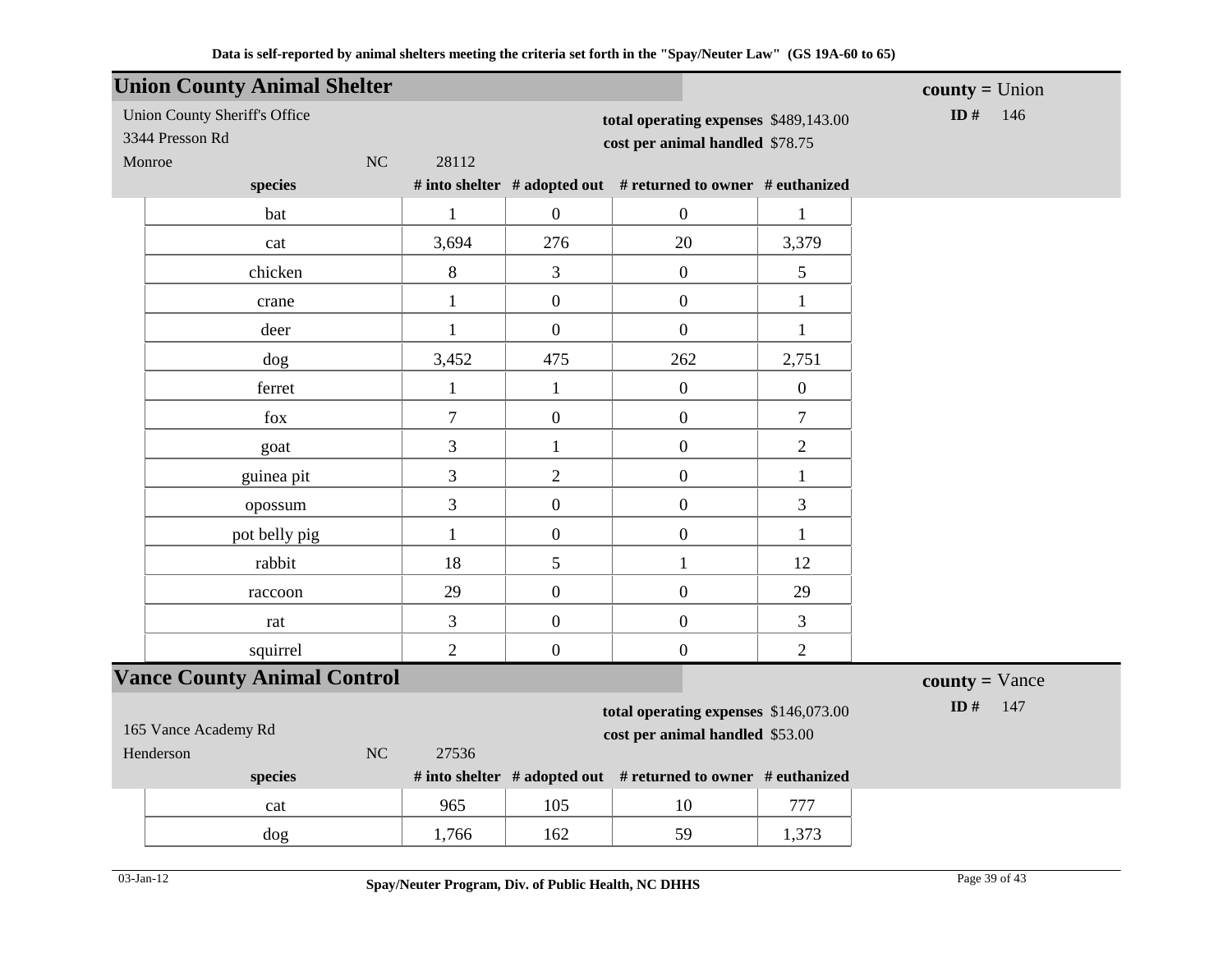|                                                                                                  | <b>Union County Animal Shelter</b>                      |                  |                                                                          |                                                               |                  | $county = Union$        |
|--------------------------------------------------------------------------------------------------|---------------------------------------------------------|------------------|--------------------------------------------------------------------------|---------------------------------------------------------------|------------------|-------------------------|
|                                                                                                  | <b>Union County Sheriff's Office</b><br>3344 Presson Rd |                  | total operating expenses \$489,143.00<br>cost per animal handled \$78.75 | ID#<br>146                                                    |                  |                         |
| Monroe                                                                                           | NC<br>species                                           | 28112            |                                                                          | # into shelter # adopted out # returned to owner # euthanized |                  |                         |
|                                                                                                  | bat                                                     |                  | $\overline{0}$                                                           | $\boldsymbol{0}$                                              |                  |                         |
|                                                                                                  |                                                         | $\mathbf{1}$     |                                                                          |                                                               | $\mathbf 1$      |                         |
|                                                                                                  | cat                                                     | 3,694            | 276                                                                      | 20                                                            | 3,379            |                         |
|                                                                                                  | chicken                                                 | 8                | $\overline{3}$                                                           | $\boldsymbol{0}$                                              | 5                |                         |
|                                                                                                  | crane                                                   | $\mathbf{1}$     | $\mathbf{0}$                                                             | $\boldsymbol{0}$                                              | $\mathbf{1}$     |                         |
|                                                                                                  | deer                                                    | $\mathbf{1}$     | $\overline{0}$                                                           | $\overline{0}$                                                | $\mathbf{1}$     |                         |
|                                                                                                  | dog                                                     | 3,452            | 475                                                                      | 262                                                           | 2,751            |                         |
|                                                                                                  | ferret                                                  | $\mathbf{1}$     | $\mathbf{1}$                                                             | $\boldsymbol{0}$                                              | $\boldsymbol{0}$ |                         |
|                                                                                                  | $f_{OX}$                                                | $\boldsymbol{7}$ | $\boldsymbol{0}$                                                         | $\boldsymbol{0}$                                              | $\tau$           |                         |
|                                                                                                  | goat                                                    | 3                | $\mathbf{1}$                                                             | $\boldsymbol{0}$                                              | $\overline{2}$   |                         |
|                                                                                                  | guinea pit                                              | 3                | $\overline{2}$                                                           | $\boldsymbol{0}$                                              | $\mathbf{1}$     |                         |
|                                                                                                  | opossum                                                 | 3                | $\overline{0}$                                                           | $\boldsymbol{0}$                                              | 3                |                         |
|                                                                                                  | pot belly pig                                           | $\mathbf{1}$     | $\overline{0}$                                                           | $\boldsymbol{0}$                                              | $\mathbf{1}$     |                         |
|                                                                                                  | rabbit                                                  | 18               | 5                                                                        | $\mathbf{1}$                                                  | 12               |                         |
|                                                                                                  | raccoon                                                 | 29               | $\overline{0}$                                                           | $\boldsymbol{0}$                                              | 29               |                         |
|                                                                                                  | rat                                                     | 3                | $\overline{0}$                                                           | $\boldsymbol{0}$                                              | 3                |                         |
|                                                                                                  | squirrel                                                | $\overline{2}$   | $\overline{0}$                                                           | $\boldsymbol{0}$                                              | $\overline{2}$   |                         |
|                                                                                                  | <b>Vance County Animal Control</b>                      |                  |                                                                          |                                                               |                  | $county = \text{Vance}$ |
|                                                                                                  |                                                         | ID $#$<br>147    |                                                                          |                                                               |                  |                         |
| total operating expenses \$146,073.00<br>165 Vance Academy Rd<br>cost per animal handled \$53.00 |                                                         |                  |                                                                          |                                                               |                  |                         |
|                                                                                                  | NC<br>Henderson                                         | 27536            |                                                                          |                                                               |                  |                         |
|                                                                                                  | species                                                 |                  |                                                                          | # into shelter # adopted out # returned to owner # euthanized |                  |                         |
|                                                                                                  | cat                                                     | 965              | 105                                                                      | 10                                                            | 777              |                         |
|                                                                                                  | dog                                                     | 1,766            | 162                                                                      | 59                                                            | 1,373            |                         |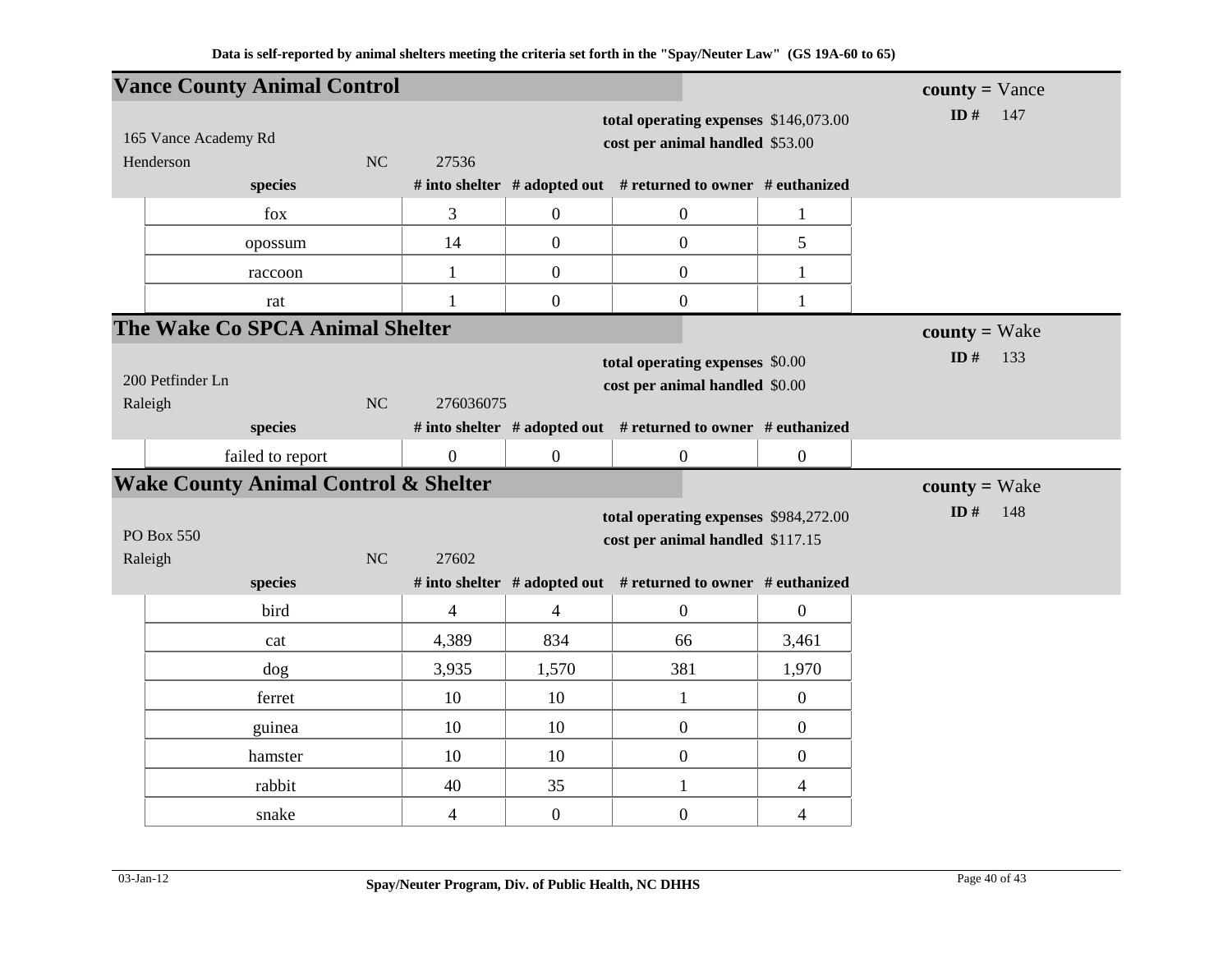| <b>Vance County Animal Control</b>              |                          |                                                                          |                                                                                                                                            |                          | $county = \text{Vance}$ |
|-------------------------------------------------|--------------------------|--------------------------------------------------------------------------|--------------------------------------------------------------------------------------------------------------------------------------------|--------------------------|-------------------------|
| 165 Vance Academy Rd<br>NC<br>Henderson         | 27536                    | total operating expenses \$146,073.00<br>cost per animal handled \$53.00 | ID#<br>147                                                                                                                                 |                          |                         |
| species                                         |                          |                                                                          | # into shelter # adopted out # returned to owner # euthanized                                                                              |                          |                         |
| fox                                             | 3                        | $\boldsymbol{0}$                                                         | $\boldsymbol{0}$                                                                                                                           | $\mathbf{1}$             |                         |
| opossum                                         | 14                       | $\overline{0}$                                                           | $\mathbf{0}$                                                                                                                               | 5                        |                         |
| raccoon                                         | 1                        | $\overline{0}$                                                           | $\mathbf{0}$                                                                                                                               | 1                        |                         |
| rat                                             | 1                        | $\boldsymbol{0}$                                                         | $\boldsymbol{0}$                                                                                                                           | $\mathbf{1}$             |                         |
| The Wake Co SPCA Animal Shelter                 |                          |                                                                          |                                                                                                                                            |                          | $county = Wake$         |
| 200 Petfinder Ln<br><b>NC</b><br>Raleigh        | 276036075                |                                                                          | total operating expenses \$0.00<br>cost per animal handled \$0.00                                                                          |                          | ID $#$<br>133           |
| species                                         |                          |                                                                          | # into shelter # adopted out # returned to owner # euthanized                                                                              |                          |                         |
| failed to report                                | $\overline{0}$           | $\boldsymbol{0}$                                                         | $\boldsymbol{0}$                                                                                                                           | $\boldsymbol{0}$         |                         |
| <b>Wake County Animal Control &amp; Shelter</b> |                          |                                                                          |                                                                                                                                            |                          | $county = Wake$         |
| PO Box 550<br>NC<br>Raleigh<br>species          | 27602                    |                                                                          | total operating expenses \$984,272.00<br>cost per animal handled \$117.15<br># into shelter # adopted out # returned to owner # euthanized |                          | ID#<br>148              |
| bird                                            | $\overline{4}$           | $\overline{4}$                                                           | $\mathbf{0}$                                                                                                                               | $\overline{0}$           |                         |
| cat                                             | 4,389                    | 834                                                                      | 66                                                                                                                                         | 3,461                    |                         |
| dog                                             | 3,935                    | 1,570                                                                    | 381                                                                                                                                        | 1,970                    |                         |
| ferret                                          | 10                       | 10                                                                       | $\mathbf{1}$                                                                                                                               | $\overline{0}$           |                         |
| guinea                                          | 10                       | 10                                                                       | $\boldsymbol{0}$                                                                                                                           | $\boldsymbol{0}$         |                         |
| hamster                                         | 10                       | 10                                                                       | $\boldsymbol{0}$                                                                                                                           | $\overline{0}$           |                         |
| rabbit                                          | 40                       | 35                                                                       | $\mathbf{1}$                                                                                                                               | 4                        |                         |
| snake                                           | $\overline{\mathcal{A}}$ | $\boldsymbol{0}$                                                         | $\boldsymbol{0}$                                                                                                                           | $\overline{\mathcal{L}}$ |                         |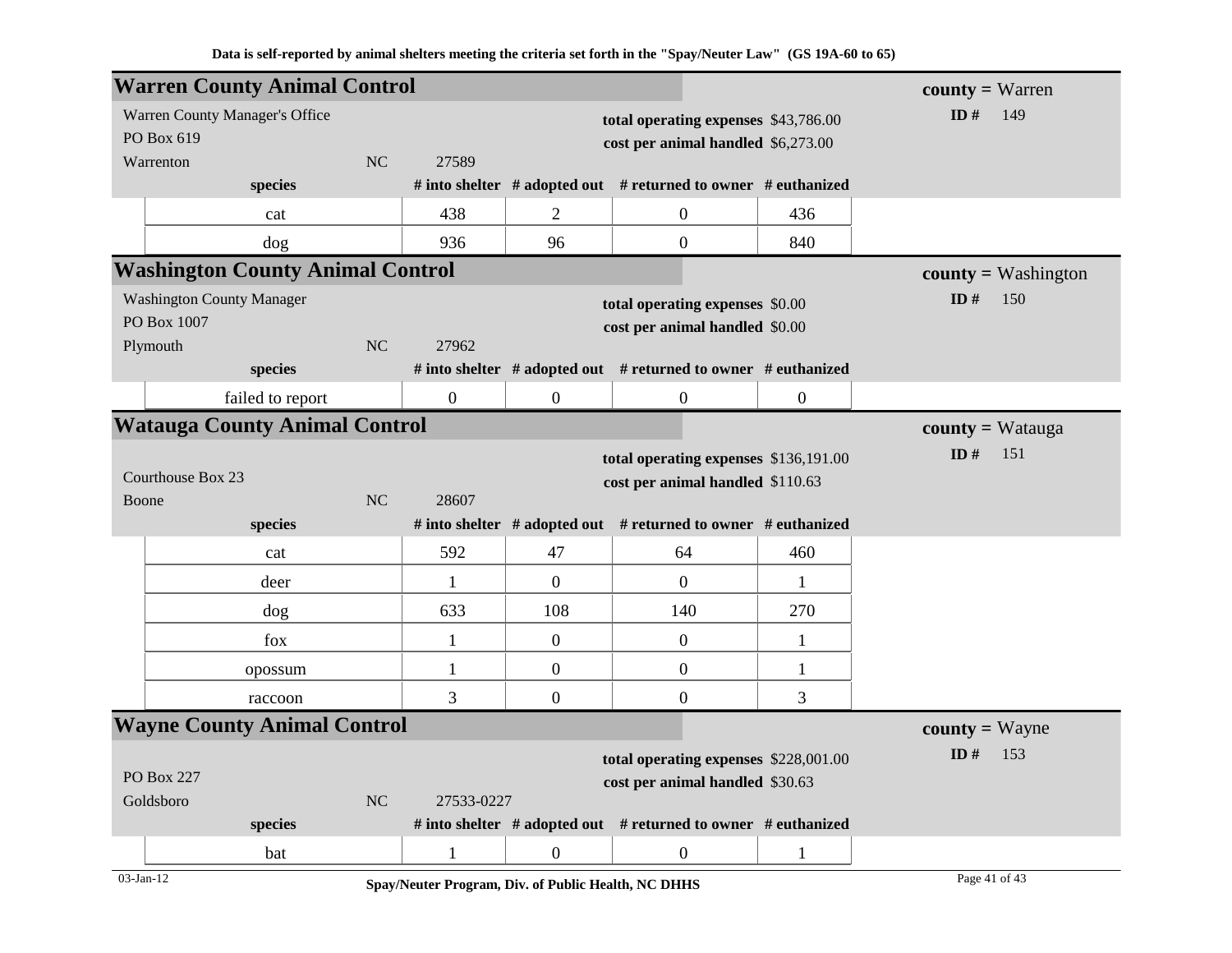|            | <b>Warren County Animal Control</b>     |           |                  |                                  |                                                                     |                  | <b>county</b> = Warren |
|------------|-----------------------------------------|-----------|------------------|----------------------------------|---------------------------------------------------------------------|------------------|------------------------|
|            | Warren County Manager's Office          |           |                  |                                  | total operating expenses \$43,786.00                                |                  | ID $#$<br>149          |
| PO Box 619 |                                         |           |                  |                                  | cost per animal handled \$6,273.00                                  |                  |                        |
|            | Warrenton                               | NC        | 27589            |                                  |                                                                     |                  |                        |
|            | species                                 |           |                  |                                  | # into shelter $#$ adopted out $#$ returned to owner $#$ euthanized |                  |                        |
|            | cat                                     |           | 438              | 2                                | $\overline{0}$                                                      | 436              |                        |
|            | dog                                     |           | 936              | 96                               | $\boldsymbol{0}$                                                    | 840              |                        |
|            | <b>Washington County Animal Control</b> |           |                  |                                  |                                                                     |                  | $county = Washington$  |
|            | <b>Washington County Manager</b>        |           |                  |                                  | total operating expenses \$0.00                                     |                  | ID $#$<br>150          |
|            | PO Box 1007                             |           |                  |                                  | cost per animal handled \$0.00                                      |                  |                        |
|            | Plymouth                                | <b>NC</b> | 27962            |                                  |                                                                     |                  |                        |
|            | species                                 |           |                  |                                  | # into shelter # adopted out # returned to owner # euthanized       |                  |                        |
|            | failed to report                        |           | $\boldsymbol{0}$ | $\overline{0}$                   | $\boldsymbol{0}$                                                    | $\boldsymbol{0}$ |                        |
|            | <b>Watauga County Animal Control</b>    |           |                  |                                  |                                                                     |                  | $county = Watauga$     |
|            |                                         |           |                  |                                  | total operating expenses \$136,191.00                               |                  | ID $#$<br>151          |
|            | Courthouse Box 23                       |           |                  | cost per animal handled \$110.63 |                                                                     |                  |                        |
| Boone      |                                         | <b>NC</b> | 28607            |                                  |                                                                     |                  |                        |
|            | species                                 |           |                  |                                  | # into shelter # adopted out # returned to owner # euthanized       |                  |                        |
|            | cat                                     |           | 592              | 47                               | 64                                                                  | 460              |                        |
|            | deer                                    |           | $\mathbf{1}$     | $\overline{0}$                   | $\boldsymbol{0}$                                                    | 1                |                        |
|            | dog                                     |           | 633              | 108                              | 140                                                                 | 270              |                        |
|            | fox                                     |           | $\mathbf{1}$     | $\overline{0}$                   | $\boldsymbol{0}$                                                    | $\mathbf{1}$     |                        |
|            | opossum                                 |           | $\mathbf{1}$     | $\overline{0}$                   | $\boldsymbol{0}$                                                    | $\mathbf{1}$     |                        |
|            | raccoon                                 |           | 3                | $\overline{0}$                   | $\boldsymbol{0}$                                                    | 3                |                        |
|            | <b>Wayne County Animal Control</b>      |           |                  |                                  |                                                                     |                  | <b>county</b> = Wayne  |
|            |                                         |           |                  |                                  | total operating expenses \$228,001.00                               |                  | ID $#$<br>153          |
|            | <b>PO Box 227</b>                       |           |                  |                                  | cost per animal handled \$30.63                                     |                  |                        |
|            | Goldsboro                               | <b>NC</b> | 27533-0227       |                                  |                                                                     |                  |                        |
|            | species                                 |           |                  |                                  | # into shelter $#$ adopted out $#$ returned to owner $#$ euthanized |                  |                        |
|            | bat                                     |           | $\mathbf{1}$     | $\overline{0}$                   | $\boldsymbol{0}$                                                    | $\mathbf{1}$     |                        |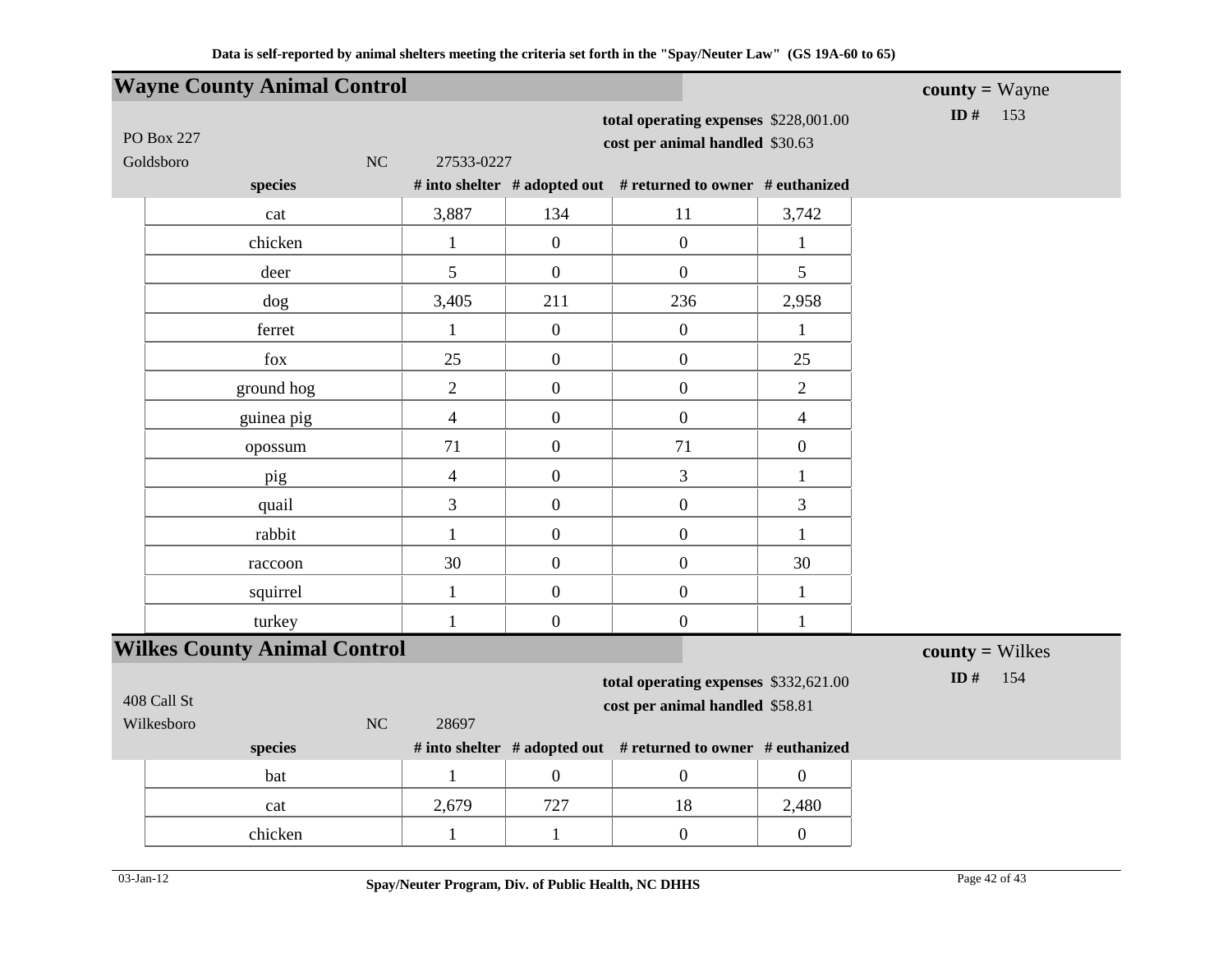|                                | <b>Wayne County Animal Control</b>  |                  |                  |                                                                          |                  | $county = Wayne$  |
|--------------------------------|-------------------------------------|------------------|------------------|--------------------------------------------------------------------------|------------------|-------------------|
| <b>PO Box 227</b><br>Goldsboro |                                     | NC<br>27533-0227 |                  | total operating expenses \$228,001.00<br>cost per animal handled \$30.63 |                  | ID $#$<br>153     |
|                                | species                             |                  |                  | # into shelter # adopted out # returned to owner # euthanized            |                  |                   |
|                                | cat                                 | 3,887            | 134              | 11                                                                       | 3,742            |                   |
|                                | chicken                             | $\mathbf{1}$     | $\boldsymbol{0}$ | $\boldsymbol{0}$                                                         | $\mathbf{1}$     |                   |
|                                | deer                                | 5                | $\overline{0}$   | $\boldsymbol{0}$                                                         | 5                |                   |
|                                | dog                                 | 3,405            | 211              | 236                                                                      | 2,958            |                   |
|                                | ferret                              | $\mathbf{1}$     | $\mathbf{0}$     | $\overline{0}$                                                           | $\mathbf{1}$     |                   |
|                                | fox                                 | 25               | $\boldsymbol{0}$ | $\boldsymbol{0}$                                                         | 25               |                   |
|                                | ground hog                          | $\overline{2}$   | $\overline{0}$   | $\boldsymbol{0}$                                                         | $\overline{2}$   |                   |
|                                | guinea pig                          | $\overline{4}$   | $\boldsymbol{0}$ | $\boldsymbol{0}$                                                         | $\overline{4}$   |                   |
|                                | opossum                             | 71               | $\boldsymbol{0}$ | 71                                                                       | $\boldsymbol{0}$ |                   |
|                                | pig                                 | $\overline{4}$   | $\boldsymbol{0}$ | 3                                                                        | $\mathbf{1}$     |                   |
|                                | quail                               | $\overline{3}$   | $\boldsymbol{0}$ | $\boldsymbol{0}$                                                         | 3                |                   |
|                                | rabbit                              | $\mathbf{1}$     | $\boldsymbol{0}$ | $\boldsymbol{0}$                                                         | $\mathbf{1}$     |                   |
|                                | raccoon                             | 30               | $\boldsymbol{0}$ | $\boldsymbol{0}$                                                         | 30               |                   |
|                                | squirrel                            | $\mathbf{1}$     | $\boldsymbol{0}$ | $\boldsymbol{0}$                                                         | $\mathbf{1}$     |                   |
|                                | turkey                              | $\mathbf{1}$     | $\overline{0}$   | $\boldsymbol{0}$                                                         | $\mathbf{1}$     |                   |
|                                | <b>Wilkes County Animal Control</b> |                  |                  |                                                                          |                  | $county = Wilkes$ |
| 408 Call St                    |                                     |                  |                  | total operating expenses \$332,621.00<br>cost per animal handled \$58.81 |                  | ID $#$<br>154     |
| Wilkesboro                     | species                             | 28697<br>NC      |                  | # into shelter # adopted out # returned to owner # euthanized            |                  |                   |
|                                | bat                                 | $\mathbf{1}$     | $\mathbf{0}$     | $\boldsymbol{0}$                                                         | $\boldsymbol{0}$ |                   |
|                                | cat                                 | 2,679            | 727              | 18                                                                       | 2,480            |                   |
|                                | chicken                             | $\mathbf{1}$     | $\mathbf{1}$     | $\boldsymbol{0}$                                                         | $\boldsymbol{0}$ |                   |